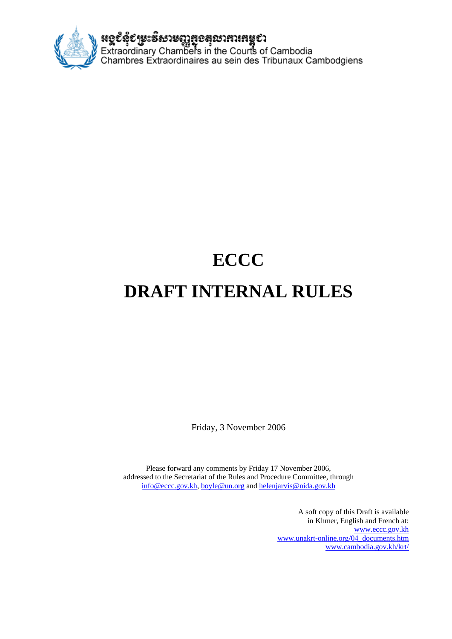

# **ECCC DRAFT INTERNAL RULES**

Friday, 3 November 2006

Please forward any comments by Friday 17 November 2006, addressed to the Secretariat of the Rules and Procedure Committee, through [info@eccc.gov.kh,](mailto:info@eccc.gov.kh) [boyle@un.org](mailto:boyle@un.org) and [helenjarvis@nida.gov.kh](mailto:helenjarvis@nida.gov.kh) 

> A soft copy of this Draft is available in Khmer, English and French at: [www.eccc.gov.kh](http://www.eccc.gov.kh) [www.unakrt-online.org/04\\_documents.htm](http://www.unakrt-online.org/04_documents.htm) [www.cambodia.gov.kh/krt/](http://www.cambodia.gov.kh/krt/)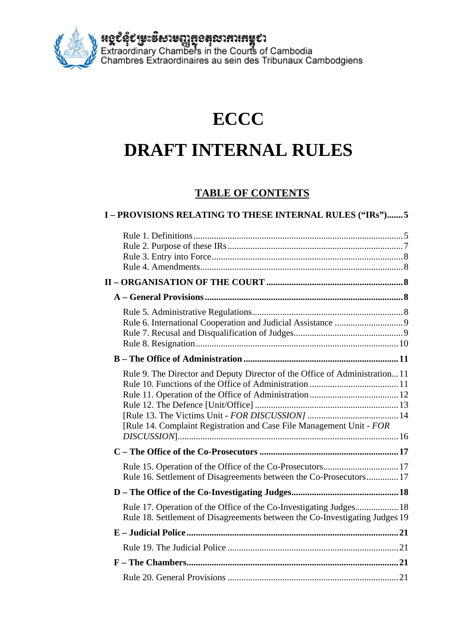**អេ្ចប័នុំប័រម្លេះទឹសាមញ្ញឆ្លួខគុលាភារកម្ពុបា**<br>Extraordinary Chambers in the Courts of Cambodia<br>Chambres Extraordinaires au sein des Tribunaux Cambodgiens

## **ECCC**

## **DRAFT INTERNAL RULES**

### **TABLE OF CONTENTS**

| I-PROVISIONS RELATING TO THESE INTERNAL RULES ("IRs")5                                                                                             |  |
|----------------------------------------------------------------------------------------------------------------------------------------------------|--|
|                                                                                                                                                    |  |
|                                                                                                                                                    |  |
|                                                                                                                                                    |  |
|                                                                                                                                                    |  |
|                                                                                                                                                    |  |
| Rule 9. The Director and Deputy Director of the Office of Administration11<br>[Rule 14. Complaint Registration and Case File Management Unit - FOR |  |
|                                                                                                                                                    |  |
| Rule 15. Operation of the Office of the Co-Prosecutors 17<br>Rule 16. Settlement of Disagreements between the Co-Prosecutors17                     |  |
|                                                                                                                                                    |  |
| Rule 17. Operation of the Office of the Co-Investigating Judges 18<br>Rule 18. Settlement of Disagreements between the Co-Investigating Judges 19  |  |
|                                                                                                                                                    |  |
|                                                                                                                                                    |  |
|                                                                                                                                                    |  |
|                                                                                                                                                    |  |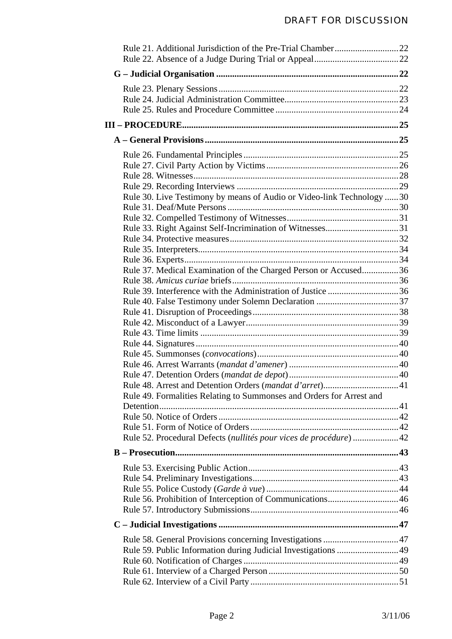| Rule 30. Live Testimony by means of Audio or Video-link Technology  30 |  |
|------------------------------------------------------------------------|--|
|                                                                        |  |
|                                                                        |  |
|                                                                        |  |
|                                                                        |  |
|                                                                        |  |
|                                                                        |  |
| Rule 37. Medical Examination of the Charged Person or Accused36        |  |
|                                                                        |  |
|                                                                        |  |
|                                                                        |  |
|                                                                        |  |
|                                                                        |  |
|                                                                        |  |
|                                                                        |  |
|                                                                        |  |
|                                                                        |  |
|                                                                        |  |
|                                                                        |  |
|                                                                        |  |
| Rule 49. Formalities Relating to Summonses and Orders for Arrest and   |  |
|                                                                        |  |
|                                                                        |  |
|                                                                        |  |
| Rule 52. Procedural Defects (nullités pour vices de procédure)  42     |  |
|                                                                        |  |
|                                                                        |  |
|                                                                        |  |
|                                                                        |  |
|                                                                        |  |
|                                                                        |  |
|                                                                        |  |
|                                                                        |  |
|                                                                        |  |
|                                                                        |  |
|                                                                        |  |
|                                                                        |  |
|                                                                        |  |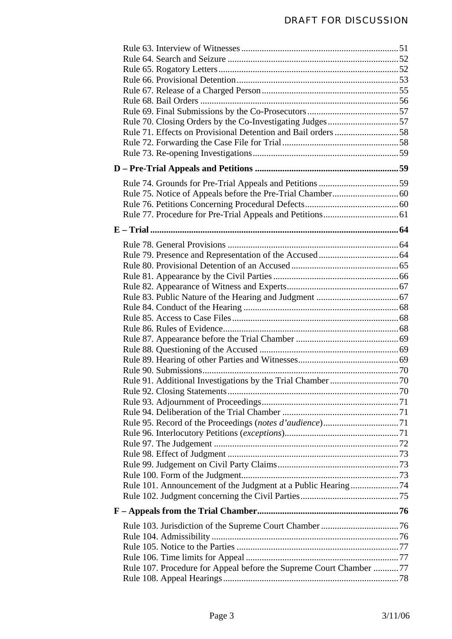| Rule 101. Announcement of the Judgment at a Public Hearing74        |  |
|---------------------------------------------------------------------|--|
|                                                                     |  |
|                                                                     |  |
|                                                                     |  |
|                                                                     |  |
|                                                                     |  |
|                                                                     |  |
| Rule 107. Procedure for Appeal before the Supreme Court Chamber  77 |  |
|                                                                     |  |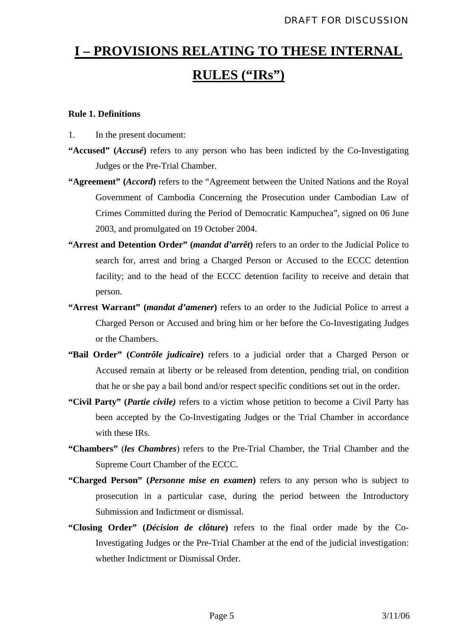## <span id="page-5-0"></span>**I – PROVISIONS RELATING TO THESE INTERNAL RULES ("IRs")**

#### **Rule 1. Definitions**

- 1. In the present document:
- **"Accused" (***Accusé***)** refers to any person who has been indicted by the Co-Investigating Judges or the Pre-Trial Chamber.
- **"Agreement" (***Accord***)** refers to the "Agreement between the United Nations and the Royal Government of Cambodia Concerning the Prosecution under Cambodian Law of Crimes Committed during the Period of Democratic Kampuchea", signed on 06 June 2003, and promulgated on 19 October 2004.
- **"Arrest and Detention Order" (***mandat d'arrêt***)** refers to an order to the Judicial Police to search for, arrest and bring a Charged Person or Accused to the ECCC detention facility; and to the head of the ECCC detention facility to receive and detain that person.
- **"Arrest Warrant" (***mandat d'amener***)** refers to an order to the Judicial Police to arrest a Charged Person or Accused and bring him or her before the Co-Investigating Judges or the Chambers.
- **"Bail Order" (***Contrôle judicaire***)** refers to a judicial order that a Charged Person or Accused remain at liberty or be released from detention, pending trial, on condition that he or she pay a bail bond and/or respect specific conditions set out in the order.
- **"Civil Party" (***Partie civile)* refers to a victim whose petition to become a Civil Party has been accepted by the Co-Investigating Judges or the Trial Chamber in accordance with these IRs.
- **"Chambers"** (*les Chambres*) refers to the Pre-Trial Chamber, the Trial Chamber and the Supreme Court Chamber of the ECCC.
- **"Charged Person" (***Personne mise en examen***)** refers to any person who is subject to prosecution in a particular case, during the period between the Introductory Submission and Indictment or dismissal.
- **"Closing Order" (***Décision de clôture***)** refers to the final order made by the Co-Investigating Judges or the Pre-Trial Chamber at the end of the judicial investigation: whether Indictment or Dismissal Order.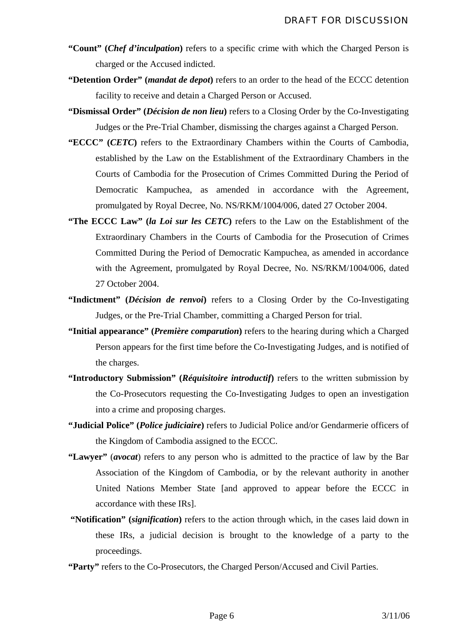- **"Count" (***Chef d'inculpation***)** refers to a specific crime with which the Charged Person is charged or the Accused indicted.
- **"Detention Order" (***mandat de depot***)** refers to an order to the head of the ECCC detention facility to receive and detain a Charged Person or Accused.
- "Dismissal Order" (*Décision de non lieu*) refers to a Closing Order by the Co-Investigating Judges or the Pre-Trial Chamber, dismissing the charges against a Charged Person.
- **"ECCC" (***CETC***)** refers to the Extraordinary Chambers within the Courts of Cambodia, established by the Law on the Establishment of the Extraordinary Chambers in the Courts of Cambodia for the Prosecution of Crimes Committed During the Period of Democratic Kampuchea, as amended in accordance with the Agreement, promulgated by Royal Decree, No. NS/RKM/1004/006, dated 27 October 2004.
- "The ECCC Law" (*la Loi sur les CETC*) refers to the Law on the Establishment of the Extraordinary Chambers in the Courts of Cambodia for the Prosecution of Crimes Committed During the Period of Democratic Kampuchea, as amended in accordance with the Agreement, promulgated by Royal Decree, No. NS/RKM/1004/006, dated 27 October 2004.
- **"Indictment" (***Décision de renvoi***)** refers to a Closing Order by the Co-Investigating Judges, or the Pre-Trial Chamber, committing a Charged Person for trial.
- **"Initial appearance" (***Première comparution***)** refers to the hearing during which a Charged Person appears for the first time before the Co-Investigating Judges, and is notified of the charges.
- **"Introductory Submission" (***Réquisitoire introductif***)** refers to the written submission by the Co-Prosecutors requesting the Co-Investigating Judges to open an investigation into a crime and proposing charges.
- **"Judicial Police" (***Police judiciaire***)** refers to Judicial Police and/or Gendarmerie officers of the Kingdom of Cambodia assigned to the ECCC.
- **"Lawyer"** (*avocat*) refers to any person who is admitted to the practice of law by the Bar Association of the Kingdom of Cambodia, or by the relevant authority in another United Nations Member State [and approved to appear before the ECCC in accordance with these IRs].
- **"Notification" (***signification***)** refers to the action through which, in the cases laid down in these IRs, a judicial decision is brought to the knowledge of a party to the proceedings.
- **"Party"** refers to the Co-Prosecutors, the Charged Person/Accused and Civil Parties.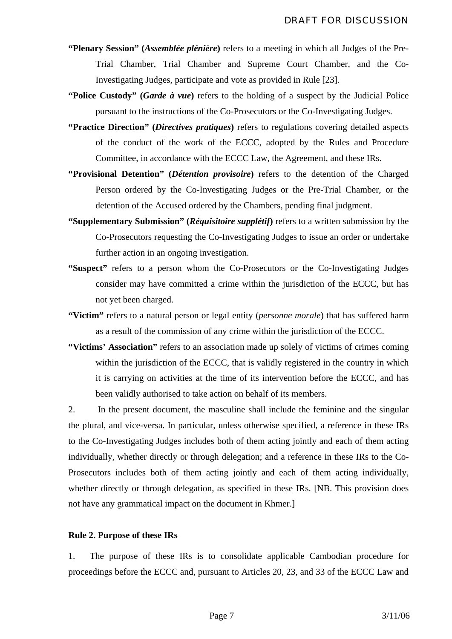- <span id="page-7-0"></span>**"Plenary Session" (***Assemblée plénière***)** refers to a meeting in which all Judges of the Pre-Trial Chamber, Trial Chamber and Supreme Court Chamber, and the Co-Investigating Judges, participate and vote as provided in Rule [23].
- **"Police Custody" (***Garde à vue***)** refers to the holding of a suspect by the Judicial Police pursuant to the instructions of the Co-Prosecutors or the Co-Investigating Judges.
- **"Practice Direction" (***Directives pratiques***)** refers to regulations covering detailed aspects of the conduct of the work of the ECCC, adopted by the Rules and Procedure Committee, in accordance with the ECCC Law, the Agreement, and these IRs.
- **"Provisional Detention" (***Détention provisoire***)** refers to the detention of the Charged Person ordered by the Co-Investigating Judges or the Pre-Trial Chamber, or the detention of the Accused ordered by the Chambers, pending final judgment.
- **"Supplementary Submission" (***Réquisitoire supplétif***)** refers to a written submission by the Co-Prosecutors requesting the Co-Investigating Judges to issue an order or undertake further action in an ongoing investigation.
- **"Suspect"** refers to a person whom the Co-Prosecutors or the Co-Investigating Judges consider may have committed a crime within the jurisdiction of the ECCC, but has not yet been charged.
- **"Victim"** refers to a natural person or legal entity (*personne morale*) that has suffered harm as a result of the commission of any crime within the jurisdiction of the ECCC.
- **"Victims' Association"** refers to an association made up solely of victims of crimes coming within the jurisdiction of the ECCC, that is validly registered in the country in which it is carrying on activities at the time of its intervention before the ECCC, and has been validly authorised to take action on behalf of its members.

2. In the present document, the masculine shall include the feminine and the singular the plural, and vice-versa. In particular, unless otherwise specified, a reference in these IRs to the Co-Investigating Judges includes both of them acting jointly and each of them acting individually, whether directly or through delegation; and a reference in these IRs to the Co-Prosecutors includes both of them acting jointly and each of them acting individually, whether directly or through delegation, as specified in these IRs. [NB. This provision does not have any grammatical impact on the document in Khmer.]

#### **Rule 2. Purpose of these IRs**

1. The purpose of these IRs is to consolidate applicable Cambodian procedure for proceedings before the ECCC and, pursuant to Articles 20, 23, and 33 of the ECCC Law and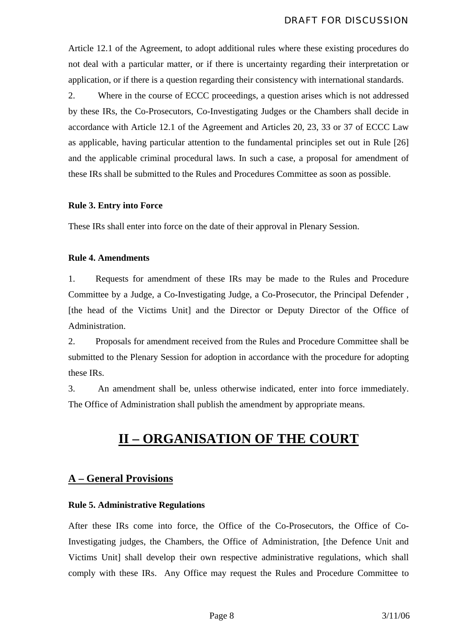<span id="page-8-0"></span>Article 12.1 of the Agreement, to adopt additional rules where these existing procedures do not deal with a particular matter, or if there is uncertainty regarding their interpretation or application, or if there is a question regarding their consistency with international standards.

2. Where in the course of ECCC proceedings, a question arises which is not addressed by these IRs, the Co-Prosecutors, Co-Investigating Judges or the Chambers shall decide in accordance with Article 12.1 of the Agreement and Articles 20, 23, 33 or 37 of ECCC Law as applicable, having particular attention to the fundamental principles set out in Rule [26] and the applicable criminal procedural laws. In such a case, a proposal for amendment of these IRs shall be submitted to the Rules and Procedures Committee as soon as possible.

#### **Rule 3. Entry into Force**

These IRs shall enter into force on the date of their approval in Plenary Session.

#### **Rule 4. Amendments**

1. Requests for amendment of these IRs may be made to the Rules and Procedure Committee by a Judge, a Co-Investigating Judge, a Co-Prosecutor, the Principal Defender , [the head of the Victims Unit] and the Director or Deputy Director of the Office of Administration.

2. Proposals for amendment received from the Rules and Procedure Committee shall be submitted to the Plenary Session for adoption in accordance with the procedure for adopting these IRs.

3. An amendment shall be, unless otherwise indicated, enter into force immediately. The Office of Administration shall publish the amendment by appropriate means.

## **II – ORGANISATION OF THE COURT**

#### **A – General Provisions**

#### **Rule 5. Administrative Regulations**

After these IRs come into force, the Office of the Co-Prosecutors, the Office of Co-Investigating judges, the Chambers, the Office of Administration, [the Defence Unit and Victims Unit] shall develop their own respective administrative regulations, which shall comply with these IRs. Any Office may request the Rules and Procedure Committee to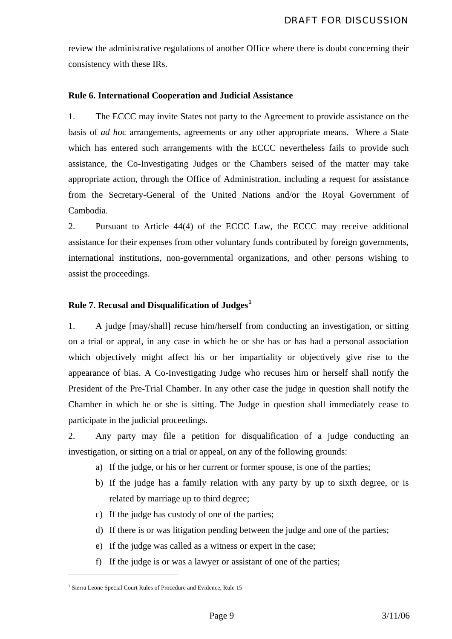<span id="page-9-0"></span>review the administrative regulations of another Office where there is doubt concerning their consistency with these IRs.

#### **Rule 6. International Cooperation and Judicial Assistance**

1. The ECCC may invite States not party to the Agreement to provide assistance on the basis of *ad hoc* arrangements, agreements or any other appropriate means. Where a State which has entered such arrangements with the ECCC nevertheless fails to provide such assistance, the Co-Investigating Judges or the Chambers seised of the matter may take appropriate action, through the Office of Administration, including a request for assistance from the Secretary-General of the United Nations and/or the Royal Government of Cambodia.

2. Pursuant to Article 44(4) of the ECCC Law, the ECCC may receive additional assistance for their expenses from other voluntary funds contributed by foreign governments, international institutions, non-governmental organizations, and other persons wishing to assist the proceedings.

#### **Rule 7. Recusal and Disqualification of Judges[1](#page-9-1)**

1. A judge [may/shall] recuse him/herself from conducting an investigation, or sitting on a trial or appeal, in any case in which he or she has or has had a personal association which objectively might affect his or her impartiality or objectively give rise to the appearance of bias. A Co-Investigating Judge who recuses him or herself shall notify the President of the Pre-Trial Chamber. In any other case the judge in question shall notify the Chamber in which he or she is sitting. The Judge in question shall immediately cease to participate in the judicial proceedings.

2. Any party may file a petition for disqualification of a judge conducting an investigation, or sitting on a trial or appeal, on any of the following grounds:

- a) If the judge, or his or her current or former spouse, is one of the parties;
- b) If the judge has a family relation with any party by up to sixth degree, or is related by marriage up to third degree;
- c) If the judge has custody of one of the parties;
- d) If there is or was litigation pending between the judge and one of the parties;
- e) If the judge was called as a witness or expert in the case;
- f) If the judge is or was a lawyer or assistant of one of the parties;

<span id="page-9-1"></span><sup>&</sup>lt;sup>1</sup> Sierra Leone Special Court Rules of Procedure and Evidence, Rule 15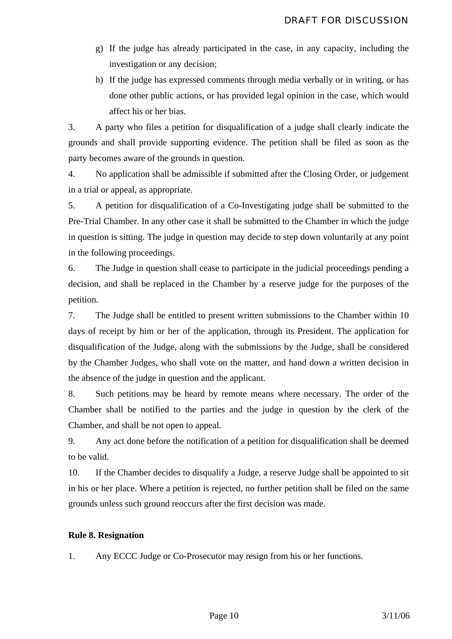- <span id="page-10-0"></span>g) If the judge has already participated in the case, in any capacity, including the investigation or any decision;
- h) If the judge has expressed comments through media verbally or in writing, or has done other public actions, or has provided legal opinion in the case, which would affect his or her bias.

3. A party who files a petition for disqualification of a judge shall clearly indicate the grounds and shall provide supporting evidence. The petition shall be filed as soon as the party becomes aware of the grounds in question.

4. No application shall be admissible if submitted after the Closing Order, or judgement in a trial or appeal, as appropriate.

5. A petition for disqualification of a Co-Investigating judge shall be submitted to the Pre-Trial Chamber. In any other case it shall be submitted to the Chamber in which the judge in question is sitting. The judge in question may decide to step down voluntarily at any point in the following proceedings.

6. The Judge in question shall cease to participate in the judicial proceedings pending a decision, and shall be replaced in the Chamber by a reserve judge for the purposes of the petition.

7. The Judge shall be entitled to present written submissions to the Chamber within 10 days of receipt by him or her of the application, through its President. The application for disqualification of the Judge, along with the submissions by the Judge, shall be considered by the Chamber Judges, who shall vote on the matter, and hand down a written decision in the absence of the judge in question and the applicant.

8. Such petitions may be heard by remote means where necessary. The order of the Chamber shall be notified to the parties and the judge in question by the clerk of the Chamber, and shall be not open to appeal.

9. Any act done before the notification of a petition for disqualification shall be deemed to be valid.

10. If the Chamber decides to disqualify a Judge, a reserve Judge shall be appointed to sit in his or her place. Where a petition is rejected, no further petition shall be filed on the same grounds unless such ground reoccurs after the first decision was made.

#### **Rule 8. Resignation**

1. Any ECCC Judge or Co-Prosecutor may resign from his or her functions.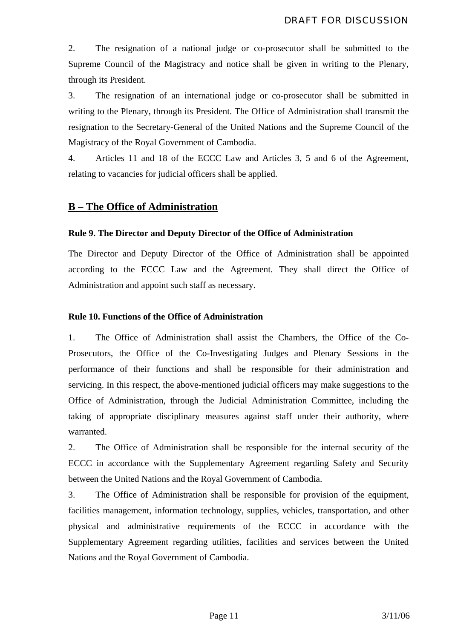<span id="page-11-0"></span>2. The resignation of a national judge or co-prosecutor shall be submitted to the Supreme Council of the Magistracy and notice shall be given in writing to the Plenary, through its President.

3. The resignation of an international judge or co-prosecutor shall be submitted in writing to the Plenary, through its President. The Office of Administration shall transmit the resignation to the Secretary-General of the United Nations and the Supreme Council of the Magistracy of the Royal Government of Cambodia.

4. Articles 11 and 18 of the ECCC Law and Articles 3, 5 and 6 of the Agreement, relating to vacancies for judicial officers shall be applied.

#### **B – The Office of Administration**

#### **Rule 9. The Director and Deputy Director of the Office of Administration**

The Director and Deputy Director of the Office of Administration shall be appointed according to the ECCC Law and the Agreement. They shall direct the Office of Administration and appoint such staff as necessary.

#### **Rule 10. Functions of the Office of Administration**

1. The Office of Administration shall assist the Chambers, the Office of the Co-Prosecutors, the Office of the Co-Investigating Judges and Plenary Sessions in the performance of their functions and shall be responsible for their administration and servicing. In this respect, the above-mentioned judicial officers may make suggestions to the Office of Administration, through the Judicial Administration Committee, including the taking of appropriate disciplinary measures against staff under their authority, where warranted.

2. The Office of Administration shall be responsible for the internal security of the ECCC in accordance with the Supplementary Agreement regarding Safety and Security between the United Nations and the Royal Government of Cambodia.

3. The Office of Administration shall be responsible for provision of the equipment, facilities management, information technology, supplies, vehicles, transportation, and other physical and administrative requirements of the ECCC in accordance with the Supplementary Agreement regarding utilities, facilities and services between the United Nations and the Royal Government of Cambodia.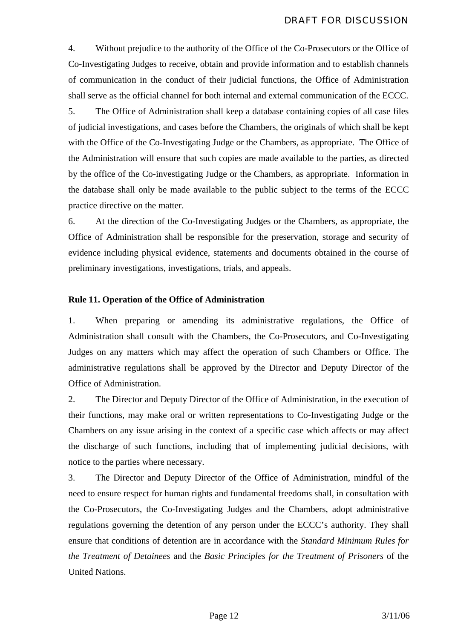<span id="page-12-0"></span>4. Without prejudice to the authority of the Office of the Co-Prosecutors or the Office of Co-Investigating Judges to receive, obtain and provide information and to establish channels of communication in the conduct of their judicial functions, the Office of Administration shall serve as the official channel for both internal and external communication of the ECCC.

5. The Office of Administration shall keep a database containing copies of all case files of judicial investigations, and cases before the Chambers, the originals of which shall be kept with the Office of the Co-Investigating Judge or the Chambers, as appropriate. The Office of the Administration will ensure that such copies are made available to the parties, as directed by the office of the Co-investigating Judge or the Chambers, as appropriate. Information in the database shall only be made available to the public subject to the terms of the ECCC practice directive on the matter.

6. At the direction of the Co-Investigating Judges or the Chambers, as appropriate, the Office of Administration shall be responsible for the preservation, storage and security of evidence including physical evidence, statements and documents obtained in the course of preliminary investigations, investigations, trials, and appeals.

#### **Rule 11. Operation of the Office of Administration**

1. When preparing or amending its administrative regulations, the Office of Administration shall consult with the Chambers, the Co-Prosecutors, and Co-Investigating Judges on any matters which may affect the operation of such Chambers or Office. The administrative regulations shall be approved by the Director and Deputy Director of the Office of Administration.

2. The Director and Deputy Director of the Office of Administration, in the execution of their functions, may make oral or written representations to Co-Investigating Judge or the Chambers on any issue arising in the context of a specific case which affects or may affect the discharge of such functions, including that of implementing judicial decisions, with notice to the parties where necessary.

3. The Director and Deputy Director of the Office of Administration, mindful of the need to ensure respect for human rights and fundamental freedoms shall, in consultation with the Co-Prosecutors, the Co-Investigating Judges and the Chambers, adopt administrative regulations governing the detention of any person under the ECCC's authority. They shall ensure that conditions of detention are in accordance with the *Standard Minimum Rules for the Treatment of Detainees* and the *Basic Principles for the Treatment of Prisoners* of the United Nations.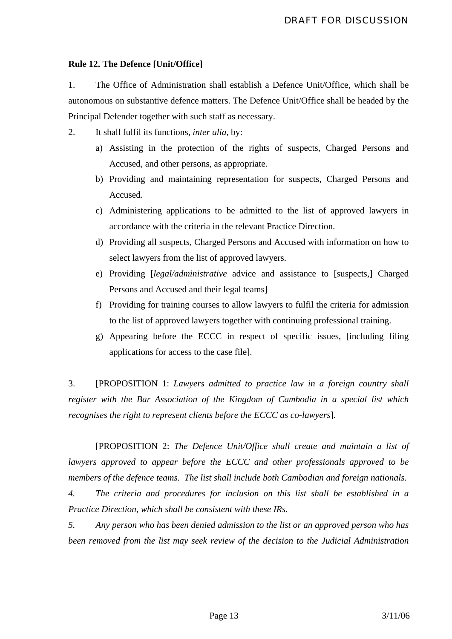#### <span id="page-13-0"></span>**Rule 12. The Defence [Unit/Office]**

1. The Office of Administration shall establish a Defence Unit/Office, which shall be autonomous on substantive defence matters. The Defence Unit/Office shall be headed by the Principal Defender together with such staff as necessary.

2. It shall fulfil its functions, *inter alia*, by:

- a) Assisting in the protection of the rights of suspects, Charged Persons and Accused, and other persons, as appropriate.
- b) Providing and maintaining representation for suspects, Charged Persons and Accused.
- c) Administering applications to be admitted to the list of approved lawyers in accordance with the criteria in the relevant Practice Direction.
- d) Providing all suspects, Charged Persons and Accused with information on how to select lawyers from the list of approved lawyers.
- e) Providing [*legal/administrative* advice and assistance to [suspects,] Charged Persons and Accused and their legal teams]
- f) Providing for training courses to allow lawyers to fulfil the criteria for admission to the list of approved lawyers together with continuing professional training.
- g) Appearing before the ECCC in respect of specific issues, [including filing applications for access to the case file].

3. [PROPOSITION 1: *Lawyers admitted to practice law in a foreign country shall register with the Bar Association of the Kingdom of Cambodia in a special list which recognises the right to represent clients before the ECCC as co-lawyers*].

 [PROPOSITION 2: *The Defence Unit/Office shall create and maintain a list of lawyers approved to appear before the ECCC and other professionals approved to be members of the defence teams. The list shall include both Cambodian and foreign nationals.*

*4. The criteria and procedures for inclusion on this list shall be established in a Practice Direction, which shall be consistent with these IRs.* 

*5. Any person who has been denied admission to the list or an approved person who has been removed from the list may seek review of the decision to the Judicial Administration*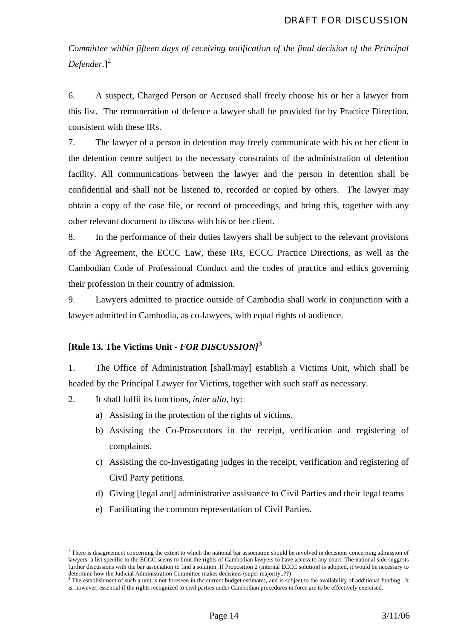<span id="page-14-0"></span>*Committee within fifteen days of receiving notification of the final decision of the Principal Defender.*] [2](#page-14-1)

6. A suspect, Charged Person or Accused shall freely choose his or her a lawyer from this list. The remuneration of defence a lawyer shall be provided for by Practice Direction, consistent with these IRs.

7. The lawyer of a person in detention may freely communicate with his or her client in the detention centre subject to the necessary constraints of the administration of detention facility. All communications between the lawyer and the person in detention shall be confidential and shall not be listened to, recorded or copied by others. The lawyer may obtain a copy of the case file, or record of proceedings, and bring this, together with any other relevant document to discuss with his or her client.

8. In the performance of their duties lawyers shall be subject to the relevant provisions of the Agreement, the ECCC Law, these IRs, ECCC Practice Directions, as well as the Cambodian Code of Professional Conduct and the codes of practice and ethics governing their profession in their country of admission.

9. Lawyers admitted to practice outside of Cambodia shall work in conjunction with a lawyer admitted in Cambodia, as co-lawyers, with equal rights of audience.

#### **[Rule 13. The Victims Unit** *- FOR DISCUSSION]***[3](#page-14-2)**

1. The Office of Administration [shall/may] establish a Victims Unit, which shall be headed by the Principal Lawyer for Victims, together with such staff as necessary.

2. It shall fulfil its functions, *inter alia*, by:

<u>.</u>

- a) Assisting in the protection of the rights of victims.
- b) Assisting the Co-Prosecutors in the receipt, verification and registering of complaints.
- c) Assisting the co-Investigating judges in the receipt, verification and registering of Civil Party petitions.
- d) Giving [legal and] administrative assistance to Civil Parties and their legal teams
- e) Facilitating the common representation of Civil Parties.

<span id="page-14-1"></span> $2$  There is disagreement concerning the extent to which the national bar association should be involved in decisions concerning admission of lawyers: a list specific to the ECCC seems to limit the rights of Cambodian lawyers to have access to any court. The national side suggests further discussions with the bar association to find a solution. If Proposition 2 (internal ECCC solution) is adopted, it would be necessary to determine how the Judicial Administration Committee makes decisions (super majority..??)<br><sup>3</sup> The establishment of such a unit is not foreseen in the current budget estimates, and is subject to the availability of additiona

<span id="page-14-2"></span>is, however, essential if the rights recognized to civil parties under Cambodian procedures in force are to be effectively exercised.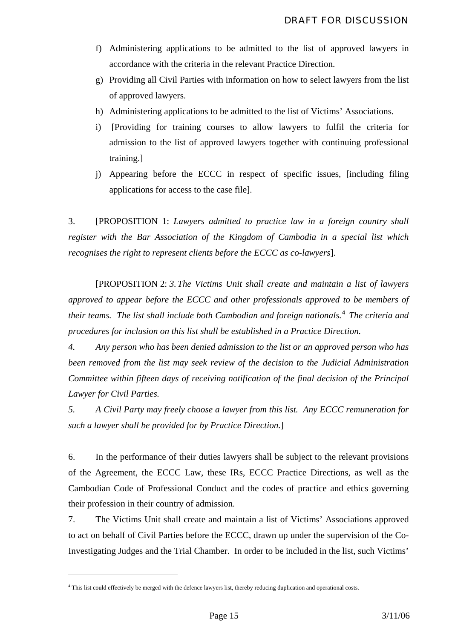- f) Administering applications to be admitted to the list of approved lawyers in accordance with the criteria in the relevant Practice Direction.
- g) Providing all Civil Parties with information on how to select lawyers from the list of approved lawyers.
- h) Administering applications to be admitted to the list of Victims' Associations.
- i) [Providing for training courses to allow lawyers to fulfil the criteria for admission to the list of approved lawyers together with continuing professional training.]
- j) Appearing before the ECCC in respect of specific issues, [including filing applications for access to the case file].

3. [PROPOSITION 1: *Lawyers admitted to practice law in a foreign country shall register with the Bar Association of the Kingdom of Cambodia in a special list which recognises the right to represent clients before the ECCC as co-lawyers*].

 [PROPOSITION 2: *3. The Victims Unit shall create and maintain a list of lawyers approved to appear before the ECCC and other professionals approved to be members of their teams. The list shall include both Cambodian and foreign nationals.[4](#page-15-0) The criteria and procedures for inclusion on this list shall be established in a Practice Direction.* 

*4. Any person who has been denied admission to the list or an approved person who has been removed from the list may seek review of the decision to the Judicial Administration Committee within fifteen days of receiving notification of the final decision of the Principal Lawyer for Civil Parties.*

*5. A Civil Party may freely choose a lawyer from this list. Any ECCC remuneration for such a lawyer shall be provided for by Practice Direction.*]

6. In the performance of their duties lawyers shall be subject to the relevant provisions of the Agreement, the ECCC Law, these IRs, ECCC Practice Directions, as well as the Cambodian Code of Professional Conduct and the codes of practice and ethics governing their profession in their country of admission.

7. The Victims Unit shall create and maintain a list of Victims' Associations approved to act on behalf of Civil Parties before the ECCC, drawn up under the supervision of the Co-Investigating Judges and the Trial Chamber. In order to be included in the list, such Victims'

<span id="page-15-0"></span><sup>&</sup>lt;sup>4</sup> This list could effectively be merged with the defence lawyers list, thereby reducing duplication and operational costs.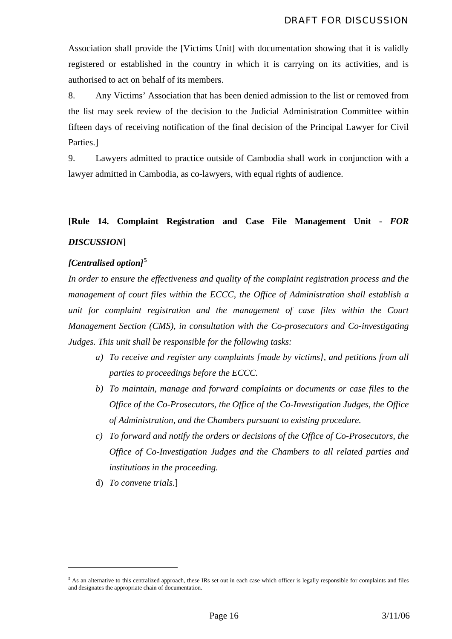<span id="page-16-0"></span>Association shall provide the [Victims Unit] with documentation showing that it is validly registered or established in the country in which it is carrying on its activities, and is authorised to act on behalf of its members.

8. Any Victims' Association that has been denied admission to the list or removed from the list may seek review of the decision to the Judicial Administration Committee within fifteen days of receiving notification of the final decision of the Principal Lawyer for Civil Parties.]

9. Lawyers admitted to practice outside of Cambodia shall work in conjunction with a lawyer admitted in Cambodia, as co-lawyers, with equal rights of audience.

## **[Rule 14. Complaint Registration and Case File Management Unit -** *FOR DISCUSSION***]**

#### *[Centralised option]***[5](#page-16-1)**

*In order to ensure the effectiveness and quality of the complaint registration process and the management of court files within the ECCC, the Office of Administration shall establish a unit for complaint registration and the management of case files within the Court Management Section (CMS), in consultation with the Co-prosecutors and Co-investigating Judges. This unit shall be responsible for the following tasks:* 

- *a) To receive and register any complaints [made by victims], and petitions from all parties to proceedings before the ECCC.*
- *b) To maintain, manage and forward complaints or documents or case files to the Office of the Co-Prosecutors, the Office of the Co-Investigation Judges, the Office of Administration, and the Chambers pursuant to existing procedure.*
- *c) To forward and notify the orders or decisions of the Office of Co-Prosecutors, the Office of Co-Investigation Judges and the Chambers to all related parties and institutions in the proceeding.*
- d) *To convene trials.*]

<span id="page-16-1"></span> $5$  As an alternative to this centralized approach, these IRs set out in each case which officer is legally responsible for complaints and files and designates the appropriate chain of documentation.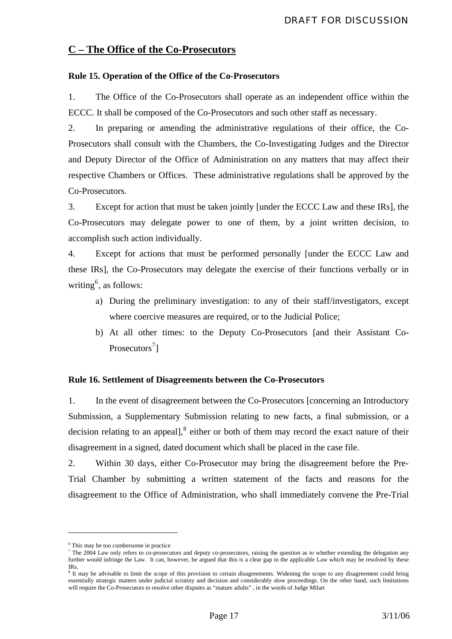#### <span id="page-17-0"></span>**C – The Office of the Co-Prosecutors**

#### **Rule 15. Operation of the Office of the Co-Prosecutors**

1. The Office of the Co-Prosecutors shall operate as an independent office within the ECCC. It shall be composed of the Co-Prosecutors and such other staff as necessary.

2. In preparing or amending the administrative regulations of their office, the Co-Prosecutors shall consult with the Chambers, the Co-Investigating Judges and the Director and Deputy Director of the Office of Administration on any matters that may affect their respective Chambers or Offices. These administrative regulations shall be approved by the Co-Prosecutors.

3. Except for action that must be taken jointly [under the ECCC Law and these IRs], the Co-Prosecutors may delegate power to one of them, by a joint written decision, to accomplish such action individually.

4. Except for actions that must be performed personally [under the ECCC Law and these IRs], the Co-Prosecutors may delegate the exercise of their functions verbally or in writing<sup>[6](#page-17-1)</sup>, as follows:

- a) During the preliminary investigation: to any of their staff/investigators, except where coercive measures are required, or to the Judicial Police;
- b) At all other times: to the Deputy Co-Prosecutors [and their Assistant Co-Prosecutors<sup>[7](#page-17-2)</sup>]

#### **Rule 16. Settlement of Disagreements between the Co-Prosecutors**

1. In the event of disagreement between the Co-Prosecutors [concerning an Introductory Submission, a Supplementary Submission relating to new facts, a final submission, or a decision relating to an appeal], $<sup>8</sup>$  $<sup>8</sup>$  $<sup>8</sup>$  either or both of them may record the exact nature of their</sup> disagreement in a signed, dated document which shall be placed in the case file.

2. Within 30 days, either Co-Prosecutor may bring the disagreement before the Pre-Trial Chamber by submitting a written statement of the facts and reasons for the disagreement to the Office of Administration, who shall immediately convene the Pre-Trial

<span id="page-17-2"></span><span id="page-17-1"></span> $^6$  This may be too cumbersome in practice<br>7 The 2004 Law only refers to co-prosecutors and deputy co-prosecutors, raising the question as to whether extending the delegation any further would infringe the Law. It can, however, be argued that this is a clear gap in the applicable Law which may be resolved by these IRs.

<span id="page-17-3"></span><sup>&</sup>lt;sup>8</sup> It may be advisable to limit the scope of this provision to certain disagreements. Widening the scope to any disagreement could bring essentially strategic matters under judicial scrutiny and decision and considerably slow proceedings. On the other hand, such limitations will require the Co-Prosecutors to resolve other disputes as "mature adults", in the words of Judge Milart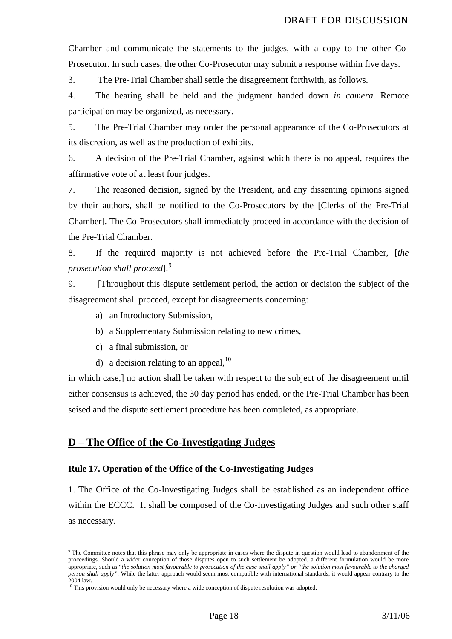<span id="page-18-0"></span>Chamber and communicate the statements to the judges, with a copy to the other Co-Prosecutor. In such cases, the other Co-Prosecutor may submit a response within five days.

3. The Pre-Trial Chamber shall settle the disagreement forthwith, as follows.

4. The hearing shall be held and the judgment handed down *in camera*. Remote participation may be organized, as necessary.

5. The Pre-Trial Chamber may order the personal appearance of the Co-Prosecutors at its discretion, as well as the production of exhibits.

6. A decision of the Pre-Trial Chamber, against which there is no appeal, requires the affirmative vote of at least four judges.

7. The reasoned decision, signed by the President, and any dissenting opinions signed by their authors, shall be notified to the Co-Prosecutors by the [Clerks of the Pre-Trial Chamber]. The Co-Prosecutors shall immediately proceed in accordance with the decision of the Pre-Trial Chamber.

8. If the required majority is not achieved before the Pre-Trial Chamber, [*the prosecution shall proceed*].[9](#page-18-1)

9. [Throughout this dispute settlement period, the action or decision the subject of the disagreement shall proceed, except for disagreements concerning:

a) an Introductory Submission,

- b) a Supplementary Submission relating to new crimes,
- c) a final submission, or

<u>.</u>

d) a decision relating to an appeal,  $10$ 

in which case,] no action shall be taken with respect to the subject of the disagreement until either consensus is achieved, the 30 day period has ended, or the Pre-Trial Chamber has been seised and the dispute settlement procedure has been completed, as appropriate.

#### **D – The Office of the Co-Investigating Judges**

#### **Rule 17. Operation of the Office of the Co-Investigating Judges**

1. The Office of the Co-Investigating Judges shall be established as an independent office within the ECCC. It shall be composed of the Co-Investigating Judges and such other staff as necessary.

<span id="page-18-1"></span><sup>&</sup>lt;sup>9</sup> The Committee notes that this phrase may only be appropriate in cases where the dispute in question would lead to abandonment of the proceedings. Should a wider conception of those disputes open to such settlement be adopted, a different formulation would be more appropriate, such as "*the solution most favourable to prosecution of the case shall apply" or "the solution most favourable to the charged person shall apply"*. While the latter approach would seem most compatible with international standards, it would appear contrary to the 2004 law.

<span id="page-18-2"></span> $10$  This provision would only be necessary where a wide conception of dispute resolution was adopted.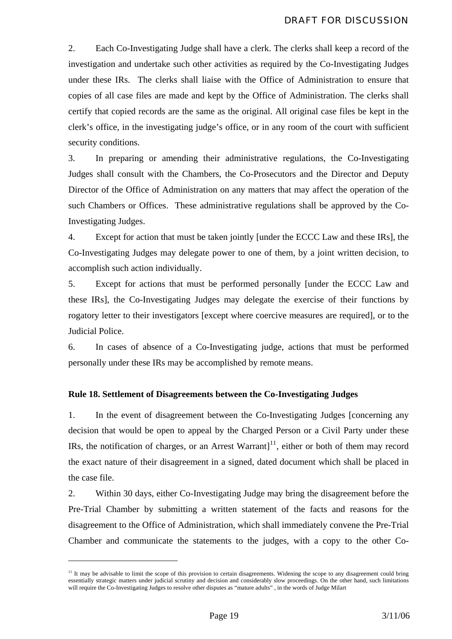<span id="page-19-0"></span>2. Each Co-Investigating Judge shall have a clerk. The clerks shall keep a record of the investigation and undertake such other activities as required by the Co-Investigating Judges under these IRs. The clerks shall liaise with the Office of Administration to ensure that copies of all case files are made and kept by the Office of Administration. The clerks shall certify that copied records are the same as the original. All original case files be kept in the clerk's office, in the investigating judge's office, or in any room of the court with sufficient security conditions.

3. In preparing or amending their administrative regulations, the Co-Investigating Judges shall consult with the Chambers, the Co-Prosecutors and the Director and Deputy Director of the Office of Administration on any matters that may affect the operation of the such Chambers or Offices. These administrative regulations shall be approved by the Co-Investigating Judges.

4. Except for action that must be taken jointly [under the ECCC Law and these IRs], the Co-Investigating Judges may delegate power to one of them, by a joint written decision, to accomplish such action individually.

5. Except for actions that must be performed personally [under the ECCC Law and these IRs], the Co-Investigating Judges may delegate the exercise of their functions by rogatory letter to their investigators [except where coercive measures are required], or to the Judicial Police.

6. In cases of absence of a Co-Investigating judge, actions that must be performed personally under these IRs may be accomplished by remote means.

#### **Rule 18. Settlement of Disagreements between the Co-Investigating Judges**

1. In the event of disagreement between the Co-Investigating Judges [concerning any decision that would be open to appeal by the Charged Person or a Civil Party under these IRs, the notification of charges, or an Arrest Warrant $]$ <sup>[11](#page-19-1)</sup>, either or both of them may record the exact nature of their disagreement in a signed, dated document which shall be placed in the case file.

2. Within 30 days, either Co-Investigating Judge may bring the disagreement before the Pre-Trial Chamber by submitting a written statement of the facts and reasons for the disagreement to the Office of Administration, which shall immediately convene the Pre-Trial Chamber and communicate the statements to the judges, with a copy to the other Co-

<span id="page-19-1"></span> $11$  It may be advisable to limit the scope of this provision to certain disagreements. Widening the scope to any disagreement could bring essentially strategic matters under judicial scrutiny and decision and considerably slow proceedings. On the other hand, such limitations will require the Co-Investigating Judges to resolve other disputes as "mature adults" , in the words of Judge Milart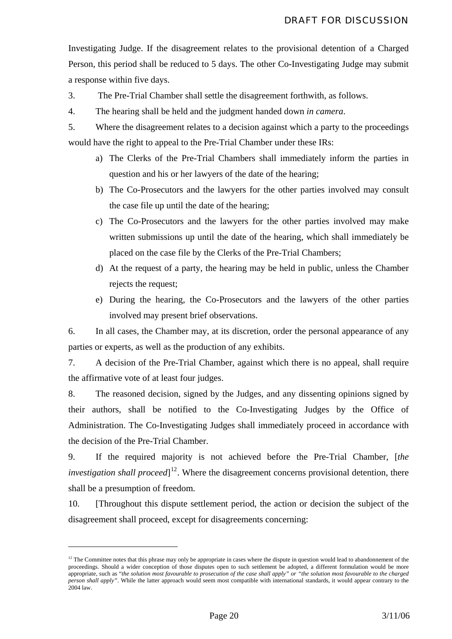Investigating Judge. If the disagreement relates to the provisional detention of a Charged Person, this period shall be reduced to 5 days. The other Co-Investigating Judge may submit a response within five days.

3. The Pre-Trial Chamber shall settle the disagreement forthwith, as follows.

4. The hearing shall be held and the judgment handed down *in camera*.

- 5. Where the disagreement relates to a decision against which a party to the proceedings would have the right to appeal to the Pre-Trial Chamber under these IRs:
	- a) The Clerks of the Pre-Trial Chambers shall immediately inform the parties in question and his or her lawyers of the date of the hearing;
	- b) The Co-Prosecutors and the lawyers for the other parties involved may consult the case file up until the date of the hearing;
	- c) The Co-Prosecutors and the lawyers for the other parties involved may make written submissions up until the date of the hearing, which shall immediately be placed on the case file by the Clerks of the Pre-Trial Chambers;
	- d) At the request of a party, the hearing may be held in public, unless the Chamber rejects the request;
	- e) During the hearing, the Co-Prosecutors and the lawyers of the other parties involved may present brief observations.

6. In all cases, the Chamber may, at its discretion, order the personal appearance of any parties or experts, as well as the production of any exhibits.

7. A decision of the Pre-Trial Chamber, against which there is no appeal, shall require the affirmative vote of at least four judges.

8. The reasoned decision, signed by the Judges, and any dissenting opinions signed by their authors, shall be notified to the Co-Investigating Judges by the Office of Administration. The Co-Investigating Judges shall immediately proceed in accordance with the decision of the Pre-Trial Chamber.

9. If the required majority is not achieved before the Pre-Trial Chamber, [*the investigation shall proceed*]<sup>[12](#page-20-0)</sup>. Where the disagreement concerns provisional detention, there shall be a presumption of freedom.

10. [Throughout this dispute settlement period, the action or decision the subject of the disagreement shall proceed, except for disagreements concerning:

<span id="page-20-0"></span> $12$  The Committee notes that this phrase may only be appropriate in cases where the dispute in question would lead to abandonnement of the proceedings. Should a wider conception of those disputes open to such settlement be adopted, a different formulation would be more appropriate, such as "*the solution most favourable to prosecution of the case shall apply" or "the solution most favourable to the charged person shall apply"*. While the latter approach would seem most compatible with international standards, it would appear contrary to the  $2004$  law.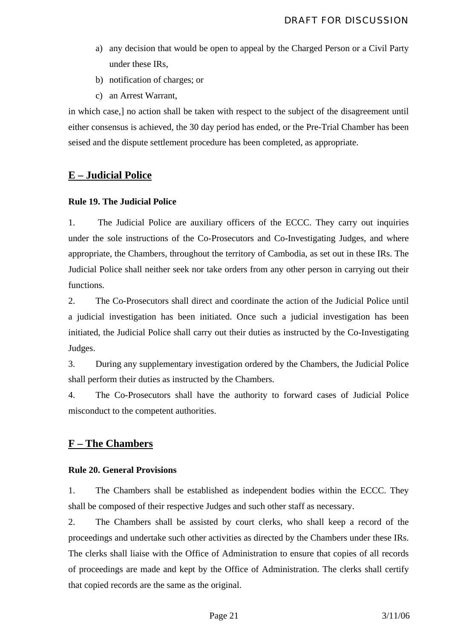- <span id="page-21-0"></span>a) any decision that would be open to appeal by the Charged Person or a Civil Party under these IRs,
- b) notification of charges; or
- c) an Arrest Warrant,

in which case,] no action shall be taken with respect to the subject of the disagreement until either consensus is achieved, the 30 day period has ended, or the Pre-Trial Chamber has been seised and the dispute settlement procedure has been completed, as appropriate.

#### **E – Judicial Police**

#### **Rule 19. The Judicial Police**

1. The Judicial Police are auxiliary officers of the ECCC. They carry out inquiries under the sole instructions of the Co-Prosecutors and Co-Investigating Judges, and where appropriate, the Chambers, throughout the territory of Cambodia, as set out in these IRs. The Judicial Police shall neither seek nor take orders from any other person in carrying out their functions.

2. The Co-Prosecutors shall direct and coordinate the action of the Judicial Police until a judicial investigation has been initiated. Once such a judicial investigation has been initiated, the Judicial Police shall carry out their duties as instructed by the Co-Investigating Judges.

3. During any supplementary investigation ordered by the Chambers, the Judicial Police shall perform their duties as instructed by the Chambers.

4. The Co-Prosecutors shall have the authority to forward cases of Judicial Police misconduct to the competent authorities.

#### **F – The Chambers**

#### **Rule 20. General Provisions**

1. The Chambers shall be established as independent bodies within the ECCC. They shall be composed of their respective Judges and such other staff as necessary.

2. The Chambers shall be assisted by court clerks, who shall keep a record of the proceedings and undertake such other activities as directed by the Chambers under these IRs. The clerks shall liaise with the Office of Administration to ensure that copies of all records of proceedings are made and kept by the Office of Administration. The clerks shall certify that copied records are the same as the original.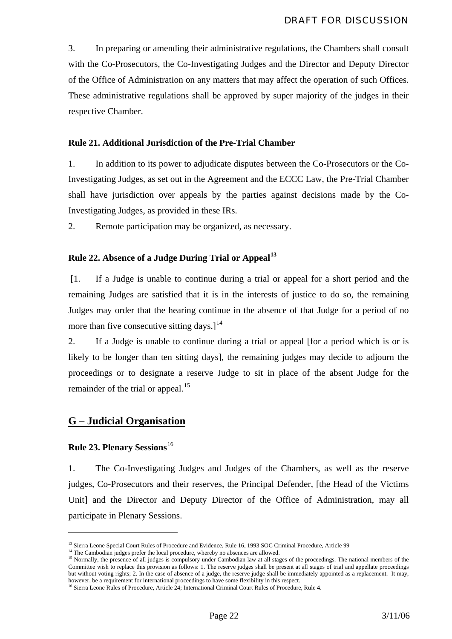<span id="page-22-0"></span>3. In preparing or amending their administrative regulations, the Chambers shall consult with the Co-Prosecutors, the Co-Investigating Judges and the Director and Deputy Director of the Office of Administration on any matters that may affect the operation of such Offices. These administrative regulations shall be approved by super majority of the judges in their respective Chamber.

#### **Rule 21. Additional Jurisdiction of the Pre-Trial Chamber**

1. In addition to its power to adjudicate disputes between the Co-Prosecutors or the Co-Investigating Judges, as set out in the Agreement and the ECCC Law, the Pre-Trial Chamber shall have jurisdiction over appeals by the parties against decisions made by the Co-Investigating Judges, as provided in these IRs.

2. Remote participation may be organized, as necessary.

#### **Rule 22. Absence of a Judge During Trial or Appeal[13](#page-22-1)**

[1. If a Judge is unable to continue during a trial or appeal for a short period and the remaining Judges are satisfied that it is in the interests of justice to do so, the remaining Judges may order that the hearing continue in the absence of that Judge for a period of no more than five consecutive sitting days. $1^{14}$  $1^{14}$  $1^{14}$ 

2. If a Judge is unable to continue during a trial or appeal [for a period which is or is likely to be longer than ten sitting days], the remaining judges may decide to adjourn the proceedings or to designate a reserve Judge to sit in place of the absent Judge for the remainder of the trial or appeal.<sup>[15](#page-22-3)</sup>

#### **G – Judicial Organisation**

#### **Rule 23. Plenary Sessions**[16](#page-22-4)

1

1. The Co-Investigating Judges and Judges of the Chambers, as well as the reserve judges, Co-Prosecutors and their reserves, the Principal Defender, [the Head of the Victims Unit] and the Director and Deputy Director of the Office of Administration, may all participate in Plenary Sessions.

<span id="page-22-3"></span>

<span id="page-22-2"></span><span id="page-22-1"></span><sup>&</sup>lt;sup>13</sup> Sierra Leone Special Court Rules of Procedure and Evidence, Rule 16, 1993 SOC Criminal Procedure, Article 99<br><sup>14</sup> The Cambodian judges prefer the local procedure, whereby no absences are allowed.<br><sup>15</sup> Normally, the p Committee wish to replace this provision as follows: 1. The reserve judges shall be present at all stages of trial and appellate proceedings but without voting rights; 2. In the case of absence of a judge, the reserve judge shall be immediately appointed as a replacement. It may, however, be a requirement for international proceedings to have some flexibility in this respect.<br><sup>16</sup> Sierra Leone Rules of Procedure, Article 24; International Criminal Court Rules of Procedure, Rule 4.

<span id="page-22-4"></span>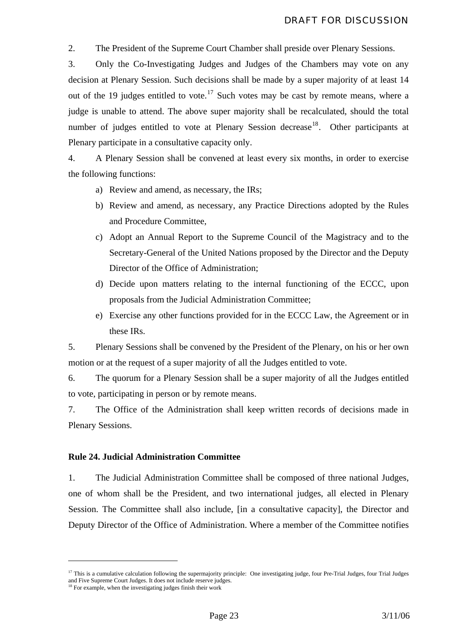<span id="page-23-0"></span>2. The President of the Supreme Court Chamber shall preside over Plenary Sessions.

3. Only the Co-Investigating Judges and Judges of the Chambers may vote on any decision at Plenary Session. Such decisions shall be made by a super majority of at least 14 out of the 19 judges entitled to vote.<sup>[17](#page-23-1)</sup> Such votes may be cast by remote means, where a judge is unable to attend. The above super majority shall be recalculated, should the total number of judges entitled to vote at Plenary Session decrease<sup>[18](#page-23-2)</sup>. Other participants at Plenary participate in a consultative capacity only.

4. A Plenary Session shall be convened at least every six months, in order to exercise the following functions:

a) Review and amend, as necessary, the IRs;

- b) Review and amend, as necessary, any Practice Directions adopted by the Rules and Procedure Committee,
- c) Adopt an Annual Report to the Supreme Council of the Magistracy and to the Secretary-General of the United Nations proposed by the Director and the Deputy Director of the Office of Administration;
- d) Decide upon matters relating to the internal functioning of the ECCC, upon proposals from the Judicial Administration Committee;
- e) Exercise any other functions provided for in the ECCC Law, the Agreement or in these IRs.

5. Plenary Sessions shall be convened by the President of the Plenary, on his or her own motion or at the request of a super majority of all the Judges entitled to vote.

6. The quorum for a Plenary Session shall be a super majority of all the Judges entitled to vote, participating in person or by remote means.

7. The Office of the Administration shall keep written records of decisions made in Plenary Sessions.

#### **Rule 24. Judicial Administration Committee**

1. The Judicial Administration Committee shall be composed of three national Judges, one of whom shall be the President, and two international judges, all elected in Plenary Session. The Committee shall also include, [in a consultative capacity], the Director and Deputy Director of the Office of Administration. Where a member of the Committee notifies

<span id="page-23-1"></span> $17$  This is a cumulative calculation following the supermajority principle: One investigating judge, four Pre-Trial Judges, four Trial Judges and Five Supreme Court Judges. It does not include reserve judges. <sup>18</sup> For example, when the investigating judges finish their work

<span id="page-23-2"></span>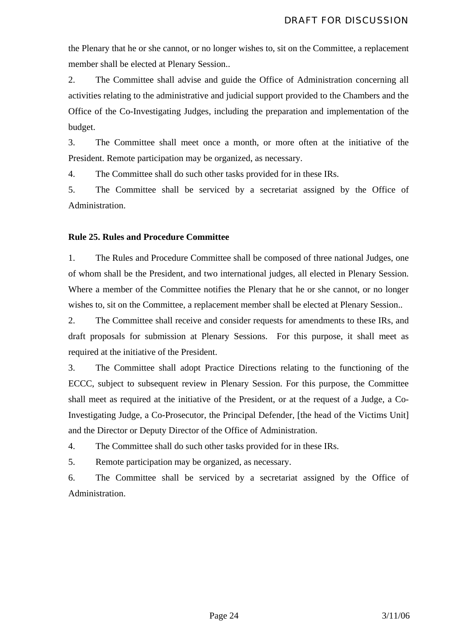<span id="page-24-0"></span>the Plenary that he or she cannot, or no longer wishes to, sit on the Committee, a replacement member shall be elected at Plenary Session..

2. The Committee shall advise and guide the Office of Administration concerning all activities relating to the administrative and judicial support provided to the Chambers and the Office of the Co-Investigating Judges, including the preparation and implementation of the budget.

3. The Committee shall meet once a month, or more often at the initiative of the President. Remote participation may be organized, as necessary.

4. The Committee shall do such other tasks provided for in these IRs.

5. The Committee shall be serviced by a secretariat assigned by the Office of Administration.

#### **Rule 25. Rules and Procedure Committee**

1. The Rules and Procedure Committee shall be composed of three national Judges, one of whom shall be the President, and two international judges, all elected in Plenary Session. Where a member of the Committee notifies the Plenary that he or she cannot, or no longer wishes to, sit on the Committee, a replacement member shall be elected at Plenary Session..

2. The Committee shall receive and consider requests for amendments to these IRs, and draft proposals for submission at Plenary Sessions. For this purpose, it shall meet as required at the initiative of the President.

3. The Committee shall adopt Practice Directions relating to the functioning of the ECCC, subject to subsequent review in Plenary Session. For this purpose, the Committee shall meet as required at the initiative of the President, or at the request of a Judge, a Co-Investigating Judge, a Co-Prosecutor, the Principal Defender, [the head of the Victims Unit] and the Director or Deputy Director of the Office of Administration.

4. The Committee shall do such other tasks provided for in these IRs.

5. Remote participation may be organized, as necessary.

6. The Committee shall be serviced by a secretariat assigned by the Office of Administration.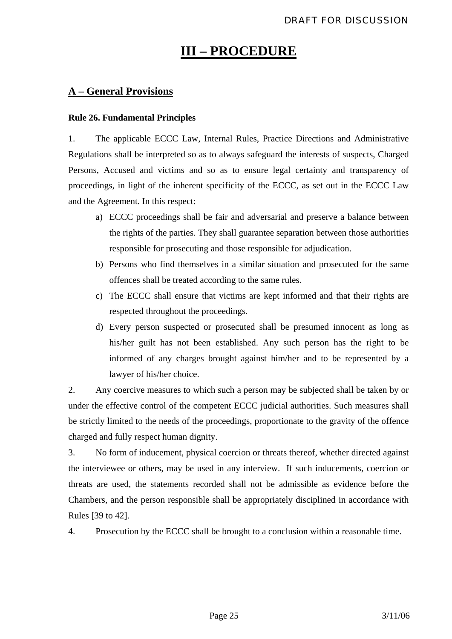### **III – PROCEDURE**

#### <span id="page-25-0"></span>**A – General Provisions**

#### **Rule 26. Fundamental Principles**

1. The applicable ECCC Law, Internal Rules, Practice Directions and Administrative Regulations shall be interpreted so as to always safeguard the interests of suspects, Charged Persons, Accused and victims and so as to ensure legal certainty and transparency of proceedings, in light of the inherent specificity of the ECCC, as set out in the ECCC Law and the Agreement. In this respect:

- a) ECCC proceedings shall be fair and adversarial and preserve a balance between the rights of the parties. They shall guarantee separation between those authorities responsible for prosecuting and those responsible for adjudication.
- b) Persons who find themselves in a similar situation and prosecuted for the same offences shall be treated according to the same rules.
- c) The ECCC shall ensure that victims are kept informed and that their rights are respected throughout the proceedings.
- d) Every person suspected or prosecuted shall be presumed innocent as long as his/her guilt has not been established. Any such person has the right to be informed of any charges brought against him/her and to be represented by a lawyer of his/her choice.

2. Any coercive measures to which such a person may be subjected shall be taken by or under the effective control of the competent ECCC judicial authorities. Such measures shall be strictly limited to the needs of the proceedings, proportionate to the gravity of the offence charged and fully respect human dignity.

3. No form of inducement, physical coercion or threats thereof, whether directed against the interviewee or others, may be used in any interview. If such inducements, coercion or threats are used, the statements recorded shall not be admissible as evidence before the Chambers, and the person responsible shall be appropriately disciplined in accordance with Rules [39 to 42].

4. Prosecution by the ECCC shall be brought to a conclusion within a reasonable time.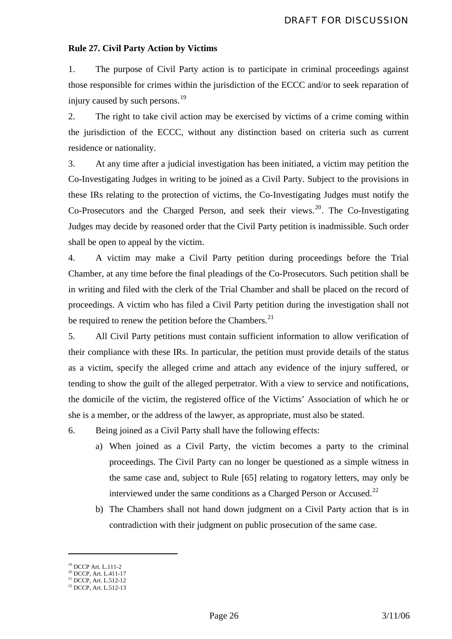#### <span id="page-26-0"></span>**Rule 27. Civil Party Action by Victims**

1. The purpose of Civil Party action is to participate in criminal proceedings against those responsible for crimes within the jurisdiction of the ECCC and/or to seek reparation of injury caused by such persons.<sup>[19](#page-26-1)</sup>

2. The right to take civil action may be exercised by victims of a crime coming within the jurisdiction of the ECCC, without any distinction based on criteria such as current residence or nationality.

3. At any time after a judicial investigation has been initiated, a victim may petition the Co-Investigating Judges in writing to be joined as a Civil Party. Subject to the provisions in these IRs relating to the protection of victims, the Co-Investigating Judges must notify the Co-Prosecutors and the Charged Person, and seek their views.<sup>[20](#page-26-2)</sup>. The Co-Investigating Judges may decide by reasoned order that the Civil Party petition is inadmissible. Such order shall be open to appeal by the victim.

4. A victim may make a Civil Party petition during proceedings before the Trial Chamber, at any time before the final pleadings of the Co-Prosecutors. Such petition shall be in writing and filed with the clerk of the Trial Chamber and shall be placed on the record of proceedings. A victim who has filed a Civil Party petition during the investigation shall not be required to renew the petition before the Chambers. $^{21}$  $^{21}$  $^{21}$ 

5. All Civil Party petitions must contain sufficient information to allow verification of their compliance with these IRs. In particular, the petition must provide details of the status as a victim, specify the alleged crime and attach any evidence of the injury suffered, or tending to show the guilt of the alleged perpetrator. With a view to service and notifications, the domicile of the victim, the registered office of the Victims' Association of which he or she is a member, or the address of the lawyer, as appropriate, must also be stated.

6. Being joined as a Civil Party shall have the following effects:

- a) When joined as a Civil Party, the victim becomes a party to the criminal proceedings. The Civil Party can no longer be questioned as a simple witness in the same case and, subject to Rule [65] relating to rogatory letters, may only be interviewed under the same conditions as a Charged Person or Accused.<sup>[22](#page-26-4)</sup>
- b) The Chambers shall not hand down judgment on a Civil Party action that is in contradiction with their judgment on public prosecution of the same case.

<u>.</u>

<span id="page-26-1"></span><sup>19</sup> DCCP Art. L.111-2

<sup>&</sup>lt;sup>20</sup> DCCP, Art. L.411-17

<span id="page-26-4"></span><span id="page-26-3"></span><span id="page-26-2"></span><sup>21</sup> DCCP, Art. L.512-12 22 DCCP, Art. L.512-13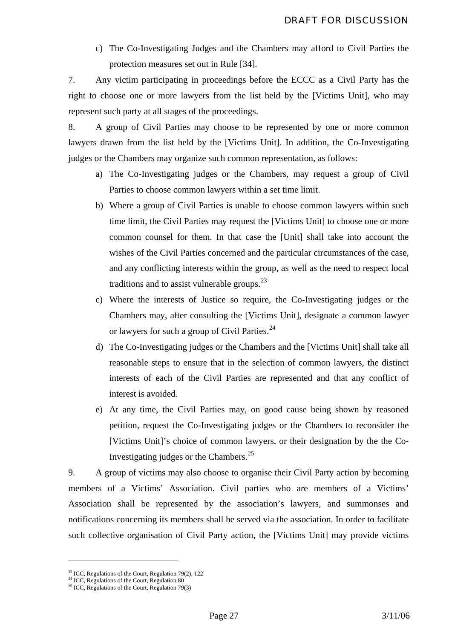c) The Co-Investigating Judges and the Chambers may afford to Civil Parties the protection measures set out in Rule [34].

7. Any victim participating in proceedings before the ECCC as a Civil Party has the right to choose one or more lawyers from the list held by the [Victims Unit], who may represent such party at all stages of the proceedings.

8. A group of Civil Parties may choose to be represented by one or more common lawyers drawn from the list held by the [Victims Unit]. In addition, the Co-Investigating judges or the Chambers may organize such common representation, as follows:

- a) The Co-Investigating judges or the Chambers, may request a group of Civil Parties to choose common lawyers within a set time limit.
- b) Where a group of Civil Parties is unable to choose common lawyers within such time limit, the Civil Parties may request the [Victims Unit] to choose one or more common counsel for them. In that case the [Unit] shall take into account the wishes of the Civil Parties concerned and the particular circumstances of the case, and any conflicting interests within the group, as well as the need to respect local traditions and to assist vulnerable groups. $^{23}$  $^{23}$  $^{23}$
- c) Where the interests of Justice so require, the Co-Investigating judges or the Chambers may, after consulting the [Victims Unit], designate a common lawyer or lawyers for such a group of Civil Parties.<sup>[24](#page-27-1)</sup>
- d) The Co-Investigating judges or the Chambers and the [Victims Unit] shall take all reasonable steps to ensure that in the selection of common lawyers, the distinct interests of each of the Civil Parties are represented and that any conflict of interest is avoided.
- e) At any time, the Civil Parties may, on good cause being shown by reasoned petition, request the Co-Investigating judges or the Chambers to reconsider the [Victims Unit]'s choice of common lawyers, or their designation by the the Co-Investigating judges or the Chambers.[25](#page-27-2)

9. A group of victims may also choose to organise their Civil Party action by becoming members of a Victims' Association. Civil parties who are members of a Victims' Association shall be represented by the association's lawyers, and summonses and notifications concerning its members shall be served via the association. In order to facilitate such collective organisation of Civil Party action, the [Victims Unit] may provide victims

<span id="page-27-0"></span> $2<sup>23</sup>$  ICC, Regulations of the Court, Regulation 79(2), 122

<span id="page-27-1"></span><sup>&</sup>lt;sup>24</sup> ICC, Regulations of the Court, Regulation 80

<span id="page-27-2"></span> $25$  ICC, Regulations of the Court, Regulation 79(3)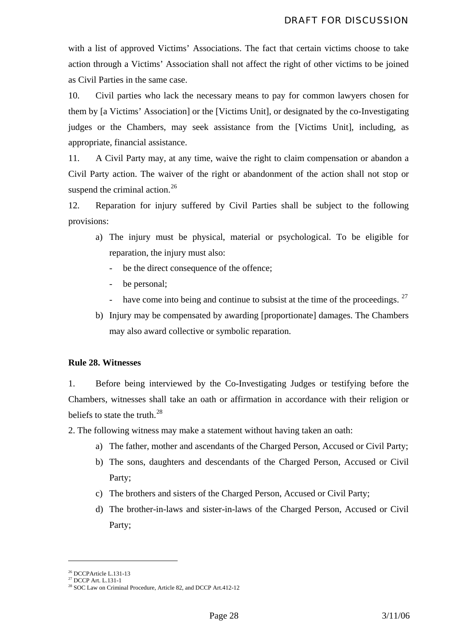<span id="page-28-0"></span>with a list of approved Victims' Associations. The fact that certain victims choose to take action through a Victims' Association shall not affect the right of other victims to be joined as Civil Parties in the same case.

10. Civil parties who lack the necessary means to pay for common lawyers chosen for them by [a Victims' Association] or the [Victims Unit], or designated by the co-Investigating judges or the Chambers, may seek assistance from the [Victims Unit], including, as appropriate, financial assistance.

11. A Civil Party may, at any time, waive the right to claim compensation or abandon a Civil Party action. The waiver of the right or abandonment of the action shall not stop or suspend the criminal action.<sup>[26](#page-28-1)</sup>

12. Reparation for injury suffered by Civil Parties shall be subject to the following provisions:

- a) The injury must be physical, material or psychological. To be eligible for reparation, the injury must also:
	- be the direct consequence of the offence;
	- be personal;
	- have come into being and continue to subsist at the time of the proceedings.  $27$
- b) Injury may be compensated by awarding [proportionate] damages. The Chambers may also award collective or symbolic reparation.

#### **Rule 28. Witnesses**

1. Before being interviewed by the Co-Investigating Judges or testifying before the Chambers, witnesses shall take an oath or affirmation in accordance with their religion or beliefs to state the truth. $^{28}$  $^{28}$  $^{28}$ 

2. The following witness may make a statement without having taken an oath:

- a) The father, mother and ascendants of the Charged Person, Accused or Civil Party;
- b) The sons, daughters and descendants of the Charged Person, Accused or Civil Party;
- c) The brothers and sisters of the Charged Person, Accused or Civil Party;
- d) The brother-in-laws and sister-in-laws of the Charged Person, Accused or Civil Party;

<span id="page-28-1"></span><sup>&</sup>lt;sup>26</sup> DCCPArticle L.131-13

<span id="page-28-3"></span><span id="page-28-2"></span><sup>27</sup> DCCP Art. L.131-1

<sup>&</sup>lt;sup>28</sup> SOC Law on Criminal Procedure, Article 82, and DCCP Art.412-12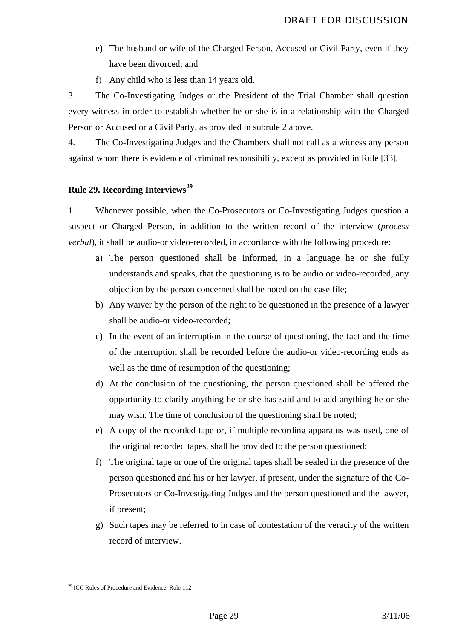- <span id="page-29-0"></span>e) The husband or wife of the Charged Person, Accused or Civil Party, even if they have been divorced; and
- f) Any child who is less than 14 years old.

3. The Co-Investigating Judges or the President of the Trial Chamber shall question every witness in order to establish whether he or she is in a relationship with the Charged Person or Accused or a Civil Party, as provided in subrule 2 above.

4. The Co-Investigating Judges and the Chambers shall not call as a witness any person against whom there is evidence of criminal responsibility, except as provided in Rule [33]*.* 

#### **Rule 29. Recording Interviews[29](#page-29-1)**

1. Whenever possible, when the Co-Prosecutors or Co-Investigating Judges question a suspect or Charged Person, in addition to the written record of the interview (*process verbal*), it shall be audio-or video-recorded, in accordance with the following procedure:

- a) The person questioned shall be informed, in a language he or she fully understands and speaks, that the questioning is to be audio or video-recorded, any objection by the person concerned shall be noted on the case file;
- b) Any waiver by the person of the right to be questioned in the presence of a lawyer shall be audio-or video-recorded;
- c) In the event of an interruption in the course of questioning, the fact and the time of the interruption shall be recorded before the audio-or video-recording ends as well as the time of resumption of the questioning;
- d) At the conclusion of the questioning, the person questioned shall be offered the opportunity to clarify anything he or she has said and to add anything he or she may wish. The time of conclusion of the questioning shall be noted;
- e) A copy of the recorded tape or, if multiple recording apparatus was used, one of the original recorded tapes, shall be provided to the person questioned;
- f) The original tape or one of the original tapes shall be sealed in the presence of the person questioned and his or her lawyer, if present, under the signature of the Co-Prosecutors or Co-Investigating Judges and the person questioned and the lawyer, if present;
- g) Such tapes may be referred to in case of contestation of the veracity of the written record of interview.

<span id="page-29-1"></span><sup>&</sup>lt;sup>29</sup> ICC Rules of Procedure and Evidence, Rule 112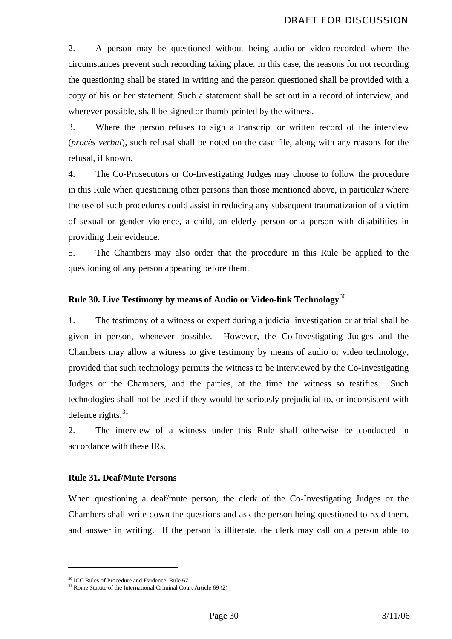<span id="page-30-0"></span>2. A person may be questioned without being audio-or video-recorded where the circumstances prevent such recording taking place. In this case, the reasons for not recording the questioning shall be stated in writing and the person questioned shall be provided with a copy of his or her statement. Such a statement shall be set out in a record of interview, and wherever possible, shall be signed or thumb-printed by the witness.

3. Where the person refuses to sign a transcript or written record of the interview (*procès verbal*), such refusal shall be noted on the case file, along with any reasons for the refusal, if known.

4. The Co-Prosecutors or Co-Investigating Judges may choose to follow the procedure in this Rule when questioning other persons than those mentioned above, in particular where the use of such procedures could assist in reducing any subsequent traumatization of a victim of sexual or gender violence, a child, an elderly person or a person with disabilities in providing their evidence.

5. The Chambers may also order that the procedure in this Rule be applied to the questioning of any person appearing before them.

#### **Rule 30. Live Testimony by means of Audio or Video-link Technology**[30](#page-30-1)

1. The testimony of a witness or expert during a judicial investigation or at trial shall be given in person, whenever possible. However, the Co-Investigating Judges and the Chambers may allow a witness to give testimony by means of audio or video technology, provided that such technology permits the witness to be interviewed by the Co-Investigating Judges or the Chambers, and the parties, at the time the witness so testifies. Such technologies shall not be used if they would be seriously prejudicial to, or inconsistent with defence rights. $31$ 

2. The interview of a witness under this Rule shall otherwise be conducted in accordance with these IRs.

#### **Rule 31. Deaf/Mute Persons**

When questioning a deaf/mute person, the clerk of the Co-Investigating Judges or the Chambers shall write down the questions and ask the person being questioned to read them, and answer in writing. If the person is illiterate, the clerk may call on a person able to

<sup>&</sup>lt;sup>30</sup> ICC Rules of Procedure and Evidence, Rule 67

<span id="page-30-2"></span><span id="page-30-1"></span> $31$  Rome Statute of the International Criminal Court Article 69 (2)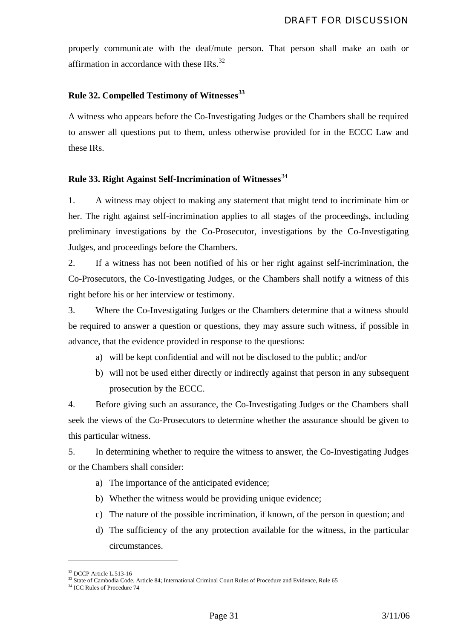<span id="page-31-0"></span>properly communicate with the deaf/mute person. That person shall make an oath or affirmation in accordance with these IRs.<sup>[32](#page-31-1)</sup>

#### **Rule 32. Compelled Testimony of Witnesses[33](#page-31-2)**

A witness who appears before the Co-Investigating Judges or the Chambers shall be required to answer all questions put to them, unless otherwise provided for in the ECCC Law and these IRs.

#### **Rule 33. Right Against Self-Incrimination of Witnesses**[34](#page-31-3)

1. A witness may object to making any statement that might tend to incriminate him or her. The right against self-incrimination applies to all stages of the proceedings, including preliminary investigations by the Co-Prosecutor, investigations by the Co-Investigating Judges, and proceedings before the Chambers.

2. If a witness has not been notified of his or her right against self-incrimination, the Co-Prosecutors, the Co-Investigating Judges, or the Chambers shall notify a witness of this right before his or her interview or testimony.

3. Where the Co-Investigating Judges or the Chambers determine that a witness should be required to answer a question or questions, they may assure such witness, if possible in advance, that the evidence provided in response to the questions:

- a) will be kept confidential and will not be disclosed to the public; and/or
- b) will not be used either directly or indirectly against that person in any subsequent prosecution by the ECCC.

4. Before giving such an assurance, the Co-Investigating Judges or the Chambers shall seek the views of the Co-Prosecutors to determine whether the assurance should be given to this particular witness.

5. In determining whether to require the witness to answer, the Co-Investigating Judges or the Chambers shall consider:

- a) The importance of the anticipated evidence;
- b) Whether the witness would be providing unique evidence;
- c) The nature of the possible incrimination, if known, of the person in question; and
- d) The sufficiency of the any protection available for the witness, in the particular circumstances.

<span id="page-31-2"></span><span id="page-31-1"></span><sup>&</sup>lt;sup>32</sup> DCCP Article L.513-16

<sup>&</sup>lt;sup>33</sup> State of Cambodia Code, Article 84; International Criminal Court Rules of Procedure and Evidence, Rule 65  $34$  ICC Rules of Procedure 74

<span id="page-31-3"></span>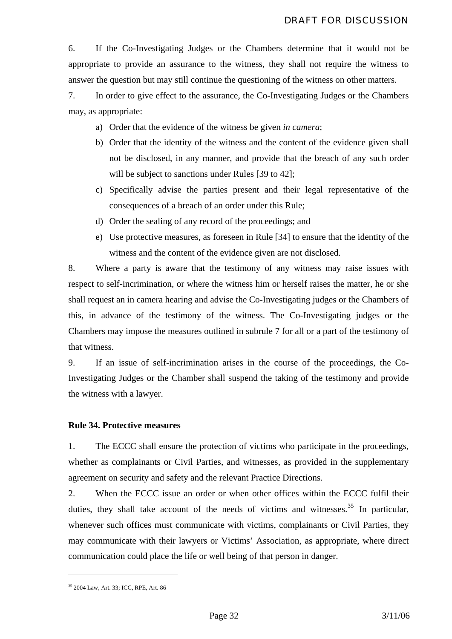<span id="page-32-0"></span>6. If the Co-Investigating Judges or the Chambers determine that it would not be appropriate to provide an assurance to the witness, they shall not require the witness to answer the question but may still continue the questioning of the witness on other matters.

7. In order to give effect to the assurance, the Co-Investigating Judges or the Chambers may, as appropriate:

- a) Order that the evidence of the witness be given *in camera*;
- b) Order that the identity of the witness and the content of the evidence given shall not be disclosed, in any manner, and provide that the breach of any such order will be subject to sanctions under Rules [39 to 42];
- c) Specifically advise the parties present and their legal representative of the consequences of a breach of an order under this Rule;
- d) Order the sealing of any record of the proceedings; and
- e) Use protective measures, as foreseen in Rule [34] to ensure that the identity of the witness and the content of the evidence given are not disclosed.

8. Where a party is aware that the testimony of any witness may raise issues with respect to self-incrimination, or where the witness him or herself raises the matter, he or she shall request an in camera hearing and advise the Co-Investigating judges or the Chambers of this, in advance of the testimony of the witness. The Co-Investigating judges or the Chambers may impose the measures outlined in subrule 7 for all or a part of the testimony of that witness.

9. If an issue of self-incrimination arises in the course of the proceedings, the Co-Investigating Judges or the Chamber shall suspend the taking of the testimony and provide the witness with a lawyer.

#### **Rule 34. Protective measures**

1. The ECCC shall ensure the protection of victims who participate in the proceedings, whether as complainants or Civil Parties, and witnesses, as provided in the supplementary agreement on security and safety and the relevant Practice Directions.

2. When the ECCC issue an order or when other offices within the ECCC fulfil their duties, they shall take account of the needs of victims and witnesses.<sup>[35](#page-32-1)</sup> In particular, whenever such offices must communicate with victims, complainants or Civil Parties, they may communicate with their lawyers or Victims' Association, as appropriate, where direct communication could place the life or well being of that person in danger.

<span id="page-32-1"></span><sup>35 2004</sup> Law, Art. 33; ICC, RPE, Art. 86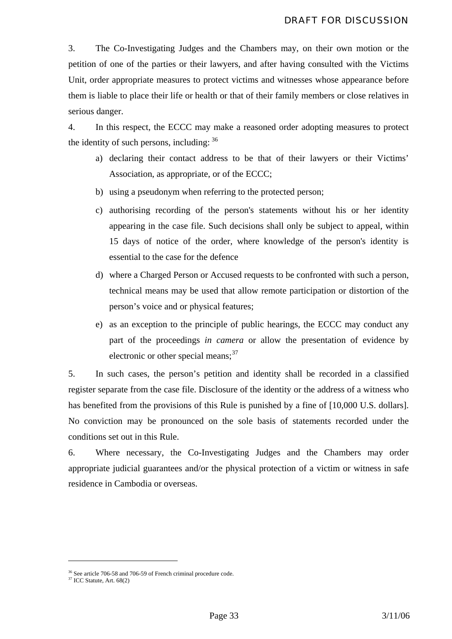3. The Co-Investigating Judges and the Chambers may, on their own motion or the petition of one of the parties or their lawyers, and after having consulted with the Victims Unit, order appropriate measures to protect victims and witnesses whose appearance before them is liable to place their life or health or that of their family members or close relatives in serious danger.

4. In this respect, the ECCC may make a reasoned order adopting measures to protect the identity of such persons, including:  $36$ 

- a) declaring their contact address to be that of their lawyers or their Victims' Association, as appropriate, or of the ECCC;
- b) using a pseudonym when referring to the protected person;
- c) authorising recording of the person's statements without his or her identity appearing in the case file. Such decisions shall only be subject to appeal, within 15 days of notice of the order, where knowledge of the person's identity is essential to the case for the defence
- d) where a Charged Person or Accused requests to be confronted with such a person, technical means may be used that allow remote participation or distortion of the person's voice and or physical features;
- e) as an exception to the principle of public hearings, the ECCC may conduct any part of the proceedings *in camera* or allow the presentation of evidence by electronic or other special means: [37](#page-33-1)

5. In such cases, the person's petition and identity shall be recorded in a classified register separate from the case file. Disclosure of the identity or the address of a witness who has benefited from the provisions of this Rule is punished by a fine of [10,000 U.S. dollars]. No conviction may be pronounced on the sole basis of statements recorded under the conditions set out in this Rule.

6. Where necessary, the Co-Investigating Judges and the Chambers may order appropriate judicial guarantees and/or the physical protection of a victim or witness in safe residence in Cambodia or overseas.

<span id="page-33-0"></span><sup>&</sup>lt;sup>36</sup> See article 706-58 and 706-59 of French criminal procedure code.

<span id="page-33-1"></span> $37$  ICC Statute, Art. 68(2)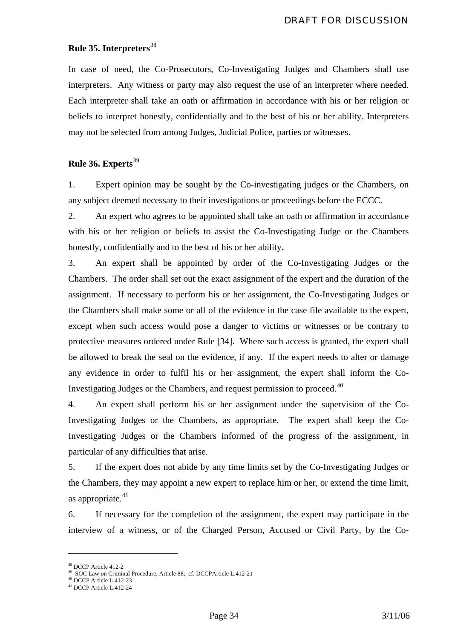#### <span id="page-34-0"></span>**Rule 35. Interpreters**[38](#page-34-1)

In case of need, the Co-Prosecutors, Co-Investigating Judges and Chambers shall use interpreters. Any witness or party may also request the use of an interpreter where needed. Each interpreter shall take an oath or affirmation in accordance with his or her religion or beliefs to interpret honestly, confidentially and to the best of his or her ability. Interpreters may not be selected from among Judges, Judicial Police, parties or witnesses.

#### **Rule 36. Experts**[39](#page-34-2)

1. Expert opinion may be sought by the Co-investigating judges or the Chambers, on any subject deemed necessary to their investigations or proceedings before the ECCC.

2. An expert who agrees to be appointed shall take an oath or affirmation in accordance with his or her religion or beliefs to assist the Co-Investigating Judge or the Chambers honestly, confidentially and to the best of his or her ability.

3. An expert shall be appointed by order of the Co-Investigating Judges or the Chambers. The order shall set out the exact assignment of the expert and the duration of the assignment. If necessary to perform his or her assignment, the Co-Investigating Judges or the Chambers shall make some or all of the evidence in the case file available to the expert, except when such access would pose a danger to victims or witnesses or be contrary to protective measures ordered under Rule [34]. Where such access is granted, the expert shall be allowed to break the seal on the evidence, if any. If the expert needs to alter or damage any evidence in order to fulfil his or her assignment, the expert shall inform the Co-Investigating Judges or the Chambers, and request permission to proceed.<sup>[40](#page-34-3)</sup>

4. An expert shall perform his or her assignment under the supervision of the Co-Investigating Judges or the Chambers, as appropriate. The expert shall keep the Co-Investigating Judges or the Chambers informed of the progress of the assignment, in particular of any difficulties that arise.

5. If the expert does not abide by any time limits set by the Co-Investigating Judges or the Chambers, they may appoint a new expert to replace him or her, or extend the time limit, as appropriate. $41$ 

6. If necessary for the completion of the assignment, the expert may participate in the interview of a witness, or of the Charged Person, Accused or Civil Party, by the Co-

<u>.</u>

<sup>38</sup> DCCP Article 412-2

<span id="page-34-3"></span><span id="page-34-2"></span><span id="page-34-1"></span><sup>&</sup>lt;sup>39</sup> SOC Law on Criminal Procedure, Article 88; cf. DCCPArticle L.412-21

 $40$  DCCP Article L.412-23

<span id="page-34-4"></span><sup>41</sup> DCCP Article L.412-24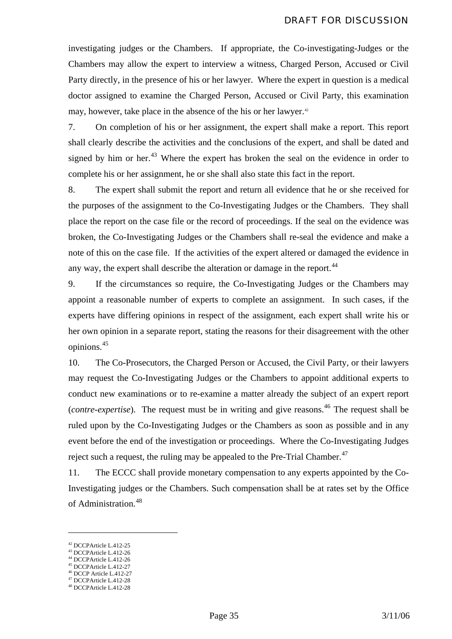investigating judges or the Chambers. If appropriate, the Co-investigating-Judges or the Chambers may allow the expert to interview a witness, Charged Person, Accused or Civil Party directly, in the presence of his or her lawyer. Where the expert in question is a medical doctor assigned to examine the Charged Person, Accused or Civil Party, this examination may, however, take place in the absence of the his or her lawyer.<sup>42</sup>

7. On completion of his or her assignment, the expert shall make a report. This report shall clearly describe the activities and the conclusions of the expert, and shall be dated and signed by him or her. $43$  Where the expert has broken the seal on the evidence in order to complete his or her assignment, he or she shall also state this fact in the report.

8. The expert shall submit the report and return all evidence that he or she received for the purposes of the assignment to the Co-Investigating Judges or the Chambers. They shall place the report on the case file or the record of proceedings. If the seal on the evidence was broken, the Co-Investigating Judges or the Chambers shall re-seal the evidence and make a note of this on the case file. If the activities of the expert altered or damaged the evidence in any way, the expert shall describe the alteration or damage in the report.<sup>[44](#page-35-2)</sup>

9. If the circumstances so require, the Co-Investigating Judges or the Chambers may appoint a reasonable number of experts to complete an assignment. In such cases, if the experts have differing opinions in respect of the assignment, each expert shall write his or her own opinion in a separate report, stating the reasons for their disagreement with the other opinions.[45](#page-35-3)

10. The Co-Prosecutors, the Charged Person or Accused, the Civil Party, or their lawyers may request the Co-Investigating Judges or the Chambers to appoint additional experts to conduct new examinations or to re-examine a matter already the subject of an expert report (*contre-expertise*). The request must be in writing and give reasons.<sup>[46](#page-35-4)</sup> The request shall be ruled upon by the Co-Investigating Judges or the Chambers as soon as possible and in any event before the end of the investigation or proceedings. Where the Co-Investigating Judges reject such a request, the ruling may be appealed to the Pre-Trial Chamber.<sup>[47](#page-35-5)</sup>

11. The ECCC shall provide monetary compensation to any experts appointed by the Co-Investigating judges or the Chambers. Such compensation shall be at rates set by the Office of Administration.[48](#page-35-6)

- <span id="page-35-2"></span>45 DCCPArticle L.412-27
- <span id="page-35-4"></span><span id="page-35-3"></span>46 DCCP Article L.412-27
- <span id="page-35-6"></span><span id="page-35-5"></span>47 DCCPArticle L.412-28

<sup>42</sup> DCCPArticle L.412-25

<span id="page-35-1"></span><span id="page-35-0"></span> $^{43}$  DCCPArticle L.412-26 44 DCCPArticle L.412-26

<sup>48</sup> DCCPArticle L.412-28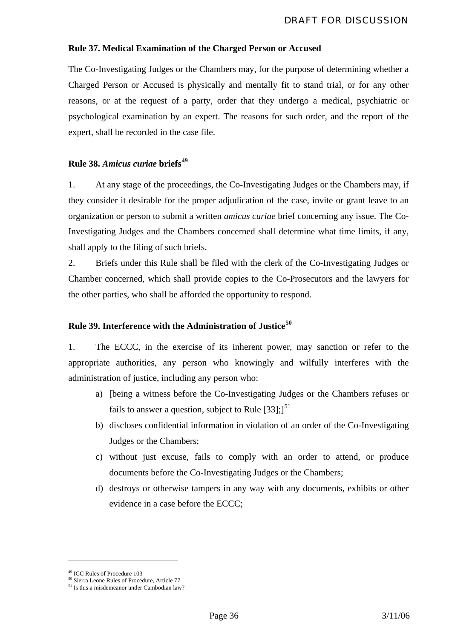# **Rule 37. Medical Examination of the Charged Person or Accused**

The Co-Investigating Judges or the Chambers may, for the purpose of determining whether a Charged Person or Accused is physically and mentally fit to stand trial, or for any other reasons, or at the request of a party, order that they undergo a medical, psychiatric or psychological examination by an expert. The reasons for such order, and the report of the expert, shall be recorded in the case file.

# **Rule 38.** *Amicus curiae* **briefs[49](#page-36-0)**

1. At any stage of the proceedings, the Co-Investigating Judges or the Chambers may, if they consider it desirable for the proper adjudication of the case, invite or grant leave to an organization or person to submit a written *amicus curiae* brief concerning any issue. The Co-Investigating Judges and the Chambers concerned shall determine what time limits, if any, shall apply to the filing of such briefs.

2. Briefs under this Rule shall be filed with the clerk of the Co-Investigating Judges or Chamber concerned, which shall provide copies to the Co-Prosecutors and the lawyers for the other parties, who shall be afforded the opportunity to respond.

# **Rule 39. Interference with the Administration of Justice[50](#page-36-1)**

1. The ECCC, in the exercise of its inherent power, may sanction or refer to the appropriate authorities, any person who knowingly and wilfully interferes with the administration of justice, including any person who:

- a) [being a witness before the Co-Investigating Judges or the Chambers refuses or fails to answer a question, subject to Rule  $\left[33\right]$ ;  $\right]^{51}$  $\right]^{51}$  $\right]^{51}$
- b) discloses confidential information in violation of an order of the Co-Investigating Judges or the Chambers;
- c) without just excuse, fails to comply with an order to attend, or produce documents before the Co-Investigating Judges or the Chambers;
- d) destroys or otherwise tampers in any way with any documents, exhibits or other evidence in a case before the ECCC;

<span id="page-36-0"></span><sup>49</sup> ICC Rules of Procedure 103

<sup>50</sup> Sierra Leone Rules of Procedure, Article 77

<span id="page-36-2"></span><span id="page-36-1"></span><sup>&</sup>lt;sup>51</sup> Is this a misdemeanor under Cambodian law?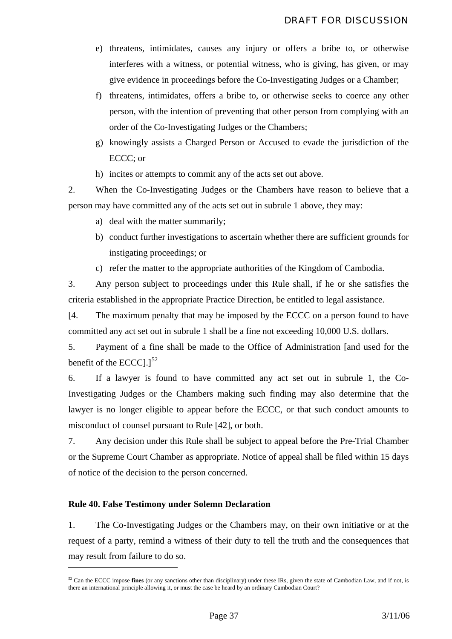- e) threatens, intimidates, causes any injury or offers a bribe to, or otherwise interferes with a witness, or potential witness, who is giving, has given, or may give evidence in proceedings before the Co-Investigating Judges or a Chamber;
- f) threatens, intimidates, offers a bribe to, or otherwise seeks to coerce any other person, with the intention of preventing that other person from complying with an order of the Co-Investigating Judges or the Chambers;
- g) knowingly assists a Charged Person or Accused to evade the jurisdiction of the ECCC; or
- h) incites or attempts to commit any of the acts set out above.

2. When the Co-Investigating Judges or the Chambers have reason to believe that a person may have committed any of the acts set out in subrule 1 above, they may:

- a) deal with the matter summarily;
- b) conduct further investigations to ascertain whether there are sufficient grounds for instigating proceedings; or
- c) refer the matter to the appropriate authorities of the Kingdom of Cambodia.

3. Any person subject to proceedings under this Rule shall, if he or she satisfies the criteria established in the appropriate Practice Direction, be entitled to legal assistance.

[4. The maximum penalty that may be imposed by the ECCC on a person found to have committed any act set out in subrule 1 shall be a fine not exceeding 10,000 U.S. dollars.

5. Payment of a fine shall be made to the Office of Administration [and used for the benefit of the ECCC $1$ <sup>[52](#page-37-0)</sup>

6. If a lawyer is found to have committed any act set out in subrule 1, the Co-Investigating Judges or the Chambers making such finding may also determine that the lawyer is no longer eligible to appear before the ECCC, or that such conduct amounts to misconduct of counsel pursuant to Rule [42], or both.

7. Any decision under this Rule shall be subject to appeal before the Pre-Trial Chamber or the Supreme Court Chamber as appropriate. Notice of appeal shall be filed within 15 days of notice of the decision to the person concerned.

### **Rule 40. False Testimony under Solemn Declaration**

1

1. The Co-Investigating Judges or the Chambers may, on their own initiative or at the request of a party, remind a witness of their duty to tell the truth and the consequences that may result from failure to do so.

<span id="page-37-0"></span><sup>52</sup> Can the ECCC impose **fines** (or any sanctions other than disciplinary) under these IRs, given the state of Cambodian Law, and if not, is there an international principle allowing it, or must the case be heard by an ordinary Cambodian Court?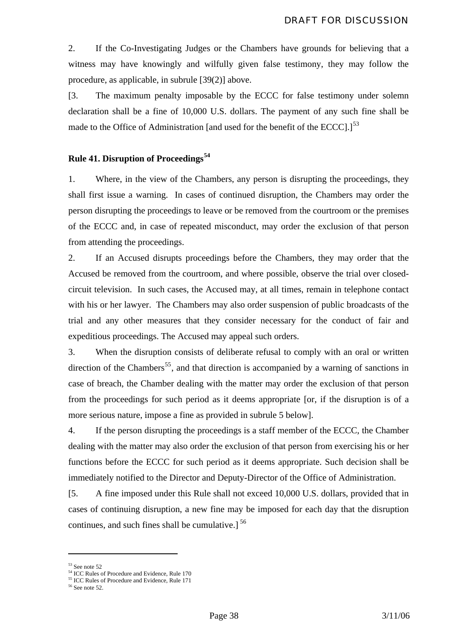2. If the Co-Investigating Judges or the Chambers have grounds for believing that a witness may have knowingly and wilfully given false testimony, they may follow the procedure, as applicable, in subrule [39(2)] above.

[3. The maximum penalty imposable by the ECCC for false testimony under solemn declaration shall be a fine of 10,000 U.S. dollars. The payment of any such fine shall be made to the Office of Administration [and used for the benefit of the ECCC].<sup>[[53](#page-38-0)</sup>

## **Rule 41. Disruption of Proceedings[54](#page-38-1)**

1. Where, in the view of the Chambers, any person is disrupting the proceedings, they shall first issue a warning. In cases of continued disruption, the Chambers may order the person disrupting the proceedings to leave or be removed from the courtroom or the premises of the ECCC and, in case of repeated misconduct, may order the exclusion of that person from attending the proceedings.

2. If an Accused disrupts proceedings before the Chambers, they may order that the Accused be removed from the courtroom, and where possible, observe the trial over closedcircuit television. In such cases, the Accused may, at all times, remain in telephone contact with his or her lawyer. The Chambers may also order suspension of public broadcasts of the trial and any other measures that they consider necessary for the conduct of fair and expeditious proceedings. The Accused may appeal such orders.

3. When the disruption consists of deliberate refusal to comply with an oral or written direction of the Chambers<sup>[55](#page-38-2)</sup>, and that direction is accompanied by a warning of sanctions in case of breach, the Chamber dealing with the matter may order the exclusion of that person from the proceedings for such period as it deems appropriate [or, if the disruption is of a more serious nature, impose a fine as provided in subrule 5 below].

4. If the person disrupting the proceedings is a staff member of the ECCC, the Chamber dealing with the matter may also order the exclusion of that person from exercising his or her functions before the ECCC for such period as it deems appropriate. Such decision shall be immediately notified to the Director and Deputy-Director of the Office of Administration.

[5. A fine imposed under this Rule shall not exceed 10,000 U.S. dollars, provided that in cases of continuing disruption, a new fine may be imposed for each day that the disruption continues, and such fines shall be cumulative.]<sup>[56](#page-38-3)</sup>

<sup>53</sup> See note 52

<span id="page-38-1"></span><span id="page-38-0"></span><sup>&</sup>lt;sup>54</sup> ICC Rules of Procedure and Evidence, Rule 170

<sup>&</sup>lt;sup>55</sup> ICC Rules of Procedure and Evidence, Rule 171

<span id="page-38-3"></span><span id="page-38-2"></span> $56$  See note 52.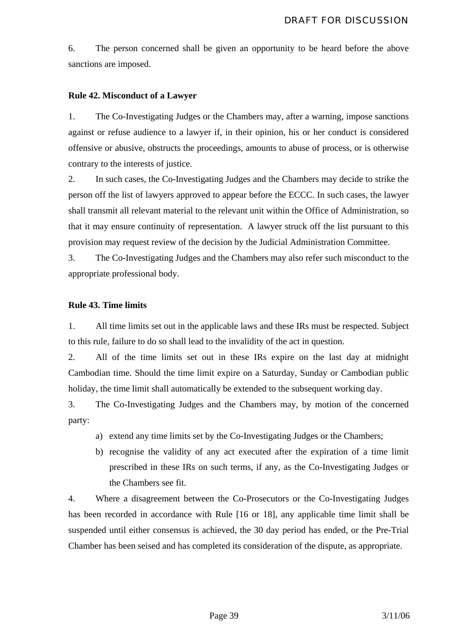6. The person concerned shall be given an opportunity to be heard before the above sanctions are imposed.

### **Rule 42. Misconduct of a Lawyer**

1. The Co-Investigating Judges or the Chambers may, after a warning, impose sanctions against or refuse audience to a lawyer if, in their opinion, his or her conduct is considered offensive or abusive, obstructs the proceedings, amounts to abuse of process, or is otherwise contrary to the interests of justice.

2. In such cases, the Co-Investigating Judges and the Chambers may decide to strike the person off the list of lawyers approved to appear before the ECCC. In such cases, the lawyer shall transmit all relevant material to the relevant unit within the Office of Administration, so that it may ensure continuity of representation. A lawyer struck off the list pursuant to this provision may request review of the decision by the Judicial Administration Committee.

3. The Co-Investigating Judges and the Chambers may also refer such misconduct to the appropriate professional body.

### **Rule 43. Time limits**

1. All time limits set out in the applicable laws and these IRs must be respected. Subject to this rule, failure to do so shall lead to the invalidity of the act in question.

2. All of the time limits set out in these IRs expire on the last day at midnight Cambodian time. Should the time limit expire on a Saturday, Sunday or Cambodian public holiday, the time limit shall automatically be extended to the subsequent working day.

3. The Co-Investigating Judges and the Chambers may, by motion of the concerned party:

- a) extend any time limits set by the Co-Investigating Judges or the Chambers;
- b) recognise the validity of any act executed after the expiration of a time limit prescribed in these IRs on such terms, if any, as the Co-Investigating Judges or the Chambers see fit.

4. Where a disagreement between the Co-Prosecutors or the Co-Investigating Judges has been recorded in accordance with Rule [16 or 18], any applicable time limit shall be suspended until either consensus is achieved, the 30 day period has ended, or the Pre-Trial Chamber has been seised and has completed its consideration of the dispute, as appropriate.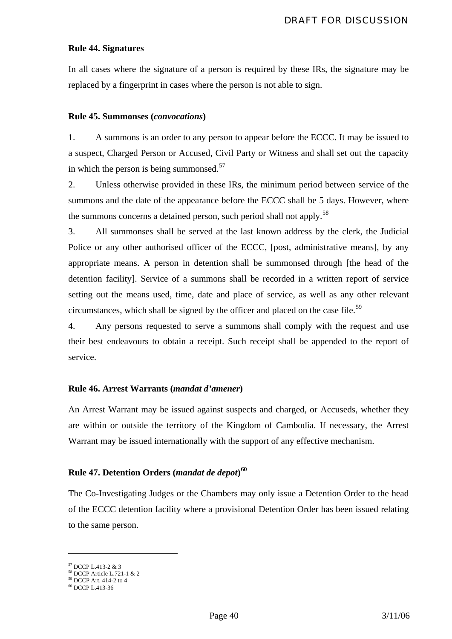#### **Rule 44. Signatures**

In all cases where the signature of a person is required by these IRs, the signature may be replaced by a fingerprint in cases where the person is not able to sign.

#### **Rule 45. Summonses (***convocations***)**

1. A summons is an order to any person to appear before the ECCC. It may be issued to a suspect, Charged Person or Accused, Civil Party or Witness and shall set out the capacity in which the person is being summonsed. $57$ 

2. Unless otherwise provided in these IRs, the minimum period between service of the summons and the date of the appearance before the ECCC shall be 5 days. However, where the summons concerns a detained person, such period shall not apply.<sup>[58](#page-40-1)</sup>

3. All summonses shall be served at the last known address by the clerk, the Judicial Police or any other authorised officer of the ECCC, [post, administrative means], by any appropriate means. A person in detention shall be summonsed through [the head of the detention facility]. Service of a summons shall be recorded in a written report of service setting out the means used, time, date and place of service, as well as any other relevant circumstances, which shall be signed by the officer and placed on the case file.<sup>[59](#page-40-2)</sup>

4. Any persons requested to serve a summons shall comply with the request and use their best endeavours to obtain a receipt. Such receipt shall be appended to the report of service.

#### **Rule 46. Arrest Warrants (***mandat d'amener***)**

An Arrest Warrant may be issued against suspects and charged, or Accuseds, whether they are within or outside the territory of the Kingdom of Cambodia. If necessary, the Arrest Warrant may be issued internationally with the support of any effective mechanism.

# **Rule 47. Detention Orders (***mandat de depot***) [60](#page-40-3)**

The Co-Investigating Judges or the Chambers may only issue a Detention Order to the head of the ECCC detention facility where a provisional Detention Order has been issued relating to the same person.

<sup>57</sup> DCCP L.413-2 & 3

<span id="page-40-1"></span><span id="page-40-0"></span><sup>58</sup> DCCP Article L.721-1 & 2 59 DCCP Art. 414-2 to 4

<span id="page-40-2"></span>

<span id="page-40-3"></span><sup>60</sup> DCCP L.413-36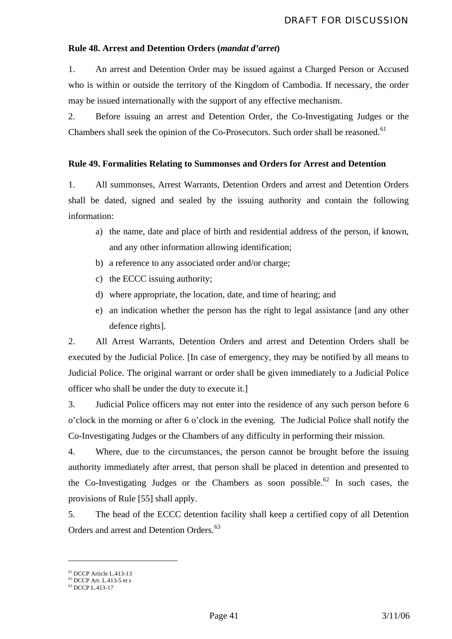### **Rule 48. Arrest and Detention Orders (***mandat d'arret***)**

1. An arrest and Detention Order may be issued against a Charged Person or Accused who is within or outside the territory of the Kingdom of Cambodia. If necessary, the order may be issued internationally with the support of any effective mechanism.

2. Before issuing an arrest and Detention Order, the Co-Investigating Judges or the Chambers shall seek the opinion of the Co-Prosecutors. Such order shall be reasoned.<sup>[61](#page-41-0)</sup>

### **Rule 49. Formalities Relating to Summonses and Orders for Arrest and Detention**

1. All summonses, Arrest Warrants, Detention Orders and arrest and Detention Orders shall be dated, signed and sealed by the issuing authority and contain the following information:

- a) the name, date and place of birth and residential address of the person, if known, and any other information allowing identification;
- b) a reference to any associated order and/or charge;
- c) the ECCC issuing authority;
- d) where appropriate, the location, date, and time of hearing; and
- e) an indication whether the person has the right to legal assistance [and any other defence rights].

2. All Arrest Warrants, Detention Orders and arrest and Detention Orders shall be executed by the Judicial Police. [In case of emergency, they may be notified by all means to Judicial Police. The original warrant or order shall be given immediately to a Judicial Police officer who shall be under the duty to execute it.]

3. Judicial Police officers may not enter into the residence of any such person before 6 o'clock in the morning or after 6 o'clock in the evening. The Judicial Police shall notify the Co-Investigating Judges or the Chambers of any difficulty in performing their mission.

4. Where, due to the circumstances, the person cannot be brought before the issuing authority immediately after arrest, that person shall be placed in detention and presented to the Co-Investigating Judges or the Chambers as soon possible.<sup>[62](#page-41-1)</sup> In such cases, the provisions of Rule [55] shall apply.

5. The head of the ECCC detention facility shall keep a certified copy of all Detention Orders and arrest and Detention Orders.<sup>[63](#page-41-2)</sup>

<sup>61</sup> DCCP Article L.413-13

<span id="page-41-2"></span><span id="page-41-1"></span><span id="page-41-0"></span> $62$  DCCP Art. L.413-5 et s

<sup>63</sup> DCCP L.413-17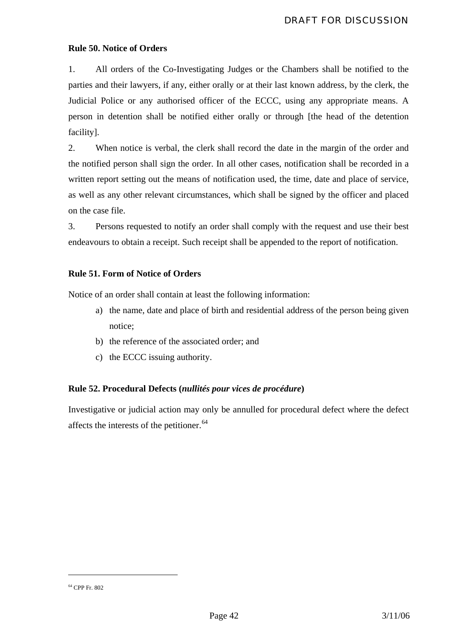### **Rule 50. Notice of Orders**

1. All orders of the Co-Investigating Judges or the Chambers shall be notified to the parties and their lawyers, if any, either orally or at their last known address, by the clerk, the Judicial Police or any authorised officer of the ECCC, using any appropriate means. A person in detention shall be notified either orally or through [the head of the detention facility].

2. When notice is verbal, the clerk shall record the date in the margin of the order and the notified person shall sign the order. In all other cases, notification shall be recorded in a written report setting out the means of notification used, the time, date and place of service, as well as any other relevant circumstances, which shall be signed by the officer and placed on the case file.

3. Persons requested to notify an order shall comply with the request and use their best endeavours to obtain a receipt. Such receipt shall be appended to the report of notification.

### **Rule 51. Form of Notice of Orders**

Notice of an order shall contain at least the following information:

- a) the name, date and place of birth and residential address of the person being given notice;
- b) the reference of the associated order; and
- c) the ECCC issuing authority.

### **Rule 52. Procedural Defects (***nullités pour vices de procédure***)**

Investigative or judicial action may only be annulled for procedural defect where the defect affects the interests of the petitioner.<sup>[64](#page-42-0)</sup>

<span id="page-42-0"></span><sup>64</sup> CPP Fr. 802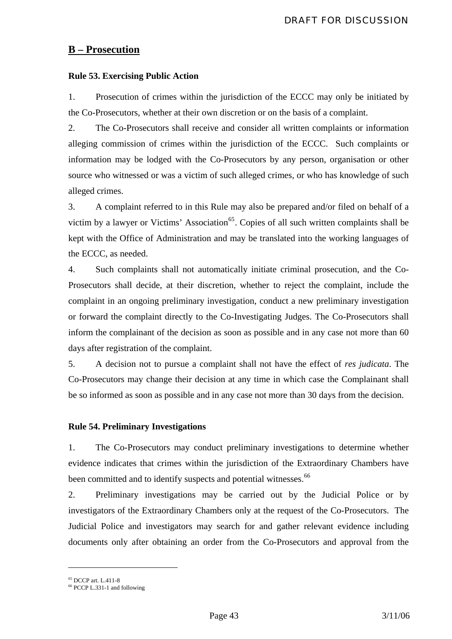# **B – Prosecution**

# **Rule 53. Exercising Public Action**

1. Prosecution of crimes within the jurisdiction of the ECCC may only be initiated by the Co-Prosecutors, whether at their own discretion or on the basis of a complaint.

2. The Co-Prosecutors shall receive and consider all written complaints or information alleging commission of crimes within the jurisdiction of the ECCC. Such complaints or information may be lodged with the Co-Prosecutors by any person, organisation or other source who witnessed or was a victim of such alleged crimes, or who has knowledge of such alleged crimes.

3. A complaint referred to in this Rule may also be prepared and/or filed on behalf of a victim by a lawyer or Victims' Association<sup>[65](#page-43-0)</sup>. Copies of all such written complaints shall be kept with the Office of Administration and may be translated into the working languages of the ECCC, as needed.

4. Such complaints shall not automatically initiate criminal prosecution, and the Co-Prosecutors shall decide, at their discretion, whether to reject the complaint, include the complaint in an ongoing preliminary investigation, conduct a new preliminary investigation or forward the complaint directly to the Co-Investigating Judges. The Co-Prosecutors shall inform the complainant of the decision as soon as possible and in any case not more than 60 days after registration of the complaint.

5. A decision not to pursue a complaint shall not have the effect of *res judicata*. The Co-Prosecutors may change their decision at any time in which case the Complainant shall be so informed as soon as possible and in any case not more than 30 days from the decision.

### **Rule 54. Preliminary Investigations**

1. The Co-Prosecutors may conduct preliminary investigations to determine whether evidence indicates that crimes within the jurisdiction of the Extraordinary Chambers have been committed and to identify suspects and potential witnesses.<sup>[66](#page-43-1)</sup>

2. Preliminary investigations may be carried out by the Judicial Police or by investigators of the Extraordinary Chambers only at the request of the Co-Prosecutors. The Judicial Police and investigators may search for and gather relevant evidence including documents only after obtaining an order from the Co-Prosecutors and approval from the

<sup>65</sup> DCCP art. L.411-8

<span id="page-43-1"></span><span id="page-43-0"></span> $66$  PCCP L.331-1 and following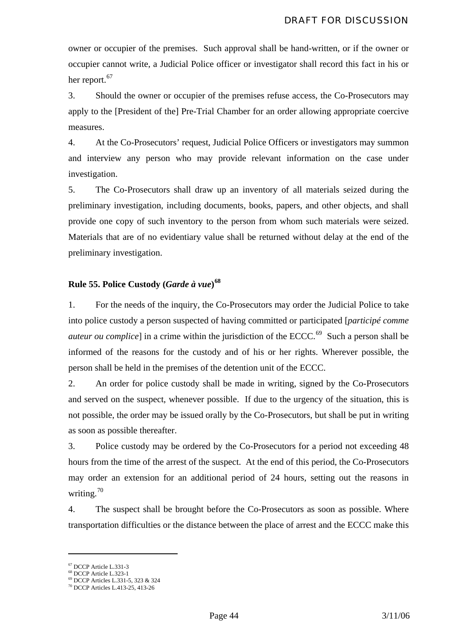owner or occupier of the premises. Such approval shall be hand-written, or if the owner or occupier cannot write, a Judicial Police officer or investigator shall record this fact in his or her report.<sup>[67](#page-44-0)</sup>

3. Should the owner or occupier of the premises refuse access, the Co-Prosecutors may apply to the [President of the] Pre-Trial Chamber for an order allowing appropriate coercive measures.

4. At the Co-Prosecutors' request, Judicial Police Officers or investigators may summon and interview any person who may provide relevant information on the case under investigation.

5. The Co-Prosecutors shall draw up an inventory of all materials seized during the preliminary investigation, including documents, books, papers, and other objects, and shall provide one copy of such inventory to the person from whom such materials were seized. Materials that are of no evidentiary value shall be returned without delay at the end of the preliminary investigation.

# **Rule 55. Police Custody (***Garde à vue***) [68](#page-44-1)**

1. For the needs of the inquiry, the Co-Prosecutors may order the Judicial Police to take into police custody a person suspected of having committed or participated [*participé comme auteur ou complice*] in a crime within the jurisdiction of the ECCC.<sup>[69](#page-44-2)</sup> Such a person shall be informed of the reasons for the custody and of his or her rights. Wherever possible, the person shall be held in the premises of the detention unit of the ECCC.

2. An order for police custody shall be made in writing, signed by the Co-Prosecutors and served on the suspect, whenever possible. If due to the urgency of the situation, this is not possible, the order may be issued orally by the Co-Prosecutors, but shall be put in writing as soon as possible thereafter.

3. Police custody may be ordered by the Co-Prosecutors for a period not exceeding 48 hours from the time of the arrest of the suspect. At the end of this period, the Co-Prosecutors may order an extension for an additional period of 24 hours, setting out the reasons in writing.[70](#page-44-3)

4. The suspect shall be brought before the Co-Prosecutors as soon as possible. Where transportation difficulties or the distance between the place of arrest and the ECCC make this

<span id="page-44-0"></span><sup>67</sup> DCCP Article L.331-3

<sup>68</sup> DCCP Article L.323-1

<span id="page-44-3"></span><span id="page-44-2"></span><span id="page-44-1"></span><sup>69</sup> DCCP Articles L.331-5, 323 & 324 70 DCCP Articles L.413-25, 413-26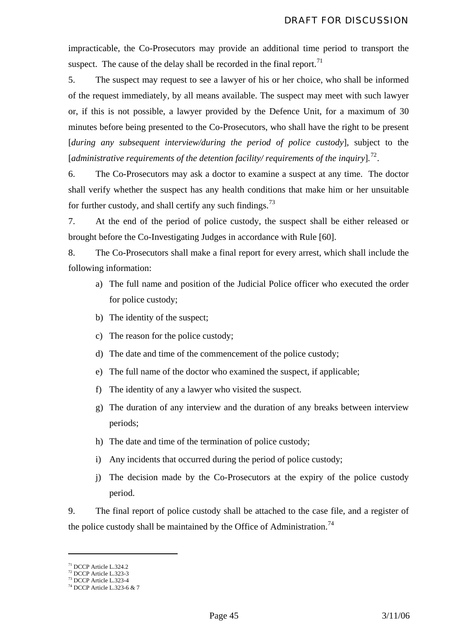impracticable, the Co-Prosecutors may provide an additional time period to transport the suspect. The cause of the delay shall be recorded in the final report.<sup>[71](#page-45-0)</sup>

5. The suspect may request to see a lawyer of his or her choice, who shall be informed of the request immediately, by all means available. The suspect may meet with such lawyer or, if this is not possible, a lawyer provided by the Defence Unit, for a maximum of 30 minutes before being presented to the Co-Prosecutors, who shall have the right to be present [*during any subsequent interview/during the period of police custody*], subject to the [*administrative requirements of the detention facility/ requirements of the inquiry*]*.* [72](#page-45-1).

6. The Co-Prosecutors may ask a doctor to examine a suspect at any time. The doctor shall verify whether the suspect has any health conditions that make him or her unsuitable for further custody, and shall certify any such findings.<sup>[73](#page-45-2)</sup>

7. At the end of the period of police custody, the suspect shall be either released or brought before the Co-Investigating Judges in accordance with Rule [60].

8. The Co-Prosecutors shall make a final report for every arrest, which shall include the following information:

- a) The full name and position of the Judicial Police officer who executed the order for police custody;
- b) The identity of the suspect;
- c) The reason for the police custody;
- d) The date and time of the commencement of the police custody;
- e) The full name of the doctor who examined the suspect, if applicable;
- f) The identity of any a lawyer who visited the suspect.
- g) The duration of any interview and the duration of any breaks between interview periods;
- h) The date and time of the termination of police custody;
- i) Any incidents that occurred during the period of police custody;
- j) The decision made by the Co-Prosecutors at the expiry of the police custody period.

9. The final report of police custody shall be attached to the case file, and a register of the police custody shall be maintained by the Office of Administration.<sup>[74](#page-45-3)</sup>

<span id="page-45-0"></span><sup>71</sup> DCCP Article L.324.2

<span id="page-45-1"></span><sup>72</sup> DCCP Article L.323-3 73 DCCP Article L.323-4

<span id="page-45-3"></span><span id="page-45-2"></span><sup>74</sup> DCCP Article L.323-6 & 7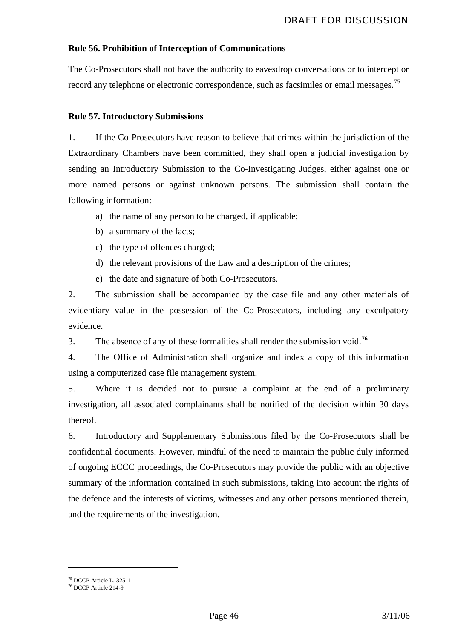### **Rule 56. Prohibition of Interception of Communications**

The Co-Prosecutors shall not have the authority to eavesdrop conversations or to intercept or record any telephone or electronic correspondence, such as facsimiles or email messages.<sup>[75](#page-46-0)</sup>

### **Rule 57. Introductory Submissions**

1. If the Co-Prosecutors have reason to believe that crimes within the jurisdiction of the Extraordinary Chambers have been committed, they shall open a judicial investigation by sending an Introductory Submission to the Co-Investigating Judges, either against one or more named persons or against unknown persons. The submission shall contain the following information:

- a) the name of any person to be charged, if applicable;
- b) a summary of the facts;
- c) the type of offences charged;
- d) the relevant provisions of the Law and a description of the crimes;
- e) the date and signature of both Co-Prosecutors.

2. The submission shall be accompanied by the case file and any other materials of evidentiary value in the possession of the Co-Prosecutors, including any exculpatory evidence.

3. The absence of any of these formalities shall render the submission void.**[76](#page-46-1)**

4. The Office of Administration shall organize and index a copy of this information using a computerized case file management system.

5. Where it is decided not to pursue a complaint at the end of a preliminary investigation, all associated complainants shall be notified of the decision within 30 days thereof.

6. Introductory and Supplementary Submissions filed by the Co-Prosecutors shall be confidential documents. However, mindful of the need to maintain the public duly informed of ongoing ECCC proceedings, the Co-Prosecutors may provide the public with an objective summary of the information contained in such submissions, taking into account the rights of the defence and the interests of victims, witnesses and any other persons mentioned therein, and the requirements of the investigation.

<sup>75</sup> DCCP Article L. 325-1

<span id="page-46-1"></span><span id="page-46-0"></span><sup>76</sup> DCCP Article 214-9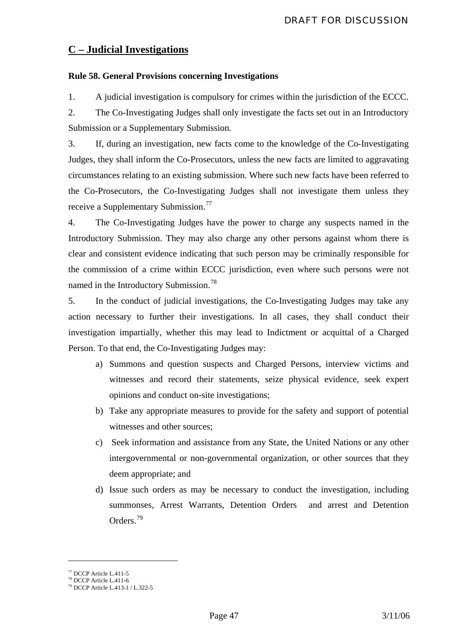# **C – Judicial Investigations**

# **Rule 58. General Provisions concerning Investigations**

1. A judicial investigation is compulsory for crimes within the jurisdiction of the ECCC.

2. The Co-Investigating Judges shall only investigate the facts set out in an Introductory Submission or a Supplementary Submission.

3. If, during an investigation, new facts come to the knowledge of the Co-Investigating Judges, they shall inform the Co-Prosecutors, unless the new facts are limited to aggravating circumstances relating to an existing submission. Where such new facts have been referred to the Co-Prosecutors, the Co-Investigating Judges shall not investigate them unless they receive a Supplementary Submission.<sup>[77](#page-47-0)</sup>

4. The Co-Investigating Judges have the power to charge any suspects named in the Introductory Submission. They may also charge any other persons against whom there is clear and consistent evidence indicating that such person may be criminally responsible for the commission of a crime within ECCC jurisdiction, even where such persons were not named in the Introductory Submission.<sup>[78](#page-47-1)</sup>

5. In the conduct of judicial investigations, the Co-Investigating Judges may take any action necessary to further their investigations. In all cases, they shall conduct their investigation impartially, whether this may lead to Indictment or acquittal of a Charged Person. To that end, the Co-Investigating Judges may:

- a) Summons and question suspects and Charged Persons, interview victims and witnesses and record their statements, seize physical evidence, seek expert opinions and conduct on-site investigations;
- b) Take any appropriate measures to provide for the safety and support of potential witnesses and other sources;
- c) Seek information and assistance from any State, the United Nations or any other intergovernmental or non-governmental organization, or other sources that they deem appropriate; and
- d) Issue such orders as may be necessary to conduct the investigation, including summonses, Arrest Warrants, Detention Orders and arrest and Detention Orders.<sup>[79](#page-47-2)</sup>

<sup>77</sup> DCCP Article L.411-5

<span id="page-47-1"></span><span id="page-47-0"></span> $78$  DCCP Article L.411-6

<span id="page-47-2"></span><sup>79</sup> DCCP Article L.413-1 / L.322-5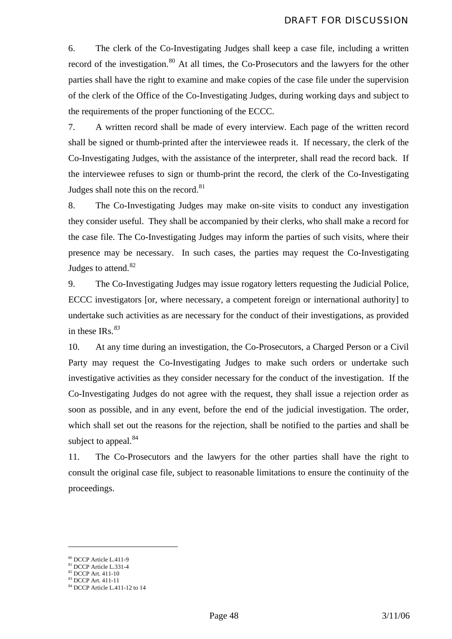6. The clerk of the Co-Investigating Judges shall keep a case file, including a written record of the investigation.<sup>[80](#page-48-0)</sup> At all times, the Co-Prosecutors and the lawyers for the other parties shall have the right to examine and make copies of the case file under the supervision of the clerk of the Office of the Co-Investigating Judges, during working days and subject to the requirements of the proper functioning of the ECCC.

7. A written record shall be made of every interview. Each page of the written record shall be signed or thumb-printed after the interviewee reads it. If necessary, the clerk of the Co-Investigating Judges, with the assistance of the interpreter, shall read the record back. If the interviewee refuses to sign or thumb-print the record, the clerk of the Co-Investigating Judges shall note this on the record.<sup>[81](#page-48-1)</sup>

8. The Co-Investigating Judges may make on-site visits to conduct any investigation they consider useful. They shall be accompanied by their clerks, who shall make a record for the case file. The Co-Investigating Judges may inform the parties of such visits, where their presence may be necessary. In such cases, the parties may request the Co-Investigating Judges to attend.<sup>[82](#page-48-2)</sup>

9. The Co-Investigating Judges may issue rogatory letters requesting the Judicial Police, ECCC investigators [or, where necessary, a competent foreign or international authority] to undertake such activities as are necessary for the conduct of their investigations, as provided in these IRs.*[83](#page-48-3)*

10. At any time during an investigation, the Co-Prosecutors, a Charged Person or a Civil Party may request the Co-Investigating Judges to make such orders or undertake such investigative activities as they consider necessary for the conduct of the investigation. If the Co-Investigating Judges do not agree with the request, they shall issue a rejection order as soon as possible, and in any event, before the end of the judicial investigation. The order, which shall set out the reasons for the rejection, shall be notified to the parties and shall be subject to appeal.<sup>[84](#page-48-4)</sup>

11. The Co-Prosecutors and the lawyers for the other parties shall have the right to consult the original case file, subject to reasonable limitations to ensure the continuity of the proceedings.

<sup>80</sup> DCCP Article L.411-9

<span id="page-48-2"></span><span id="page-48-1"></span><span id="page-48-0"></span><sup>81</sup> DCCP Article L.331-4 <sup>82</sup> DCCP Art. 411-10

<span id="page-48-3"></span><sup>83</sup> DCCP Art. 411-11

<span id="page-48-4"></span><sup>84</sup> DCCP Article L.411-12 to 14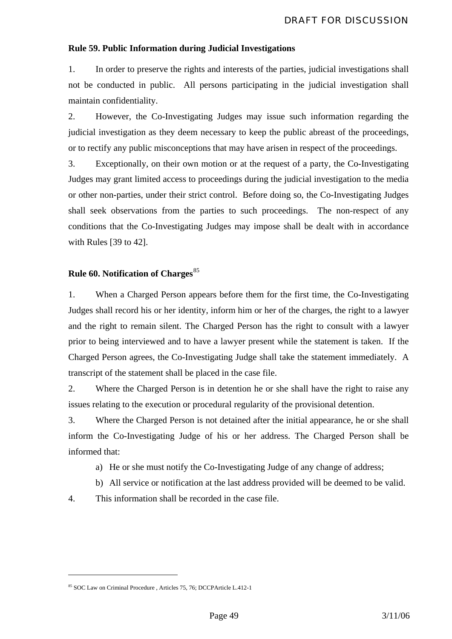### **Rule 59. Public Information during Judicial Investigations**

1. In order to preserve the rights and interests of the parties, judicial investigations shall not be conducted in public. All persons participating in the judicial investigation shall maintain confidentiality.

2. However, the Co-Investigating Judges may issue such information regarding the judicial investigation as they deem necessary to keep the public abreast of the proceedings, or to rectify any public misconceptions that may have arisen in respect of the proceedings.

3. Exceptionally, on their own motion or at the request of a party, the Co-Investigating Judges may grant limited access to proceedings during the judicial investigation to the media or other non-parties, under their strict control. Before doing so, the Co-Investigating Judges shall seek observations from the parties to such proceedings. The non-respect of any conditions that the Co-Investigating Judges may impose shall be dealt with in accordance with Rules [39 to 42].

# **Rule 60. Notification of Charges**[85](#page-49-0)

1. When a Charged Person appears before them for the first time, the Co-Investigating Judges shall record his or her identity, inform him or her of the charges, the right to a lawyer and the right to remain silent. The Charged Person has the right to consult with a lawyer prior to being interviewed and to have a lawyer present while the statement is taken. If the Charged Person agrees, the Co-Investigating Judge shall take the statement immediately. A transcript of the statement shall be placed in the case file.

2. Where the Charged Person is in detention he or she shall have the right to raise any issues relating to the execution or procedural regularity of the provisional detention.

3. Where the Charged Person is not detained after the initial appearance, he or she shall inform the Co-Investigating Judge of his or her address. The Charged Person shall be informed that:

- a) He or she must notify the Co-Investigating Judge of any change of address;
- b) All service or notification at the last address provided will be deemed to be valid.

4. This information shall be recorded in the case file.

<span id="page-49-0"></span><sup>85</sup> SOC Law on Criminal Procedure , Articles 75, 76; DCCPArticle L.412-1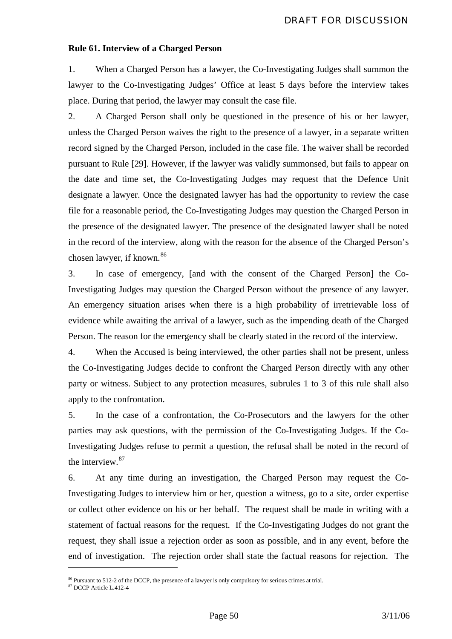#### **Rule 61. Interview of a Charged Person**

1. When a Charged Person has a lawyer, the Co-Investigating Judges shall summon the lawyer to the Co-Investigating Judges' Office at least 5 days before the interview takes place. During that period, the lawyer may consult the case file.

2. A Charged Person shall only be questioned in the presence of his or her lawyer, unless the Charged Person waives the right to the presence of a lawyer, in a separate written record signed by the Charged Person, included in the case file. The waiver shall be recorded pursuant to Rule [29]. However, if the lawyer was validly summonsed, but fails to appear on the date and time set, the Co-Investigating Judges may request that the Defence Unit designate a lawyer. Once the designated lawyer has had the opportunity to review the case file for a reasonable period, the Co-Investigating Judges may question the Charged Person in the presence of the designated lawyer. The presence of the designated lawyer shall be noted in the record of the interview, along with the reason for the absence of the Charged Person's chosen lawyer, if known.<sup>[86](#page-50-0)</sup>

3. In case of emergency, [and with the consent of the Charged Person] the Co-Investigating Judges may question the Charged Person without the presence of any lawyer. An emergency situation arises when there is a high probability of irretrievable loss of evidence while awaiting the arrival of a lawyer, such as the impending death of the Charged Person. The reason for the emergency shall be clearly stated in the record of the interview.

4. When the Accused is being interviewed, the other parties shall not be present, unless the Co-Investigating Judges decide to confront the Charged Person directly with any other party or witness. Subject to any protection measures, subrules 1 to 3 of this rule shall also apply to the confrontation.

5. In the case of a confrontation, the Co-Prosecutors and the lawyers for the other parties may ask questions, with the permission of the Co-Investigating Judges. If the Co-Investigating Judges refuse to permit a question, the refusal shall be noted in the record of the interview.[87](#page-50-1)

6. At any time during an investigation, the Charged Person may request the Co-Investigating Judges to interview him or her, question a witness, go to a site, order expertise or collect other evidence on his or her behalf. The request shall be made in writing with a statement of factual reasons for the request. If the Co-Investigating Judges do not grant the request, they shall issue a rejection order as soon as possible, and in any event, before the end of investigation. The rejection order shall state the factual reasons for rejection. The

<span id="page-50-0"></span><sup>&</sup>lt;sup>86</sup> Pursuant to 512-2 of the DCCP, the presence of a lawyer is only compulsory for serious crimes at trial. <sup>87</sup> DCCP Article L.412-4

<span id="page-50-1"></span>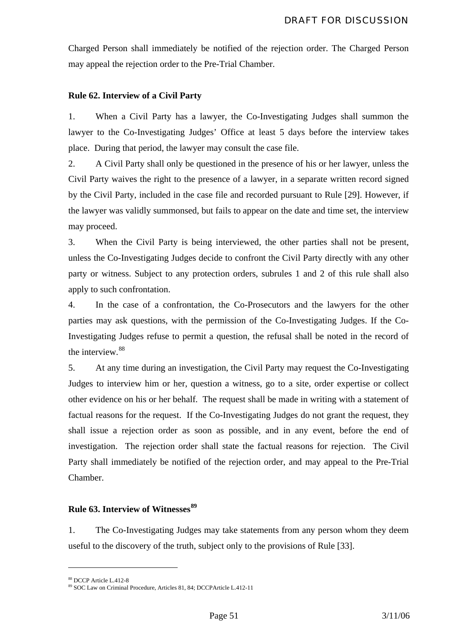Charged Person shall immediately be notified of the rejection order. The Charged Person may appeal the rejection order to the Pre-Trial Chamber.

# **Rule 62. Interview of a Civil Party**

1. When a Civil Party has a lawyer, the Co-Investigating Judges shall summon the lawyer to the Co-Investigating Judges' Office at least 5 days before the interview takes place. During that period, the lawyer may consult the case file.

2. A Civil Party shall only be questioned in the presence of his or her lawyer, unless the Civil Party waives the right to the presence of a lawyer, in a separate written record signed by the Civil Party, included in the case file and recorded pursuant to Rule [29]. However, if the lawyer was validly summonsed, but fails to appear on the date and time set, the interview may proceed.

3. When the Civil Party is being interviewed, the other parties shall not be present, unless the Co-Investigating Judges decide to confront the Civil Party directly with any other party or witness. Subject to any protection orders, subrules 1 and 2 of this rule shall also apply to such confrontation.

4. In the case of a confrontation, the Co-Prosecutors and the lawyers for the other parties may ask questions, with the permission of the Co-Investigating Judges. If the Co-Investigating Judges refuse to permit a question, the refusal shall be noted in the record of the interview.<sup>[88](#page-51-0)</sup>

5. At any time during an investigation, the Civil Party may request the Co-Investigating Judges to interview him or her, question a witness, go to a site, order expertise or collect other evidence on his or her behalf. The request shall be made in writing with a statement of factual reasons for the request. If the Co-Investigating Judges do not grant the request, they shall issue a rejection order as soon as possible, and in any event, before the end of investigation. The rejection order shall state the factual reasons for rejection. The Civil Party shall immediately be notified of the rejection order, and may appeal to the Pre-Trial Chamber.

### **Rule 63. Interview of Witnesses[89](#page-51-1)**

1. The Co-Investigating Judges may take statements from any person whom they deem useful to the discovery of the truth, subject only to the provisions of Rule [33].

<sup>88</sup> DCCP Article L.412-8

<span id="page-51-1"></span><span id="page-51-0"></span><sup>89</sup> SOC Law on Criminal Procedure, Articles 81, 84; DCCPArticle L.412-11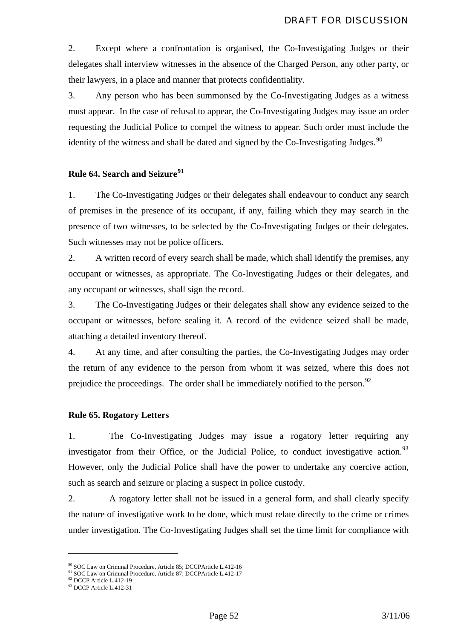2. Except where a confrontation is organised, the Co-Investigating Judges or their delegates shall interview witnesses in the absence of the Charged Person, any other party, or their lawyers, in a place and manner that protects confidentiality.

3. Any person who has been summonsed by the Co-Investigating Judges as a witness must appear. In the case of refusal to appear, the Co-Investigating Judges may issue an order requesting the Judicial Police to compel the witness to appear. Such order must include the identity of the witness and shall be dated and signed by the Co-Investigating Judges. $90$ 

### **Rule 64. Search and Seizure[91](#page-52-1)**

1. The Co-Investigating Judges or their delegates shall endeavour to conduct any search of premises in the presence of its occupant, if any, failing which they may search in the presence of two witnesses, to be selected by the Co-Investigating Judges or their delegates. Such witnesses may not be police officers.

2. A written record of every search shall be made, which shall identify the premises, any occupant or witnesses, as appropriate. The Co-Investigating Judges or their delegates, and any occupant or witnesses, shall sign the record.

3. The Co-Investigating Judges or their delegates shall show any evidence seized to the occupant or witnesses, before sealing it. A record of the evidence seized shall be made, attaching a detailed inventory thereof.

4. At any time, and after consulting the parties, the Co-Investigating Judges may order the return of any evidence to the person from whom it was seized, where this does not prejudice the proceedings. The order shall be immediately notified to the person.<sup>[92](#page-52-2)</sup>

#### **Rule 65. Rogatory Letters**

1. The Co-Investigating Judges may issue a rogatory letter requiring any investigator from their Office, or the Judicial Police, to conduct investigative action.<sup>[93](#page-52-3)</sup> However, only the Judicial Police shall have the power to undertake any coercive action, such as search and seizure or placing a suspect in police custody.

2. A rogatory letter shall not be issued in a general form, and shall clearly specify the nature of investigative work to be done, which must relate directly to the crime or crimes under investigation. The Co-Investigating Judges shall set the time limit for compliance with

<span id="page-52-1"></span><span id="page-52-0"></span><sup>&</sup>lt;sup>90</sup> SOC Law on Criminal Procedure, Article 85; DCCPArticle L.412-16<br><sup>91</sup> SOC Law on Criminal Procedure, Article 87; DCCPArticle L.412-17<br><sup>92</sup> DCCP Article L.412-19

<span id="page-52-2"></span>

<span id="page-52-3"></span><sup>93</sup> DCCP Article L.412-31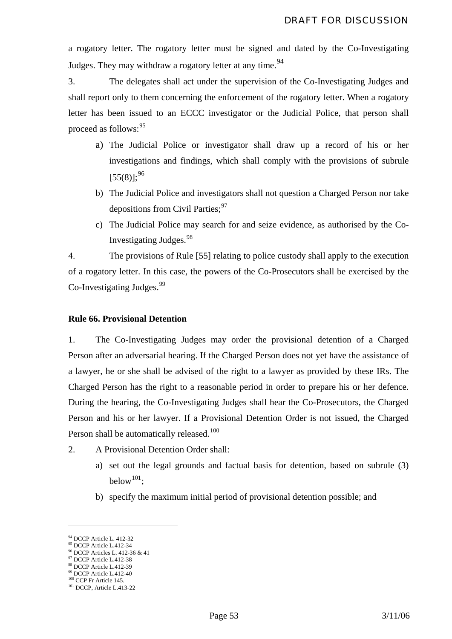a rogatory letter. The rogatory letter must be signed and dated by the Co-Investigating Judges. They may withdraw a rogatory letter at any time.<sup>[94](#page-53-0)</sup>

3. The delegates shall act under the supervision of the Co-Investigating Judges and shall report only to them concerning the enforcement of the rogatory letter. When a rogatory letter has been issued to an ECCC investigator or the Judicial Police, that person shall proceed as follows:<sup>[95](#page-53-1)</sup>

- a) The Judicial Police or investigator shall draw up a record of his or her investigations and findings, which shall comply with the provisions of subrule  $[55(8)]$ ;<sup>[96](#page-53-2)</sup>
- b) The Judicial Police and investigators shall not question a Charged Person nor take depositions from Civil Parties:<sup>[97](#page-53-3)</sup>
- c) The Judicial Police may search for and seize evidence, as authorised by the Co-Investigating Judges.[98](#page-53-4)

4. The provisions of Rule [55] relating to police custody shall apply to the execution of a rogatory letter. In this case, the powers of the Co-Prosecutors shall be exercised by the Co-Investigating Judges.<sup>[99](#page-53-5)</sup>

### **Rule 66. Provisional Detention**

1. The Co-Investigating Judges may order the provisional detention of a Charged Person after an adversarial hearing. If the Charged Person does not yet have the assistance of a lawyer, he or she shall be advised of the right to a lawyer as provided by these IRs. The Charged Person has the right to a reasonable period in order to prepare his or her defence. During the hearing, the Co-Investigating Judges shall hear the Co-Prosecutors, the Charged Person and his or her lawyer. If a Provisional Detention Order is not issued, the Charged Person shall be automatically released.<sup>[100](#page-53-6)</sup>

- 2. A Provisional Detention Order shall:
	- a) set out the legal grounds and factual basis for detention, based on subrule (3) below<sup>[101](#page-53-7)</sup>;
	- b) specify the maximum initial period of provisional detention possible; and

<span id="page-53-1"></span><span id="page-53-0"></span><sup>94</sup> DCCP Article L. 412-32 95 DCCP Article L.412-34

<span id="page-53-2"></span><sup>96</sup> DCCP Articles L. 412-36 & 41

<span id="page-53-3"></span><sup>&</sup>lt;sup>97</sup> DCCP Article L.412-38

<sup>98</sup> DCCP Article L.412-39

<span id="page-53-6"></span><span id="page-53-5"></span><span id="page-53-4"></span> $\frac{99}{100}$  DCCP Article L.412-40<br> $\frac{100}{100}$  CCP Fr Article 145.

<span id="page-53-7"></span> $101$  DCCP, Article L.413-22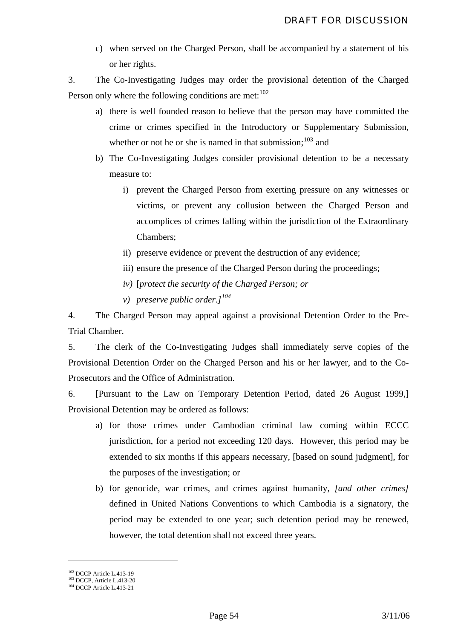c) when served on the Charged Person, shall be accompanied by a statement of his or her rights.

3. The Co-Investigating Judges may order the provisional detention of the Charged Person only where the following conditions are met:  $102$ 

- a) there is well founded reason to believe that the person may have committed the crime or crimes specified in the Introductory or Supplementary Submission, whether or not he or she is named in that submission;  $103$  and
- b) The Co-Investigating Judges consider provisional detention to be a necessary measure to:
	- i) prevent the Charged Person from exerting pressure on any witnesses or victims, or prevent any collusion between the Charged Person and accomplices of crimes falling within the jurisdiction of the Extraordinary Chambers;
	- ii) preserve evidence or prevent the destruction of any evidence;
	- iii) ensure the presence of the Charged Person during the proceedings;
	- *iv)* [*protect the security of the Charged Person; or*
	- *v) preserve public order.][104](#page-54-2)*

4. The Charged Person may appeal against a provisional Detention Order to the Pre-Trial Chamber.

5. The clerk of the Co-Investigating Judges shall immediately serve copies of the Provisional Detention Order on the Charged Person and his or her lawyer, and to the Co-Prosecutors and the Office of Administration.

6. [Pursuant to the Law on Temporary Detention Period, dated 26 August 1999,] Provisional Detention may be ordered as follows:

- a) for those crimes under Cambodian criminal law coming within ECCC jurisdiction, for a period not exceeding 120 days. However, this period may be extended to six months if this appears necessary, [based on sound judgment], for the purposes of the investigation; or
- b) for genocide, war crimes, and crimes against humanity, *[and other crimes]* defined in United Nations Conventions to which Cambodia is a signatory, the period may be extended to one year; such detention period may be renewed, however, the total detention shall not exceed three years.

<span id="page-54-1"></span><span id="page-54-0"></span><sup>&</sup>lt;sup>102</sup> DCCP Article L.413-19<br><sup>103</sup> DCCP, Article L.413-20<br><sup>104</sup> DCCP Article L.413-21

<span id="page-54-2"></span>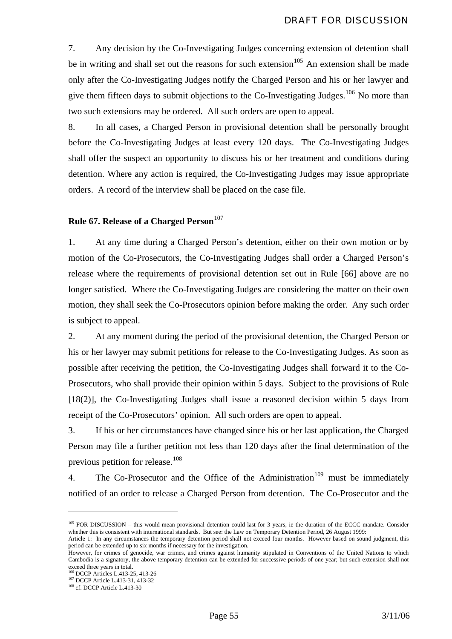7. Any decision by the Co-Investigating Judges concerning extension of detention shall be in writing and shall set out the reasons for such extension<sup>[105](#page-55-0)</sup> An extension shall be made only after the Co-Investigating Judges notify the Charged Person and his or her lawyer and give them fifteen days to submit objections to the Co-Investigating Judges.<sup>[106](#page-55-1)</sup> No more than two such extensions may be ordered. All such orders are open to appeal.

8. In all cases, a Charged Person in provisional detention shall be personally brought before the Co-Investigating Judges at least every 120 days. The Co-Investigating Judges shall offer the suspect an opportunity to discuss his or her treatment and conditions during detention. Where any action is required, the Co-Investigating Judges may issue appropriate orders. A record of the interview shall be placed on the case file.

## **Rule 67. Release of a Charged Person**<sup>[107](#page-55-2)</sup>

1. At any time during a Charged Person's detention, either on their own motion or by motion of the Co-Prosecutors, the Co-Investigating Judges shall order a Charged Person's release where the requirements of provisional detention set out in Rule [66] above are no longer satisfied. Where the Co-Investigating Judges are considering the matter on their own motion, they shall seek the Co-Prosecutors opinion before making the order. Any such order is subject to appeal.

2. At any moment during the period of the provisional detention, the Charged Person or his or her lawyer may submit petitions for release to the Co-Investigating Judges. As soon as possible after receiving the petition, the Co-Investigating Judges shall forward it to the Co-Prosecutors, who shall provide their opinion within 5 days. Subject to the provisions of Rule [18(2)], the Co-Investigating Judges shall issue a reasoned decision within 5 days from receipt of the Co-Prosecutors' opinion. All such orders are open to appeal.

3. If his or her circumstances have changed since his or her last application, the Charged Person may file a further petition not less than 120 days after the final determination of the previous petition for release.<sup>[108](#page-55-3)</sup>

4. The Co-Prosecutor and the Office of the Administration<sup>[109](#page-55-4)</sup> must be immediately notified of an order to release a Charged Person from detention. The Co-Prosecutor and the

<sup>&</sup>lt;sup>105</sup> FOR DISCUSSION – this would mean provisional detention could last for 3 years, ie the duration of the ECCC mandate. Consider whether this is consistent with international standards. But see: the Law on Temporary Detention Period, 26 August 1999:

<span id="page-55-4"></span><span id="page-55-0"></span>Article 1: In any circumstances the temporary detention period shall not exceed four months. However based on sound judgment, this period can be extended up to six months if necessary for the investigation.

However, for crimes of genocide, war crimes, and crimes against humanity stipulated in Conventions of the United Nations to which Cambodia is a signatory, the above temporary detention can be extended for successive periods of one year; but such extension shall not exceed three years in total.<br><sup>106</sup> DCCP Articles L.413-25, 413-26

<span id="page-55-3"></span><span id="page-55-2"></span><span id="page-55-1"></span><sup>&</sup>lt;sup>107</sup> DCCP Article L.413-31, 413-32<br><sup>108</sup> cf. DCCP Article L.413-30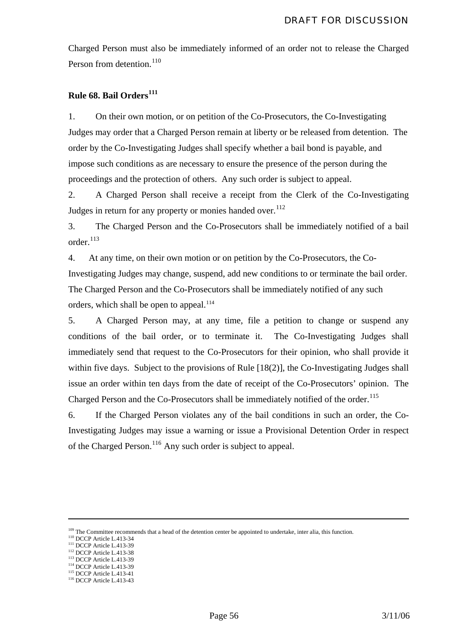Charged Person must also be immediately informed of an order not to release the Charged Person from detention.<sup>[110](#page-56-0)</sup>

### **Rule 68. Bail Orders[111](#page-56-1)**

1. On their own motion, or on petition of the Co-Prosecutors, the Co-Investigating Judges may order that a Charged Person remain at liberty or be released from detention. The order by the Co-Investigating Judges shall specify whether a bail bond is payable, and impose such conditions as are necessary to ensure the presence of the person during the proceedings and the protection of others. Any such order is subject to appeal.

2. A Charged Person shall receive a receipt from the Clerk of the Co-Investigating Judges in return for any property or monies handed over.<sup>[112](#page-56-2)</sup>

3. The Charged Person and the Co-Prosecutors shall be immediately notified of a bail order.[113](#page-56-3)

4. At any time, on their own motion or on petition by the Co-Prosecutors, the Co-Investigating Judges may change, suspend, add new conditions to or terminate the bail order. The Charged Person and the Co-Prosecutors shall be immediately notified of any such orders, which shall be open to appeal. $114$ 

5. A Charged Person may, at any time, file a petition to change or suspend any conditions of the bail order, or to terminate it. The Co-Investigating Judges shall immediately send that request to the Co-Prosecutors for their opinion, who shall provide it within five days. Subject to the provisions of Rule [18(2)], the Co-Investigating Judges shall issue an order within ten days from the date of receipt of the Co-Prosecutors' opinion. The Charged Person and the Co-Prosecutors shall be immediately notified of the order.<sup>[115](#page-56-5)</sup>

6. If the Charged Person violates any of the bail conditions in such an order, the Co-Investigating Judges may issue a warning or issue a Provisional Detention Order in respect of the Charged Person.<sup>[116](#page-56-6)</sup> Any such order is subject to appeal.

<span id="page-56-1"></span><span id="page-56-0"></span><sup>109</sup> The Committee recommends that a head of the detention center be appointed to undertake, inter alia, this function.<br><sup>110</sup> DCCP Article L.413-34<br><sup>111</sup> DCCP Article L.413-39<br><sup>112</sup> DCCP Article L.413-38<br><sup>113</sup> DCCP Artic

<span id="page-56-2"></span>

<span id="page-56-4"></span><span id="page-56-3"></span>

<span id="page-56-5"></span>

<span id="page-56-6"></span>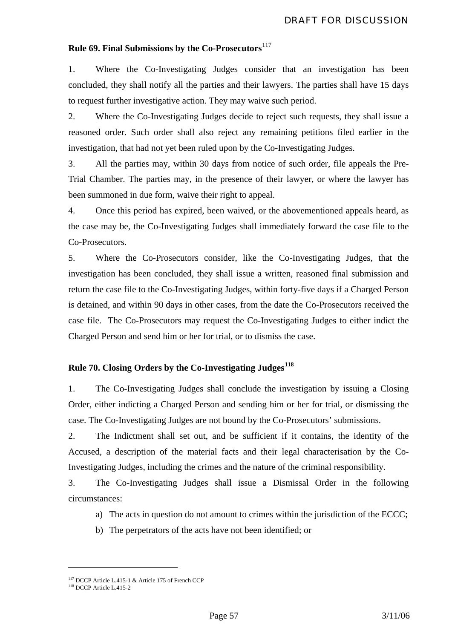# **Rule 69. Final Submissions by the Co-Prosecutors**<sup>[117](#page-57-0)</sup>

1. Where the Co-Investigating Judges consider that an investigation has been concluded, they shall notify all the parties and their lawyers. The parties shall have 15 days to request further investigative action. They may waive such period.

2. Where the Co-Investigating Judges decide to reject such requests, they shall issue a reasoned order. Such order shall also reject any remaining petitions filed earlier in the investigation, that had not yet been ruled upon by the Co-Investigating Judges.

3. All the parties may, within 30 days from notice of such order, file appeals the Pre-Trial Chamber. The parties may, in the presence of their lawyer, or where the lawyer has been summoned in due form, waive their right to appeal.

4. Once this period has expired, been waived, or the abovementioned appeals heard, as the case may be, the Co-Investigating Judges shall immediately forward the case file to the Co-Prosecutors.

5. Where the Co-Prosecutors consider, like the Co-Investigating Judges, that the investigation has been concluded, they shall issue a written, reasoned final submission and return the case file to the Co-Investigating Judges, within forty-five days if a Charged Person is detained, and within 90 days in other cases, from the date the Co-Prosecutors received the case file. The Co-Prosecutors may request the Co-Investigating Judges to either indict the Charged Person and send him or her for trial, or to dismiss the case.

# **Rule 70. Closing Orders by the Co-Investigating Judges[118](#page-57-1)**

1. The Co-Investigating Judges shall conclude the investigation by issuing a Closing Order, either indicting a Charged Person and sending him or her for trial, or dismissing the case. The Co-Investigating Judges are not bound by the Co-Prosecutors' submissions.

2. The Indictment shall set out, and be sufficient if it contains, the identity of the Accused, a description of the material facts and their legal characterisation by the Co-Investigating Judges, including the crimes and the nature of the criminal responsibility*.*

3. The Co-Investigating Judges shall issue a Dismissal Order in the following circumstances:

- a) The acts in question do not amount to crimes within the jurisdiction of the ECCC;
- b) The perpetrators of the acts have not been identified; or

<span id="page-57-0"></span><sup>&</sup>lt;sup>117</sup> DCCP Article L.415-1 & Article 175 of French CCP

<span id="page-57-1"></span><sup>118</sup> DCCP Article L.415-2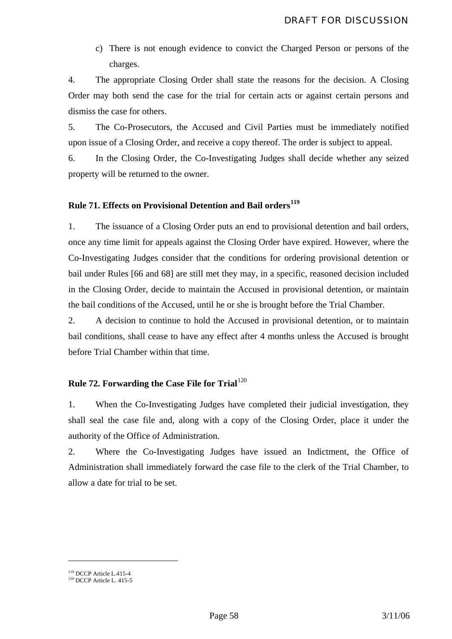c) There is not enough evidence to convict the Charged Person or persons of the charges.

4. The appropriate Closing Order shall state the reasons for the decision. A Closing Order may both send the case for the trial for certain acts or against certain persons and dismiss the case for others.

5. The Co-Prosecutors, the Accused and Civil Parties must be immediately notified upon issue of a Closing Order, and receive a copy thereof. The order is subject to appeal.

6. In the Closing Order, the Co-Investigating Judges shall decide whether any seized property will be returned to the owner.

# **Rule 71. Effects on Provisional Detention and Bail orders[119](#page-58-0)**

1. The issuance of a Closing Order puts an end to provisional detention and bail orders, once any time limit for appeals against the Closing Order have expired. However, where the Co-Investigating Judges consider that the conditions for ordering provisional detention or bail under Rules [66 and 68] are still met they may, in a specific, reasoned decision included in the Closing Order, decide to maintain the Accused in provisional detention, or maintain the bail conditions of the Accused, until he or she is brought before the Trial Chamber.

2. A decision to continue to hold the Accused in provisional detention, or to maintain bail conditions, shall cease to have any effect after 4 months unless the Accused is brought before Trial Chamber within that time.

# **Rule 72. Forwarding the Case File for Trial**<sup>[120](#page-58-1)</sup>

1. When the Co-Investigating Judges have completed their judicial investigation, they shall seal the case file and, along with a copy of the Closing Order, place it under the authority of the Office of Administration.

2. Where the Co-Investigating Judges have issued an Indictment, the Office of Administration shall immediately forward the case file to the clerk of the Trial Chamber, to allow a date for trial to be set.

<span id="page-58-1"></span><span id="page-58-0"></span><sup>&</sup>lt;sup>119</sup> DCCP Article L.415-4<br><sup>120</sup> DCCP Article L. 415-5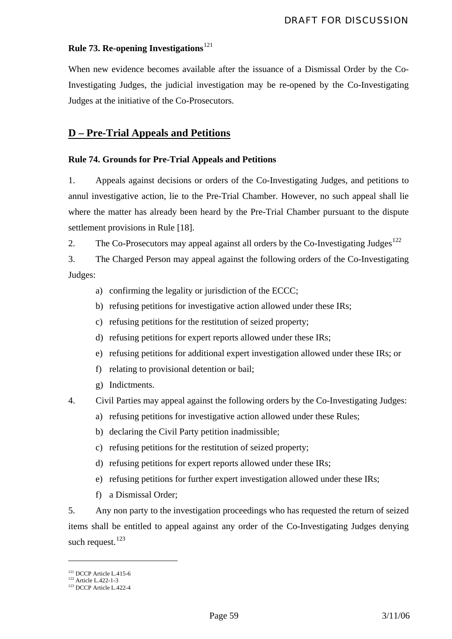# **Rule 73. Re-opening Investigations**<sup>[121](#page-59-0)</sup>

When new evidence becomes available after the issuance of a Dismissal Order by the Co-Investigating Judges, the judicial investigation may be re-opened by the Co-Investigating Judges at the initiative of the Co-Prosecutors.

# **D – Pre-Trial Appeals and Petitions**

# **Rule 74. Grounds for Pre-Trial Appeals and Petitions**

1. Appeals against decisions or orders of the Co-Investigating Judges, and petitions to annul investigative action, lie to the Pre-Trial Chamber. However, no such appeal shall lie where the matter has already been heard by the Pre-Trial Chamber pursuant to the dispute settlement provisions in Rule [18].

2. The Co-Prosecutors may appeal against all orders by the Co-Investigating Judges<sup>[122](#page-59-1)</sup>

3. The Charged Person may appeal against the following orders of the Co-Investigating Judges:

- a) confirming the legality or jurisdiction of the ECCC;
- b) refusing petitions for investigative action allowed under these IRs;
- c) refusing petitions for the restitution of seized property;
- d) refusing petitions for expert reports allowed under these IRs;
- e) refusing petitions for additional expert investigation allowed under these IRs; or
- f) relating to provisional detention or bail;
- g) Indictments.
- 4. Civil Parties may appeal against the following orders by the Co-Investigating Judges:
	- a) refusing petitions for investigative action allowed under these Rules;
	- b) declaring the Civil Party petition inadmissible;
	- c) refusing petitions for the restitution of seized property;
	- d) refusing petitions for expert reports allowed under these IRs;
	- e) refusing petitions for further expert investigation allowed under these IRs;
	- f) a Dismissal Order;

5. Any non party to the investigation proceedings who has requested the return of seized items shall be entitled to appeal against any order of the Co-Investigating Judges denying such request.<sup>[123](#page-59-2)</sup>

<span id="page-59-2"></span><span id="page-59-1"></span><span id="page-59-0"></span><sup>&</sup>lt;sup>121</sup> DCCP Article L.415-6<br><sup>122</sup> Article L.422-1-3<br><sup>123</sup> DCCP Article L.422-4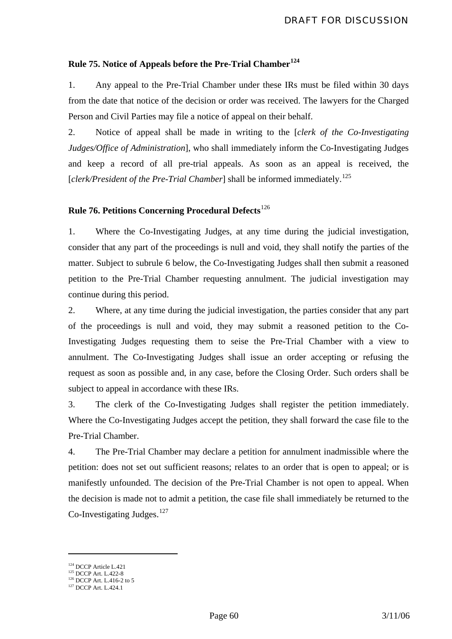# **Rule 75. Notice of Appeals before the Pre-Trial Chamber[124](#page-60-0)**

1. Any appeal to the Pre-Trial Chamber under these IRs must be filed within 30 days from the date that notice of the decision or order was received. The lawyers for the Charged Person and Civil Parties may file a notice of appeal on their behalf.

2. Notice of appeal shall be made in writing to the [*clerk of the Co-Investigating Judges/Office of Administration*], who shall immediately inform the Co-Investigating Judges and keep a record of all pre-trial appeals. As soon as an appeal is received, the [*clerk/President of the Pre-Trial Chamber*] shall be informed immediately.<sup>[125](#page-60-1)</sup>

# **Rule 76. Petitions Concerning Procedural Defects**[126](#page-60-2)

1. Where the Co-Investigating Judges, at any time during the judicial investigation, consider that any part of the proceedings is null and void, they shall notify the parties of the matter. Subject to subrule 6 below, the Co-Investigating Judges shall then submit a reasoned petition to the Pre-Trial Chamber requesting annulment. The judicial investigation may continue during this period.

2. Where, at any time during the judicial investigation, the parties consider that any part of the proceedings is null and void, they may submit a reasoned petition to the Co-Investigating Judges requesting them to seise the Pre-Trial Chamber with a view to annulment. The Co-Investigating Judges shall issue an order accepting or refusing the request as soon as possible and, in any case, before the Closing Order. Such orders shall be subject to appeal in accordance with these IRs.

3. The clerk of the Co-Investigating Judges shall register the petition immediately. Where the Co-Investigating Judges accept the petition, they shall forward the case file to the Pre-Trial Chamber.

4. The Pre-Trial Chamber may declare a petition for annulment inadmissible where the petition: does not set out sufficient reasons; relates to an order that is open to appeal; or is manifestly unfounded. The decision of the Pre-Trial Chamber is not open to appeal. When the decision is made not to admit a petition, the case file shall immediately be returned to the Co-Investigating Judges. $127$ 

<span id="page-60-1"></span><span id="page-60-0"></span><sup>&</sup>lt;sup>124</sup> DCCP Article L.421<br><sup>125</sup> DCCP Art. L.412-8<br><sup>126</sup> DCCP Art. L.416-2 to 5<br><sup>127</sup> DCCP Art. L.424.1

<span id="page-60-3"></span><span id="page-60-2"></span>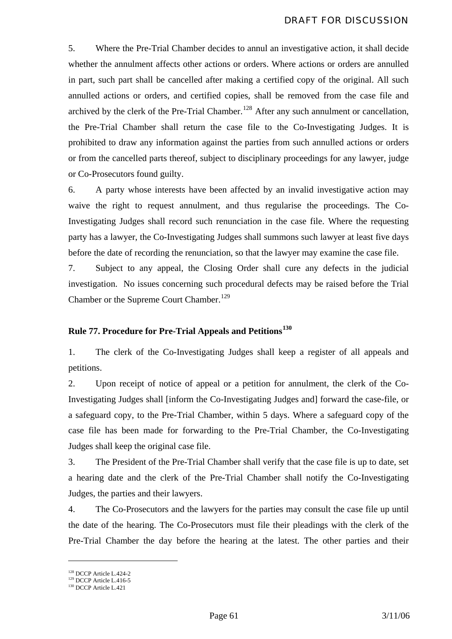5. Where the Pre-Trial Chamber decides to annul an investigative action, it shall decide whether the annulment affects other actions or orders. Where actions or orders are annulled in part, such part shall be cancelled after making a certified copy of the original. All such annulled actions or orders, and certified copies, shall be removed from the case file and archived by the clerk of the Pre-Trial Chamber.<sup>[128](#page-61-0)</sup> After any such annulment or cancellation, the Pre-Trial Chamber shall return the case file to the Co-Investigating Judges. It is prohibited to draw any information against the parties from such annulled actions or orders or from the cancelled parts thereof, subject to disciplinary proceedings for any lawyer, judge or Co-Prosecutors found guilty.

6. A party whose interests have been affected by an invalid investigative action may waive the right to request annulment, and thus regularise the proceedings. The Co-Investigating Judges shall record such renunciation in the case file. Where the requesting party has a lawyer, the Co-Investigating Judges shall summons such lawyer at least five days before the date of recording the renunciation, so that the lawyer may examine the case file.

7. Subject to any appeal, the Closing Order shall cure any defects in the judicial investigation. No issues concerning such procedural defects may be raised before the Trial Chamber or the Supreme Court Chamber.<sup>[129](#page-61-1)</sup>

### **Rule 77. Procedure for Pre-Trial Appeals and Petitions[130](#page-61-2)**

1. The clerk of the Co-Investigating Judges shall keep a register of all appeals and petitions.

2. Upon receipt of notice of appeal or a petition for annulment, the clerk of the Co-Investigating Judges shall [inform the Co-Investigating Judges and] forward the case-file, or a safeguard copy, to the Pre-Trial Chamber, within 5 days. Where a safeguard copy of the case file has been made for forwarding to the Pre-Trial Chamber, the Co-Investigating Judges shall keep the original case file.

3. The President of the Pre-Trial Chamber shall verify that the case file is up to date, set a hearing date and the clerk of the Pre-Trial Chamber shall notify the Co-Investigating Judges, the parties and their lawyers.

4. The Co-Prosecutors and the lawyers for the parties may consult the case file up until the date of the hearing. The Co-Prosecutors must file their pleadings with the clerk of the Pre-Trial Chamber the day before the hearing at the latest. The other parties and their

<span id="page-61-1"></span><span id="page-61-0"></span><sup>&</sup>lt;sup>128</sup> DCCP Article L.424-2<br><sup>129</sup> DCCP Article L.416-5<br><sup>130</sup> DCCP Article L.421

<span id="page-61-2"></span>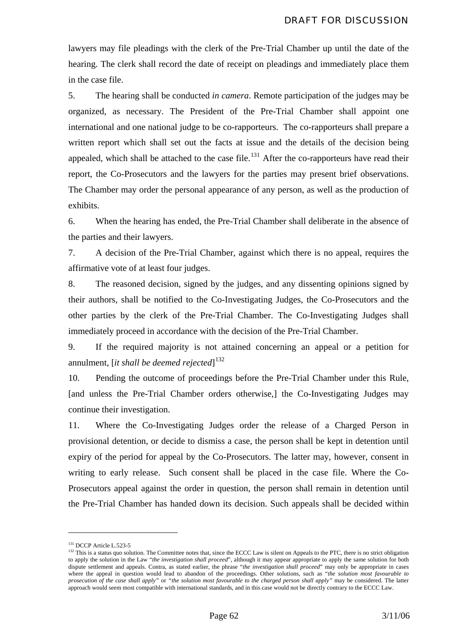lawyers may file pleadings with the clerk of the Pre-Trial Chamber up until the date of the hearing. The clerk shall record the date of receipt on pleadings and immediately place them in the case file.

5. The hearing shall be conducted *in camera*. Remote participation of the judges may be organized, as necessary. The President of the Pre-Trial Chamber shall appoint one international and one national judge to be co-rapporteurs. The co-rapporteurs shall prepare a written report which shall set out the facts at issue and the details of the decision being appealed, which shall be attached to the case file.<sup>[131](#page-62-0)</sup> After the co-rapporteurs have read their report, the Co-Prosecutors and the lawyers for the parties may present brief observations. The Chamber may order the personal appearance of any person, as well as the production of exhibits.

6. When the hearing has ended, the Pre-Trial Chamber shall deliberate in the absence of the parties and their lawyers.

7. A decision of the Pre-Trial Chamber, against which there is no appeal, requires the affirmative vote of at least four judges.

8. The reasoned decision, signed by the judges, and any dissenting opinions signed by their authors, shall be notified to the Co-Investigating Judges, the Co-Prosecutors and the other parties by the clerk of the Pre-Trial Chamber. The Co-Investigating Judges shall immediately proceed in accordance with the decision of the Pre-Trial Chamber.

9. If the required majority is not attained concerning an appeal or a petition for annulment, [*it shall be deemed rejected*] [132](#page-62-1)

10. Pending the outcome of proceedings before the Pre-Trial Chamber under this Rule, [and unless the Pre-Trial Chamber orders otherwise,] the Co-Investigating Judges may continue their investigation.

11. Where the Co-Investigating Judges order the release of a Charged Person in provisional detention, or decide to dismiss a case, the person shall be kept in detention until expiry of the period for appeal by the Co-Prosecutors. The latter may, however, consent in writing to early release. Such consent shall be placed in the case file. Where the Co-Prosecutors appeal against the order in question, the person shall remain in detention until the Pre-Trial Chamber has handed down its decision. Such appeals shall be decided within

<span id="page-62-1"></span><span id="page-62-0"></span><sup>&</sup>lt;sup>131</sup> DCCP Article L.523-5<br><sup>132</sup> This is a status quo solution. The Committee notes that, since the ECCC Law is silent on Appeals to the PTC, there is no strict obligation to apply the solution in the Law "*the investigation shall proceed*", although it may appear appropriate to apply the same solution for both dispute settlement and appeals. Contra, as stated earlier, the phrase "*the investigation shall proceed*" may only be appropriate in cases where the appeal in question would lead to abandon of the proceedings. Other solutions, such as "*the solution most favourable to prosecution of the case shall apply"* or *"the solution most favourable to the charged person shall apply"* may be considered. The latter approach would seem most compatible with international standards, and in this case would not be directly contrary to the ECCC Law.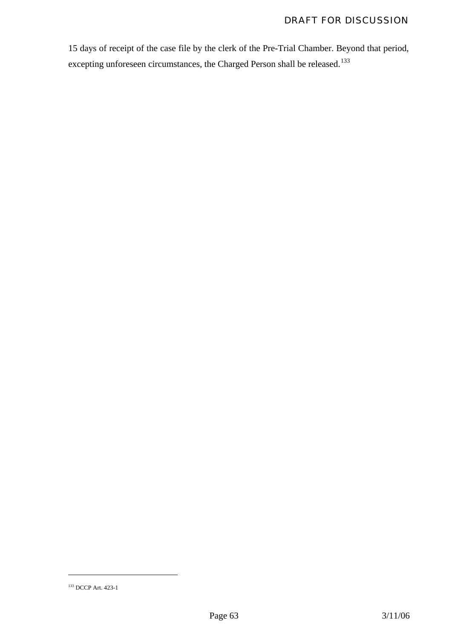15 days of receipt of the case file by the clerk of the Pre-Trial Chamber. Beyond that period, excepting unforeseen circumstances, the Charged Person shall be released.<sup>[133](#page-63-0)</sup>

<span id="page-63-0"></span><sup>133</sup> DCCP Art. 423-1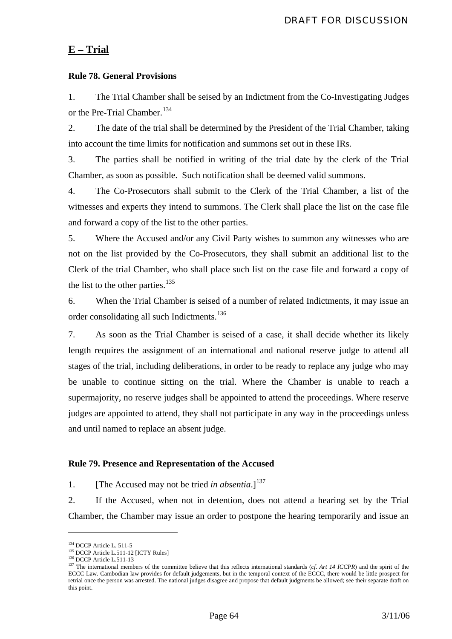# **E – Trial**

### **Rule 78. General Provisions**

1. The Trial Chamber shall be seised by an Indictment from the Co-Investigating Judges or the Pre-Trial Chamber.<sup>[134](#page-64-0)</sup>

2. The date of the trial shall be determined by the President of the Trial Chamber, taking into account the time limits for notification and summons set out in these IRs.

3. The parties shall be notified in writing of the trial date by the clerk of the Trial Chamber, as soon as possible. Such notification shall be deemed valid summons.

4. The Co-Prosecutors shall submit to the Clerk of the Trial Chamber, a list of the witnesses and experts they intend to summons. The Clerk shall place the list on the case file and forward a copy of the list to the other parties.

5. Where the Accused and/or any Civil Party wishes to summon any witnesses who are not on the list provided by the Co-Prosecutors, they shall submit an additional list to the Clerk of the trial Chamber, who shall place such list on the case file and forward a copy of the list to the other parties.<sup>[135](#page-64-1)</sup>

6. When the Trial Chamber is seised of a number of related Indictments, it may issue an order consolidating all such Indictments.<sup>[136](#page-64-2)</sup>

7. As soon as the Trial Chamber is seised of a case, it shall decide whether its likely length requires the assignment of an international and national reserve judge to attend all stages of the trial, including deliberations, in order to be ready to replace any judge who may be unable to continue sitting on the trial. Where the Chamber is unable to reach a supermajority, no reserve judges shall be appointed to attend the proceedings. Where reserve judges are appointed to attend, they shall not participate in any way in the proceedings unless and until named to replace an absent judge.

#### **Rule 79. Presence and Representation of the Accused**

1. **IThe Accused may not be tried** *in absentia***.**]<sup>[137](#page-64-3)</sup>

2. If the Accused, when not in detention, does not attend a hearing set by the Trial Chamber, the Chamber may issue an order to postpone the hearing temporarily and issue an

<span id="page-64-2"></span>

<span id="page-64-3"></span>

<span id="page-64-1"></span><span id="page-64-0"></span><sup>&</sup>lt;sup>134</sup> DCCP Article L. 511-5<br><sup>135</sup> DCCP Article L.511-12 [ICTY Rules]<br><sup>136</sup> DCCP Article L.511-13<br><sup>136</sup> DCCP Article L.511-13<br><sup>137</sup> The international members of the committee believe that this reflects international standa ECCC Law. Cambodian law provides for default judgements, but in the temporal context of the ECCC, there would be little prospect for retrial once the person was arrested. The national judges disagree and propose that default judgments be allowed; see their separate draft on this point.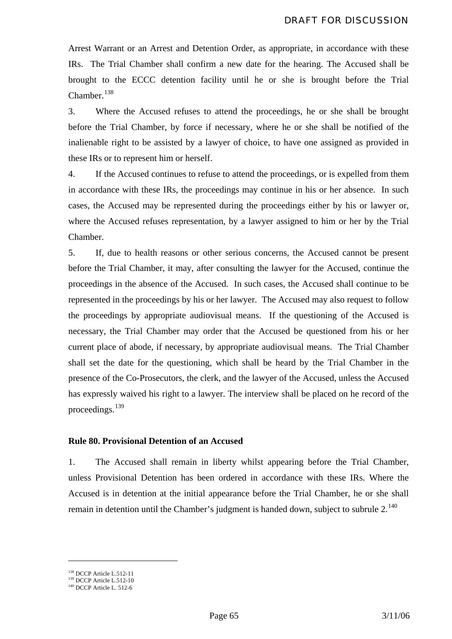Arrest Warrant or an Arrest and Detention Order, as appropriate, in accordance with these IRs. The Trial Chamber shall confirm a new date for the hearing. The Accused shall be brought to the ECCC detention facility until he or she is brought before the Trial Chamber.<sup>[138](#page-65-0)</sup>

3. Where the Accused refuses to attend the proceedings, he or she shall be brought before the Trial Chamber, by force if necessary, where he or she shall be notified of the inalienable right to be assisted by a lawyer of choice, to have one assigned as provided in these IRs or to represent him or herself.

4. If the Accused continues to refuse to attend the proceedings, or is expelled from them in accordance with these IRs, the proceedings may continue in his or her absence. In such cases, the Accused may be represented during the proceedings either by his or lawyer or, where the Accused refuses representation, by a lawyer assigned to him or her by the Trial Chamber.

5. If, due to health reasons or other serious concerns, the Accused cannot be present before the Trial Chamber, it may, after consulting the lawyer for the Accused, continue the proceedings in the absence of the Accused. In such cases, the Accused shall continue to be represented in the proceedings by his or her lawyer. The Accused may also request to follow the proceedings by appropriate audiovisual means. If the questioning of the Accused is necessary, the Trial Chamber may order that the Accused be questioned from his or her current place of abode, if necessary, by appropriate audiovisual means. The Trial Chamber shall set the date for the questioning, which shall be heard by the Trial Chamber in the presence of the Co-Prosecutors, the clerk, and the lawyer of the Accused, unless the Accused has expressly waived his right to a lawyer. The interview shall be placed on he record of the proceedings.[139](#page-65-1)

### **Rule 80. Provisional Detention of an Accused**

1. The Accused shall remain in liberty whilst appearing before the Trial Chamber, unless Provisional Detention has been ordered in accordance with these IRs. Where the Accused is in detention at the initial appearance before the Trial Chamber, he or she shall remain in detention until the Chamber's judgment is handed down, subject to subrule  $2^{140}$ 

<span id="page-65-1"></span><span id="page-65-0"></span><sup>&</sup>lt;sup>138</sup> DCCP Article L.512-11<br><sup>139</sup> DCCP Article L.512-10<br><sup>140</sup> DCCP Article L. 512-6

<span id="page-65-2"></span>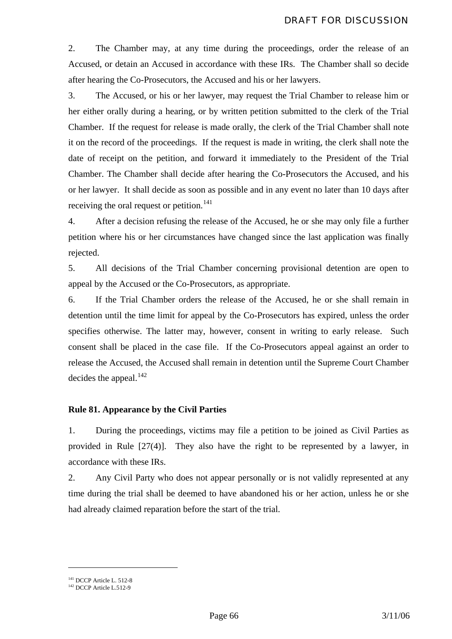2. The Chamber may, at any time during the proceedings, order the release of an Accused, or detain an Accused in accordance with these IRs. The Chamber shall so decide after hearing the Co-Prosecutors, the Accused and his or her lawyers.

3. The Accused, or his or her lawyer, may request the Trial Chamber to release him or her either orally during a hearing, or by written petition submitted to the clerk of the Trial Chamber. If the request for release is made orally, the clerk of the Trial Chamber shall note it on the record of the proceedings. If the request is made in writing, the clerk shall note the date of receipt on the petition, and forward it immediately to the President of the Trial Chamber. The Chamber shall decide after hearing the Co-Prosecutors the Accused, and his or her lawyer. It shall decide as soon as possible and in any event no later than 10 days after receiving the oral request or petition.<sup>[141](#page-66-0)</sup>

4. After a decision refusing the release of the Accused, he or she may only file a further petition where his or her circumstances have changed since the last application was finally rejected.

5. All decisions of the Trial Chamber concerning provisional detention are open to appeal by the Accused or the Co-Prosecutors, as appropriate.

6. If the Trial Chamber orders the release of the Accused, he or she shall remain in detention until the time limit for appeal by the Co-Prosecutors has expired, unless the order specifies otherwise. The latter may, however, consent in writing to early release. Such consent shall be placed in the case file. If the Co-Prosecutors appeal against an order to release the Accused, the Accused shall remain in detention until the Supreme Court Chamber decides the appeal. $^{142}$  $^{142}$  $^{142}$ 

#### **Rule 81. Appearance by the Civil Parties**

1. During the proceedings, victims may file a petition to be joined as Civil Parties as provided in Rule [27(4)]. They also have the right to be represented by a lawyer, in accordance with these IRs.

2. Any Civil Party who does not appear personally or is not validly represented at any time during the trial shall be deemed to have abandoned his or her action, unless he or she had already claimed reparation before the start of the trial.

<span id="page-66-1"></span><span id="page-66-0"></span><sup>&</sup>lt;sup>141</sup> DCCP Article L. 512-8<br><sup>142</sup> DCCP Article L.512-9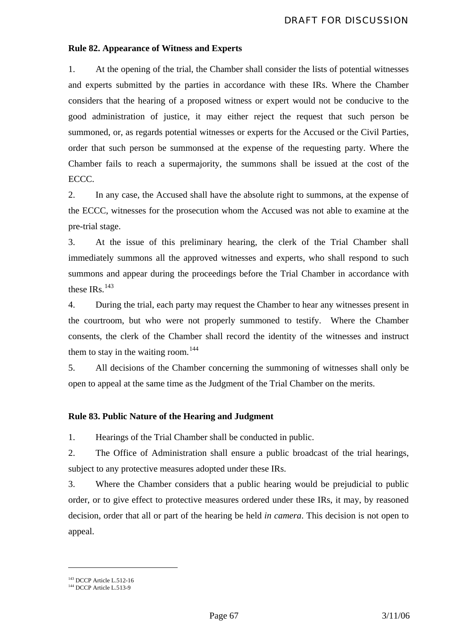# **Rule 82. Appearance of Witness and Experts**

1. At the opening of the trial, the Chamber shall consider the lists of potential witnesses and experts submitted by the parties in accordance with these IRs. Where the Chamber considers that the hearing of a proposed witness or expert would not be conducive to the good administration of justice, it may either reject the request that such person be summoned, or, as regards potential witnesses or experts for the Accused or the Civil Parties, order that such person be summonsed at the expense of the requesting party. Where the Chamber fails to reach a supermajority, the summons shall be issued at the cost of the ECCC.

2. In any case, the Accused shall have the absolute right to summons, at the expense of the ECCC, witnesses for the prosecution whom the Accused was not able to examine at the pre-trial stage.

3. At the issue of this preliminary hearing, the clerk of the Trial Chamber shall immediately summons all the approved witnesses and experts, who shall respond to such summons and appear during the proceedings before the Trial Chamber in accordance with these  $IRs$ .<sup>[143](#page-67-0)</sup>

4. During the trial, each party may request the Chamber to hear any witnesses present in the courtroom, but who were not properly summoned to testify.Where the Chamber consents, the clerk of the Chamber shall record the identity of the witnesses and instruct them to stay in the waiting room.<sup>[144](#page-67-1)</sup>

5. All decisions of the Chamber concerning the summoning of witnesses shall only be open to appeal at the same time as the Judgment of the Trial Chamber on the merits.

### **Rule 83. Public Nature of the Hearing and Judgment**

1. Hearings of the Trial Chamber shall be conducted in public.

2. The Office of Administration shall ensure a public broadcast of the trial hearings, subject to any protective measures adopted under these IRs.

3. Where the Chamber considers that a public hearing would be prejudicial to public order, or to give effect to protective measures ordered under these IRs, it may, by reasoned decision, order that all or part of the hearing be held *in camera*. This decision is not open to appeal.

<span id="page-67-1"></span><span id="page-67-0"></span><sup>&</sup>lt;sup>143</sup> DCCP Article L.512-16<br><sup>144</sup> DCCP Article L.513-9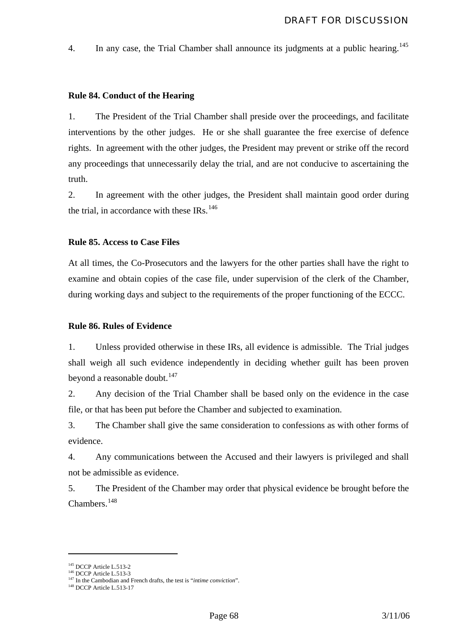4. In any case, the Trial Chamber shall announce its judgments at a public hearing.<sup>[145](#page-68-0)</sup>

#### **Rule 84. Conduct of the Hearing**

1. The President of the Trial Chamber shall preside over the proceedings, and facilitate interventions by the other judges. He or she shall guarantee the free exercise of defence rights. In agreement with the other judges, the President may prevent or strike off the record any proceedings that unnecessarily delay the trial, and are not conducive to ascertaining the truth.

2. In agreement with the other judges, the President shall maintain good order during the trial, in accordance with these  $IRs$ .<sup>[146](#page-68-1)</sup>

#### **Rule 85. Access to Case Files**

At all times, the Co-Prosecutors and the lawyers for the other parties shall have the right to examine and obtain copies of the case file, under supervision of the clerk of the Chamber, during working days and subject to the requirements of the proper functioning of the ECCC.

#### **Rule 86. Rules of Evidence**

1. Unless provided otherwise in these IRs, all evidence is admissible. The Trial judges shall weigh all such evidence independently in deciding whether guilt has been proven beyond a reasonable doubt. $147$ 

2. Any decision of the Trial Chamber shall be based only on the evidence in the case file, or that has been put before the Chamber and subjected to examination.

3. The Chamber shall give the same consideration to confessions as with other forms of evidence.

4. Any communications between the Accused and their lawyers is privileged and shall not be admissible as evidence.

5. The President of the Chamber may order that physical evidence be brought before the Chambers.<sup>[148](#page-68-3)</sup>

<span id="page-68-2"></span><span id="page-68-1"></span><span id="page-68-0"></span><sup>&</sup>lt;sup>145</sup> DCCP Article L.513-2<br><sup>146</sup> DCCP Article L.513-3<br><sup>147</sup> In the Cambodian and French drafts, the test is "*intime conviction*".<br><sup>148</sup> DCCP Article L.513-17

<span id="page-68-3"></span>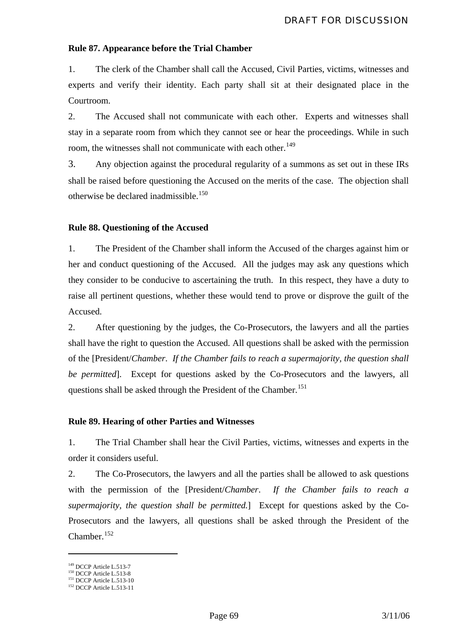#### **Rule 87. Appearance before the Trial Chamber**

1. The clerk of the Chamber shall call the Accused, Civil Parties, victims, witnesses and experts and verify their identity. Each party shall sit at their designated place in the Courtroom.

2. The Accused shall not communicate with each other. Experts and witnesses shall stay in a separate room from which they cannot see or hear the proceedings. While in such room, the witnesses shall not communicate with each other.<sup>[149](#page-69-0)</sup>

3. Any objection against the procedural regularity of a summons as set out in these IRs shall be raised before questioning the Accused on the merits of the case. The objection shall otherwise be declared inadmissible.<sup>[150](#page-69-1)</sup>

#### **Rule 88. Questioning of the Accused**

1. The President of the Chamber shall inform the Accused of the charges against him or her and conduct questioning of the Accused. All the judges may ask any questions which they consider to be conducive to ascertaining the truth. In this respect, they have a duty to raise all pertinent questions, whether these would tend to prove or disprove the guilt of the Accused.

2. After questioning by the judges, the Co-Prosecutors, the lawyers and all the parties shall have the right to question the Accused. All questions shall be asked with the permission of the [President/*Chamber*. *If the Chamber fails to reach a supermajority, the question shall be permitted*]. Except for questions asked by the Co-Prosecutors and the lawyers, all questions shall be asked through the President of the Chamber.<sup>[151](#page-69-2)</sup>

#### **Rule 89. Hearing of other Parties and Witnesses**

1. The Trial Chamber shall hear the Civil Parties, victims, witnesses and experts in the order it considers useful.

2. The Co-Prosecutors, the lawyers and all the parties shall be allowed to ask questions with the permission of the [President/*Chamber*. *If the Chamber fails to reach a supermajority, the question shall be permitted.*] Except for questions asked by the Co-Prosecutors and the lawyers, all questions shall be asked through the President of the Chamber.[152](#page-69-3)

<span id="page-69-3"></span><span id="page-69-2"></span>

<span id="page-69-1"></span><span id="page-69-0"></span><sup>&</sup>lt;sup>149</sup> DCCP Article L.513-7<br><sup>150</sup> DCCP Article L.513-8<br><sup>151</sup> DCCP Article L.513-10<br><sup>152</sup> DCCP Article L.513-11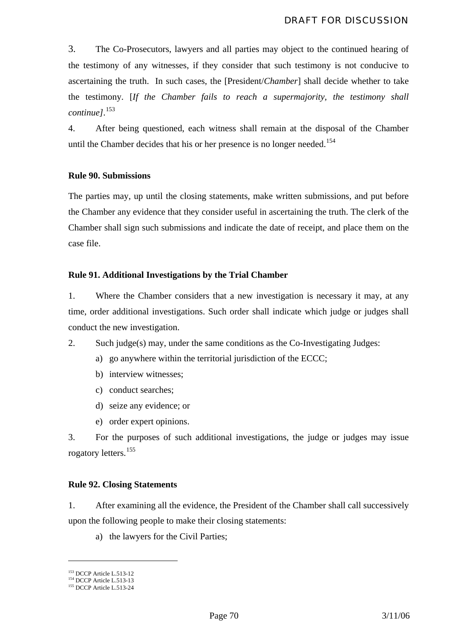3. The Co-Prosecutors, lawyers and all parties may object to the continued hearing of the testimony of any witnesses, if they consider that such testimony is not conducive to ascertaining the truth. In such cases, the [President/*Chamber*] shall decide whether to take the testimony. [*If the Chamber fails to reach a supermajority, the testimony shall continue]*. [153](#page-70-0)

4. After being questioned, each witness shall remain at the disposal of the Chamber until the Chamber decides that his or her presence is no longer needed.<sup>[154](#page-70-1)</sup>

### **Rule 90. Submissions**

The parties may, up until the closing statements, make written submissions, and put before the Chamber any evidence that they consider useful in ascertaining the truth. The clerk of the Chamber shall sign such submissions and indicate the date of receipt, and place them on the case file.

### **Rule 91. Additional Investigations by the Trial Chamber**

1. Where the Chamber considers that a new investigation is necessary it may, at any time, order additional investigations. Such order shall indicate which judge or judges shall conduct the new investigation.

2. Such judge(s) may, under the same conditions as the Co-Investigating Judges:

- a) go anywhere within the territorial jurisdiction of the ECCC;
- b) interview witnesses;
- c) conduct searches;
- d) seize any evidence; or
- e) order expert opinions.

3. For the purposes of such additional investigations, the judge or judges may issue rogatory letters.[155](#page-70-2)

### **Rule 92. Closing Statements**

1. After examining all the evidence, the President of the Chamber shall call successively upon the following people to make their closing statements:

a) the lawyers for the Civil Parties;

<span id="page-70-1"></span><span id="page-70-0"></span><sup>&</sup>lt;sup>153</sup> DCCP Article L.513-12<br><sup>154</sup> DCCP Article L.513-13<br><sup>155</sup> DCCP Article L.513-24

<span id="page-70-2"></span>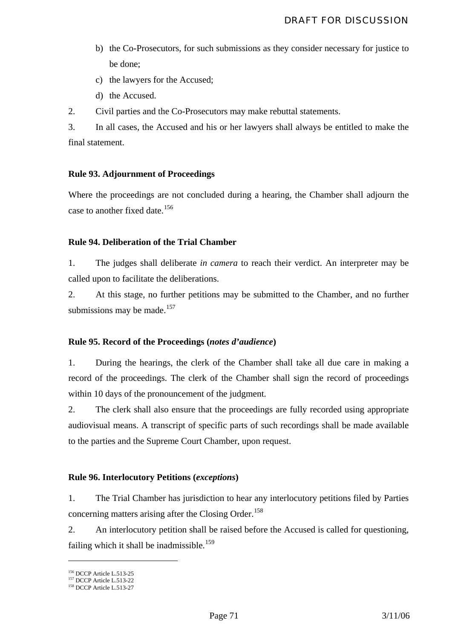- b) the Co-Prosecutors, for such submissions as they consider necessary for justice to be done;
- c) the lawyers for the Accused;
- d) the Accused.

2. Civil parties and the Co-Prosecutors may make rebuttal statements.

3. In all cases, the Accused and his or her lawyers shall always be entitled to make the final statement.

# **Rule 93. Adjournment of Proceedings**

Where the proceedings are not concluded during a hearing, the Chamber shall adjourn the case to another fixed date.<sup>[156](#page-71-0)</sup>

### **Rule 94. Deliberation of the Trial Chamber**

1. The judges shall deliberate *in camera* to reach their verdict. An interpreter may be called upon to facilitate the deliberations.

2. At this stage, no further petitions may be submitted to the Chamber, and no further submissions may be made. $157$ 

### **Rule 95. Record of the Proceedings (***notes d'audience***)**

1. During the hearings, the clerk of the Chamber shall take all due care in making a record of the proceedings. The clerk of the Chamber shall sign the record of proceedings within 10 days of the pronouncement of the judgment.

2. The clerk shall also ensure that the proceedings are fully recorded using appropriate audiovisual means. A transcript of specific parts of such recordings shall be made available to the parties and the Supreme Court Chamber, upon request.

### **Rule 96. Interlocutory Petitions (***exceptions***)**

1. The Trial Chamber has jurisdiction to hear any interlocutory petitions filed by Parties concerning matters arising after the Closing Order.<sup>[158](#page-71-2)</sup>

2. An interlocutory petition shall be raised before the Accused is called for questioning*,* failing which it shall be inadmissible.<sup>[159](#page-71-3)</sup>

<span id="page-71-3"></span><span id="page-71-1"></span><span id="page-71-0"></span><sup>&</sup>lt;sup>156</sup> DCCP Article L.513-25<br><sup>157</sup> DCCP Article L.513-22<br><sup>158</sup> DCCP Article L.513-27

<span id="page-71-2"></span>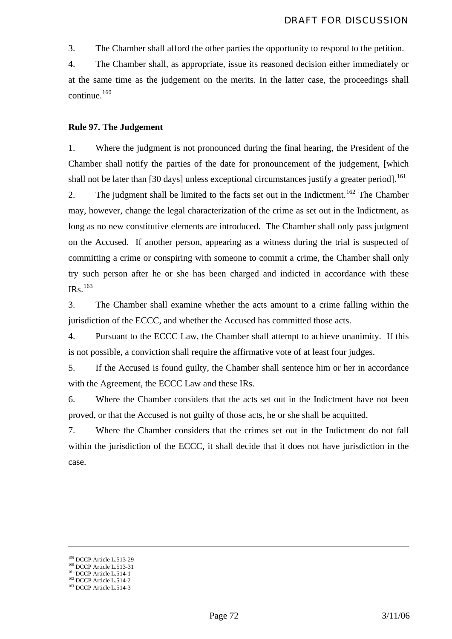3. The Chamber shall afford the other parties the opportunity to respond to the petition.

4. The Chamber shall, as appropriate, issue its reasoned decision either immediately or at the same time as the judgement on the merits. In the latter case, the proceedings shall continue.<sup>[160](#page-72-0)</sup>

#### **Rule 97. The Judgement**

1. Where the judgment is not pronounced during the final hearing, the President of the Chamber shall notify the parties of the date for pronouncement of the judgement, [which shall not be later than [30 days] unless exceptional circumstances justify a greater period].<sup>[161](#page-72-1)</sup>

2. The judgment shall be limited to the facts set out in the Indictment.<sup>[162](#page-72-2)</sup> The Chamber may, however, change the legal characterization of the crime as set out in the Indictment, as long as no new constitutive elements are introduced. The Chamber shall only pass judgment on the Accused. If another person, appearing as a witness during the trial is suspected of committing a crime or conspiring with someone to commit a crime, the Chamber shall only try such person after he or she has been charged and indicted in accordance with these IRs.[163](#page-72-3)

3. The Chamber shall examine whether the acts amount to a crime falling within the jurisdiction of the ECCC, and whether the Accused has committed those acts.

4. Pursuant to the ECCC Law, the Chamber shall attempt to achieve unanimity. If this is not possible, a conviction shall require the affirmative vote of at least four judges.

5. If the Accused is found guilty, the Chamber shall sentence him or her in accordance with the Agreement, the ECCC Law and these IRs.

6. Where the Chamber considers that the acts set out in the Indictment have not been proved, or that the Accused is not guilty of those acts, he or she shall be acquitted.

7. Where the Chamber considers that the crimes set out in the Indictment do not fall within the jurisdiction of the ECCC, it shall decide that it does not have jurisdiction in the case.

<span id="page-72-1"></span><span id="page-72-0"></span><sup>&</sup>lt;sup>159</sup> DCCP Article L.513-29<br><sup>160</sup> DCCP Article L.513-31<br><sup>161</sup> DCCP Article L.514-1<br><sup>162</sup> DCCP Article L.514-3

<span id="page-72-3"></span><span id="page-72-2"></span>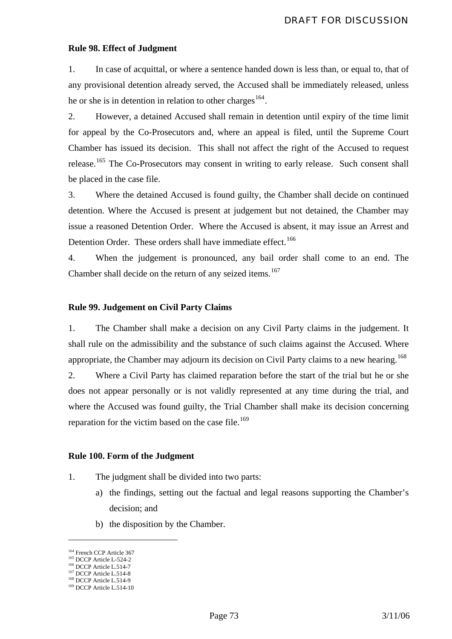#### **Rule 98. Effect of Judgment**

1. In case of acquittal, or where a sentence handed down is less than, or equal to, that of any provisional detention already served, the Accused shall be immediately released, unless he or she is in detention in relation to other charges<sup>[164](#page-73-0)</sup>.

2. However, a detained Accused shall remain in detention until expiry of the time limit for appeal by the Co-Prosecutors and, where an appeal is filed, until the Supreme Court Chamber has issued its decision. This shall not affect the right of the Accused to request release.<sup>[165](#page-73-1)</sup> The Co-Prosecutors may consent in writing to early release. Such consent shall be placed in the case file.

3. Where the detained Accused is found guilty, the Chamber shall decide on continued detention. Where the Accused is present at judgement but not detained, the Chamber may issue a reasoned Detention Order. Where the Accused is absent, it may issue an Arrest and Detention Order. These orders shall have immediate effect.<sup>[166](#page-73-2)</sup>

4. When the judgement is pronounced, any bail order shall come to an end. The Chamber shall decide on the return of any seized items.<sup>[167](#page-73-3)</sup>

#### **Rule 99. Judgement on Civil Party Claims**

1. The Chamber shall make a decision on any Civil Party claims in the judgement. It shall rule on the admissibility and the substance of such claims against the Accused. Where appropriate, the Chamber may adjourn its decision on Civil Party claims to a new hearing.<sup>[168](#page-73-4)</sup>

2. Where a Civil Party has claimed reparation before the start of the trial but he or she does not appear personally or is not validly represented at any time during the trial, and where the Accused was found guilty, the Trial Chamber shall make its decision concerning reparation for the victim based on the case file.<sup>[169](#page-73-5)</sup>

### **Rule 100. Form of the Judgment**

- 1. The judgment shall be divided into two parts:
	- a) the findings, setting out the factual and legal reasons supporting the Chamber's decision; and
	- b) the disposition by the Chamber.

<u>.</u>

<span id="page-73-1"></span><span id="page-73-0"></span><sup>&</sup>lt;sup>164</sup> French CCP Article L-524-2<br><sup>165</sup> DCCP Article L-524-2<br><sup>166</sup> DCCP Article L.514-7<br><sup>167</sup> DCCP Article L.514-9<br><sup>169</sup> DCCP Article L.514-10

<span id="page-73-3"></span><span id="page-73-2"></span>

<span id="page-73-4"></span>

<span id="page-73-5"></span>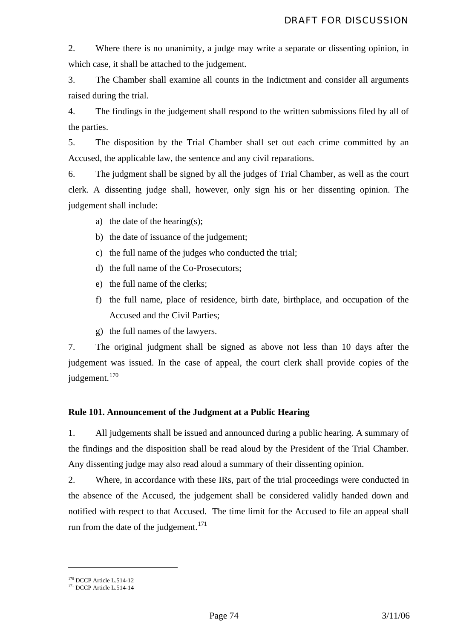2. Where there is no unanimity, a judge may write a separate or dissenting opinion, in which case, it shall be attached to the judgement.

3. The Chamber shall examine all counts in the Indictment and consider all arguments raised during the trial.

4. The findings in the judgement shall respond to the written submissions filed by all of the parties.

5. The disposition by the Trial Chamber shall set out each crime committed by an Accused, the applicable law, the sentence and any civil reparations.

6. The judgment shall be signed by all the judges of Trial Chamber, as well as the court clerk. A dissenting judge shall, however, only sign his or her dissenting opinion. The judgement shall include:

- a) the date of the hearing(s);
- b) the date of issuance of the judgement;
- c) the full name of the judges who conducted the trial;
- d) the full name of the Co-Prosecutors;
- e) the full name of the clerks;
- f) the full name, place of residence, birth date, birthplace, and occupation of the Accused and the Civil Parties;
- g) the full names of the lawyers.

7. The original judgment shall be signed as above not less than 10 days after the judgement was issued. In the case of appeal, the court clerk shall provide copies of the judgement.<sup>[170](#page-74-0)</sup>

# **Rule 101. Announcement of the Judgment at a Public Hearing**

1. All judgements shall be issued and announced during a public hearing. A summary of the findings and the disposition shall be read aloud by the President of the Trial Chamber. Any dissenting judge may also read aloud a summary of their dissenting opinion.

2. Where, in accordance with these IRs, part of the trial proceedings were conducted in the absence of the Accused, the judgement shall be considered validly handed down and notified with respect to that Accused. The time limit for the Accused to file an appeal shall run from the date of the judgement. $171$ 

<span id="page-74-1"></span><span id="page-74-0"></span> $170$  DCCP Article L.514-12<br> $171$  DCCP Article L.514-14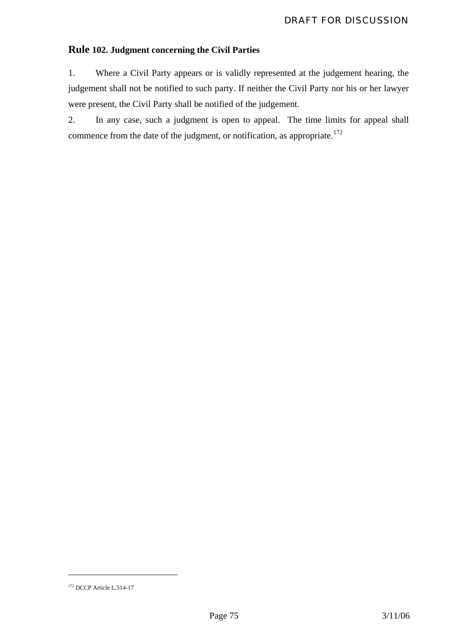# **Rule 102. Judgment concerning the Civil Parties**

1. Where a Civil Party appears or is validly represented at the judgement hearing, the judgement shall not be notified to such party. If neither the Civil Party nor his or her lawyer were present, the Civil Party shall be notified of the judgement.

2. In any case, such a judgment is open to appeal. The time limits for appeal shall commence from the date of the judgment, or notification, as appropriate.<sup>[172](#page-75-0)</sup>

<span id="page-75-0"></span><sup>&</sup>lt;sup>172</sup> DCCP Article L.514-17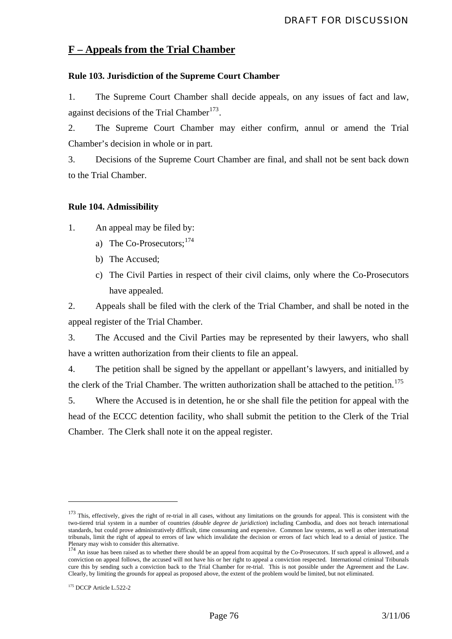# **F – Appeals from the Trial Chamber**

## **Rule 103. Jurisdiction of the Supreme Court Chamber**

1. The Supreme Court Chamber shall decide appeals, on any issues of fact and law, against decisions of the Trial Chamber<sup>[173](#page-76-0)</sup>.

2. The Supreme Court Chamber may either confirm, annul or amend the Trial Chamber's decision in whole or in part.

3. Decisions of the Supreme Court Chamber are final, and shall not be sent back down to the Trial Chamber.

### **Rule 104. Admissibility**

1. An appeal may be filed by:

- a) The Co-Prosecutors:  $174$
- b) The Accused;
- c) The Civil Parties in respect of their civil claims, only where the Co-Prosecutors have appealed.

2. Appeals shall be filed with the clerk of the Trial Chamber, and shall be noted in the appeal register of the Trial Chamber.

3. The Accused and the Civil Parties may be represented by their lawyers, who shall have a written authorization from their clients to file an appeal.

4. The petition shall be signed by the appellant or appellant's lawyers, and initialled by the clerk of the Trial Chamber. The written authorization shall be attached to the petition.<sup>[175](#page-76-2)</sup>

5. Where the Accused is in detention, he or she shall file the petition for appeal with the head of the ECCC detention facility, who shall submit the petition to the Clerk of the Trial Chamber. The Clerk shall note it on the appeal register.

<u>.</u>

<span id="page-76-0"></span><sup>&</sup>lt;sup>173</sup> This, effectively, gives the right of re-trial in all cases, without any limitations on the grounds for appeal. This is consistent with the two-tiered trial system in a number of countries *(double degree de juridiction*) including Cambodia, and does not breach international standards, but could prove administratively difficult, time consuming and expensive. Common law systems, as well as other international tribunals, limit the right of appeal to errors of law which invalidate the decision or errors of fact which lead to a denial of justice. The

<span id="page-76-1"></span>Plenary may wish to consider this alternative.<br>  $P$  An issue has been raised as to whether there should be an appeal from acquittal by the Co-Prosecutors. If such appeal is allowed, and a<br>  $P$  An issue has been raised as conviction on appeal follows, the accused will not have his or her right to appeal a conviction respected. International criminal Tribunals cure this by sending such a conviction back to the Trial Chamber for re-trial. This is not possible under the Agreement and the Law. Clearly, by limiting the grounds for appeal as proposed above, the extent of the problem would be limited, but not eliminated.

<span id="page-76-2"></span><sup>&</sup>lt;sup>175</sup> DCCP Article L.522-2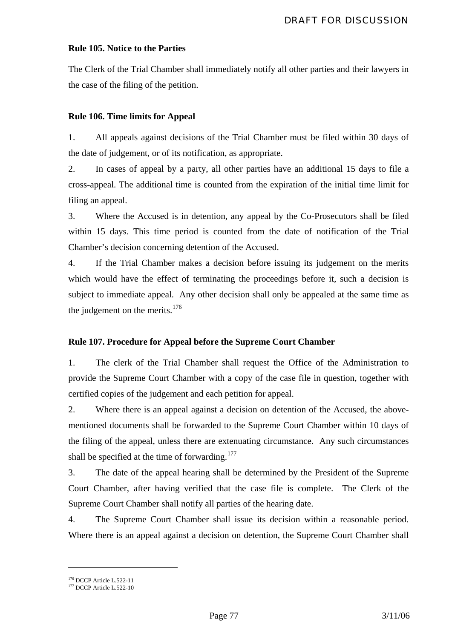## **Rule 105. Notice to the Parties**

The Clerk of the Trial Chamber shall immediately notify all other parties and their lawyers in the case of the filing of the petition.

# **Rule 106. Time limits for Appeal**

1. All appeals against decisions of the Trial Chamber must be filed within 30 days of the date of judgement, or of its notification, as appropriate.

2. In cases of appeal by a party, all other parties have an additional 15 days to file a cross-appeal. The additional time is counted from the expiration of the initial time limit for filing an appeal.

3. Where the Accused is in detention, any appeal by the Co-Prosecutors shall be filed within 15 days. This time period is counted from the date of notification of the Trial Chamber's decision concerning detention of the Accused.

4. If the Trial Chamber makes a decision before issuing its judgement on the merits which would have the effect of terminating the proceedings before it, such a decision is subject to immediate appeal. Any other decision shall only be appealed at the same time as the judgement on the merits. $176$ 

# **Rule 107. Procedure for Appeal before the Supreme Court Chamber**

1. The clerk of the Trial Chamber shall request the Office of the Administration to provide the Supreme Court Chamber with a copy of the case file in question, together with certified copies of the judgement and each petition for appeal.

2. Where there is an appeal against a decision on detention of the Accused, the abovementioned documents shall be forwarded to the Supreme Court Chamber within 10 days of the filing of the appeal, unless there are extenuating circumstance. Any such circumstances shall be specified at the time of forwarding.<sup>[177](#page-77-1)</sup>

3. The date of the appeal hearing shall be determined by the President of the Supreme Court Chamber, after having verified that the case file is complete. The Clerk of the Supreme Court Chamber shall notify all parties of the hearing date.

4. The Supreme Court Chamber shall issue its decision within a reasonable period. Where there is an appeal against a decision on detention, the Supreme Court Chamber shall

<span id="page-77-1"></span><span id="page-77-0"></span> $176$  DCCP Article L.522-11<br> $177$  DCCP Article L.522-10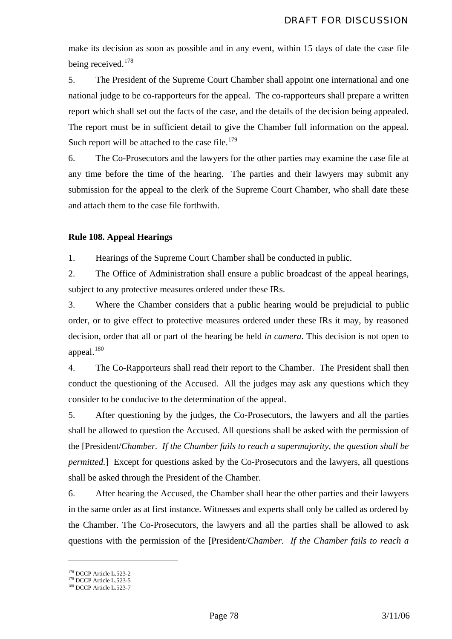make its decision as soon as possible and in any event, within 15 days of date the case file being received.<sup>[178](#page-78-0)</sup>

5. The President of the Supreme Court Chamber shall appoint one international and one national judge to be co-rapporteurs for the appeal. The co-rapporteurs shall prepare a written report which shall set out the facts of the case, and the details of the decision being appealed. The report must be in sufficient detail to give the Chamber full information on the appeal. Such report will be attached to the case file. $179$ 

6. The Co-Prosecutors and the lawyers for the other parties may examine the case file at any time before the time of the hearing. The parties and their lawyers may submit any submission for the appeal to the clerk of the Supreme Court Chamber, who shall date these and attach them to the case file forthwith.

### **Rule 108. Appeal Hearings**

1. Hearings of the Supreme Court Chamber shall be conducted in public.

2. The Office of Administration shall ensure a public broadcast of the appeal hearings, subject to any protective measures ordered under these IRs.

3. Where the Chamber considers that a public hearing would be prejudicial to public order, or to give effect to protective measures ordered under these IRs it may, by reasoned decision, order that all or part of the hearing be held *in camera*. This decision is not open to appeal.<sup>[180](#page-78-2)</sup>

4. The Co-Rapporteurs shall read their report to the Chamber. The President shall then conduct the questioning of the Accused. All the judges may ask any questions which they consider to be conducive to the determination of the appeal.

5. After questioning by the judges, the Co-Prosecutors, the lawyers and all the parties shall be allowed to question the Accused. All questions shall be asked with the permission of the [President/*Chamber. If the Chamber fails to reach a supermajority, the question shall be permitted.*] Except for questions asked by the Co-Prosecutors and the lawyers, all questions shall be asked through the President of the Chamber.

6. After hearing the Accused, the Chamber shall hear the other parties and their lawyers in the same order as at first instance. Witnesses and experts shall only be called as ordered by the Chamber. The Co-Prosecutors, the lawyers and all the parties shall be allowed to ask questions with the permission of the [President/*Chamber. If the Chamber fails to reach a* 

<span id="page-78-1"></span><span id="page-78-0"></span><sup>&</sup>lt;sup>178</sup> DCCP Article L.523-2<br><sup>179</sup> DCCP Article L.523-5<br><sup>180</sup> DCCP Article L.523-7

<span id="page-78-2"></span>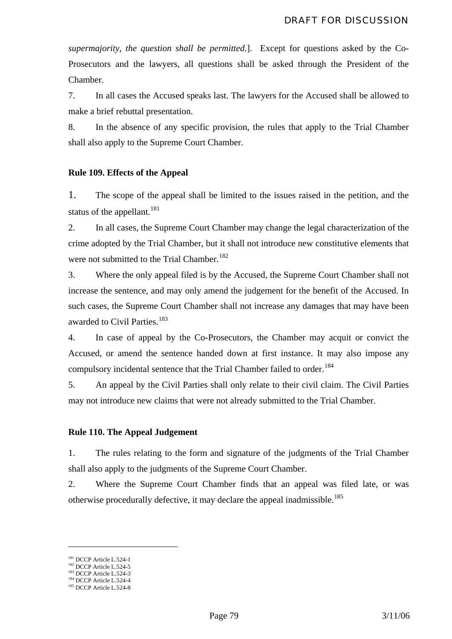*supermajority, the question shall be permitted.*]. Except for questions asked by the Co-Prosecutors and the lawyers, all questions shall be asked through the President of the Chamber.

7. In all cases the Accused speaks last. The lawyers for the Accused shall be allowed to make a brief rebuttal presentation.

8. In the absence of any specific provision, the rules that apply to the Trial Chamber shall also apply to the Supreme Court Chamber.

### **Rule 109. Effects of the Appeal**

1. The scope of the appeal shall be limited to the issues raised in the petition, and the status of the appellant.<sup>[181](#page-79-0)</sup>

2. In all cases, the Supreme Court Chamber may change the legal characterization of the crime adopted by the Trial Chamber, but it shall not introduce new constitutive elements that were not submitted to the Trial Chamber.<sup>[182](#page-79-1)</sup>

3. Where the only appeal filed is by the Accused, the Supreme Court Chamber shall not increase the sentence, and may only amend the judgement for the benefit of the Accused. In such cases, the Supreme Court Chamber shall not increase any damages that may have been awarded to Civil Parties.<sup>[183](#page-79-2)</sup>

4. In case of appeal by the Co-Prosecutors, the Chamber may acquit or convict the Accused, or amend the sentence handed down at first instance. It may also impose any compulsory incidental sentence that the Trial Chamber failed to order.<sup>[184](#page-79-3)</sup>

5. An appeal by the Civil Parties shall only relate to their civil claim. The Civil Parties may not introduce new claims that were not already submitted to the Trial Chamber.

### **Rule 110. The Appeal Judgement**

1. The rules relating to the form and signature of the judgments of the Trial Chamber shall also apply to the judgments of the Supreme Court Chamber.

2. Where the Supreme Court Chamber finds that an appeal was filed late, or was otherwise procedurally defective, it may declare the appeal inadmissible.<sup>[185](#page-79-4)</sup>

<span id="page-79-2"></span>

<span id="page-79-1"></span><span id="page-79-0"></span><sup>&</sup>lt;sup>181</sup> DCCP Article L.524-1<br><sup>182</sup> DCCP Article L.524-5<br><sup>183</sup> DCCP Article L.524-4<br><sup>185</sup> DCCP Article L.524-8

<span id="page-79-4"></span><span id="page-79-3"></span>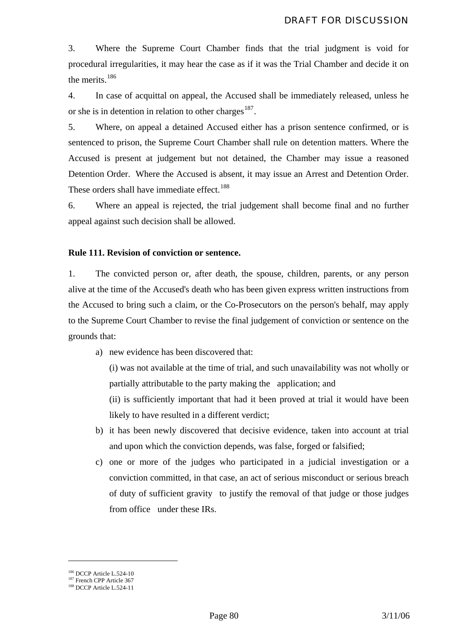3. Where the Supreme Court Chamber finds that the trial judgment is void for procedural irregularities, it may hear the case as if it was the Trial Chamber and decide it on the merits.<sup>[186](#page-80-0)</sup>

4. In case of acquittal on appeal, the Accused shall be immediately released, unless he or she is in detention in relation to other charges<sup>[187](#page-80-1)</sup>.

5. Where, on appeal a detained Accused either has a prison sentence confirmed, or is sentenced to prison, the Supreme Court Chamber shall rule on detention matters. Where the Accused is present at judgement but not detained, the Chamber may issue a reasoned Detention Order. Where the Accused is absent, it may issue an Arrest and Detention Order. These orders shall have immediate effect.<sup>[188](#page-80-2)</sup>

6. Where an appeal is rejected, the trial judgement shall become final and no further appeal against such decision shall be allowed.

### **Rule 111. Revision of conviction or sentence.**

1. The convicted person or, after death, the spouse, children, parents, or any person alive at the time of the Accused's death who has been given express written instructions from the Accused to bring such a claim, or the Co-Prosecutors on the person's behalf, may apply to the Supreme Court Chamber to revise the final judgement of conviction or sentence on the grounds that:

a) new evidence has been discovered that:

(i) was not available at the time of trial, and such unavailability was not wholly or partially attributable to the party making the application; and

(ii) is sufficiently important that had it been proved at trial it would have been likely to have resulted in a different verdict;

- b) it has been newly discovered that decisive evidence, taken into account at trial and upon which the conviction depends, was false, forged or falsified;
- c) one or more of the judges who participated in a judicial investigation or a conviction committed, in that case, an act of serious misconduct or serious breach of duty of sufficient gravity to justify the removal of that judge or those judges from office under these IRs.

<span id="page-80-1"></span><span id="page-80-0"></span><sup>&</sup>lt;sup>186</sup> DCCP Article L.524-10<br><sup>187</sup> French CPP Article 367<br><sup>188</sup> DCCP Article L.524-11

<span id="page-80-2"></span>